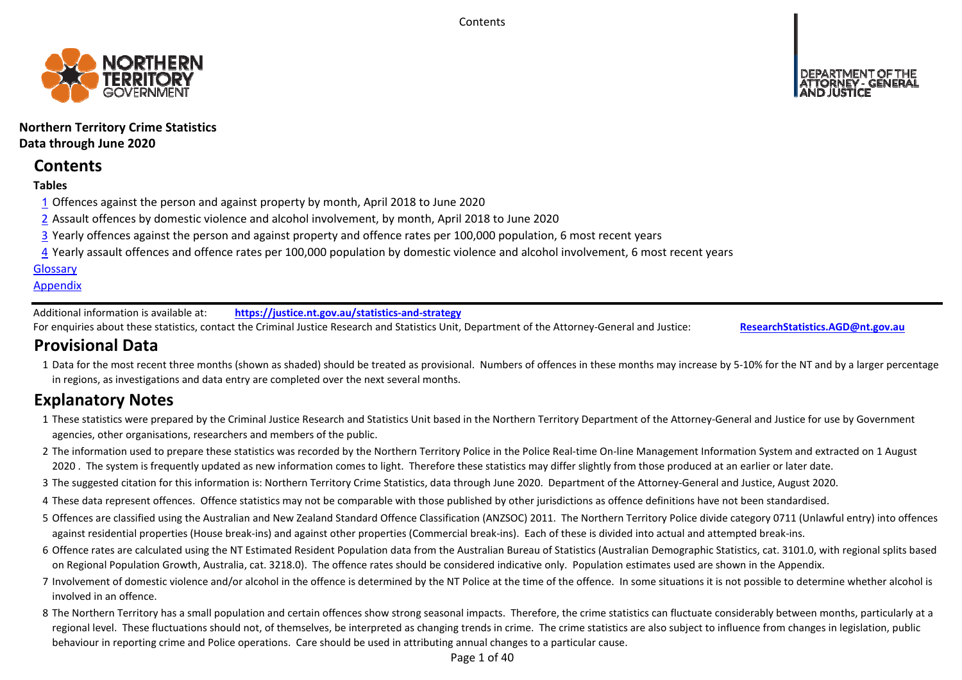**Contents** 



# **Northern Territory Crime Statistics Data through June 2020**

# **Contents**

# **Tables**

- 1 Offences against the person and against property by month, April 2018 to June 2020
- 2 Assault offences by domestic violence and alcohol involvement, by month, April 2018 to June 2020
- 3 Yearly offences against the person and against property and offence rates per 100,000 population, 6 most recent years
- 4 Yearly assault offences and offence rates per 100,000 population by domestic violence and alcohol involvement, 6 most recent years

# **Glossary**

# **Appendix**

Additional information is available at:**https://justice.nt.gov.au/statistics‐and‐strategy**

For enquiries about these statistics, contact the Criminal Justice Research and Statistics Unit, Department of the Attorney‐General and Justice: **ResearchStatistics.AGD@nt.gov.au**

# **Provisional Data**

1 Data for the most recent three months (shown as shaded) should be treated as provisional. Numbers of offences in these months may increase by 5‐10% for the NT and by a larger percentage in regions, as investigations and data entry are completed over the next several months.

# **Explanatory Notes**

- 1These statistics were prepared by the Criminal Justice Research and Statistics Unit based in the Northern Territory Department of the Attorney‐General and Justice for use by Government agencies, other organisations, researchers and members of the public.
- 2 The information used to prepare these statistics was recorded by the Northern Territory Police in the Police Real‐time On‐line Management Information System and extracted on 1 August 2020. The system is frequently updated as new information comes to light. Therefore these statistics may differ slightly from those produced at an earlier or later date.
- 3 The suggested citation for this information is: Northern Territory Crime Statistics, data through June 2020. Department of the Attorney‐General and Justice, August 2020.
- 4These data represent offences. Offence statistics may not be comparable with those published by other jurisdictions as offence definitions have not been standardised.
- 5 Offences are classified using the Australian and New Zealand Standard Offence Classification (ANZSOC) 2011. The Northern Territory Police divide category 0711 (Unlawful entry) into offences against residential properties (House break‐ins) and against other properties (Commercial break‐ins). Each of these is divided into actual and attempted break‐ins.
- 6 Offence rates are calculated using the NT Estimated Resident Population data from the Australian Bureau of Statistics (Australian Demographic Statistics, cat. 3101.0, with regional splits based on Regional Population Growth, Australia, cat. 3218.0). The offence rates should be considered indicative only. Population estimates used are shown in the Appendix.
- 7 Involvement of domestic violence and/or alcohol in the offence is determined by the NT Police at the time of the offence. In some situations it is not possible to determine whether alcohol is involved in an offence.
- 8 The Northern Territory has a small population and certain offences show strong seasonal impacts. Therefore, the crime statistics can fluctuate considerably between months, particularly at a regional level. These fluctuations should not, of themselves, be interpreted as changing trends in crime. The crime statistics are also subject to influence from changes in legislation, public behaviour in reporting crime and Police operations. Care should be used in attributing annual changes to a particular cause.

Page 1 of 40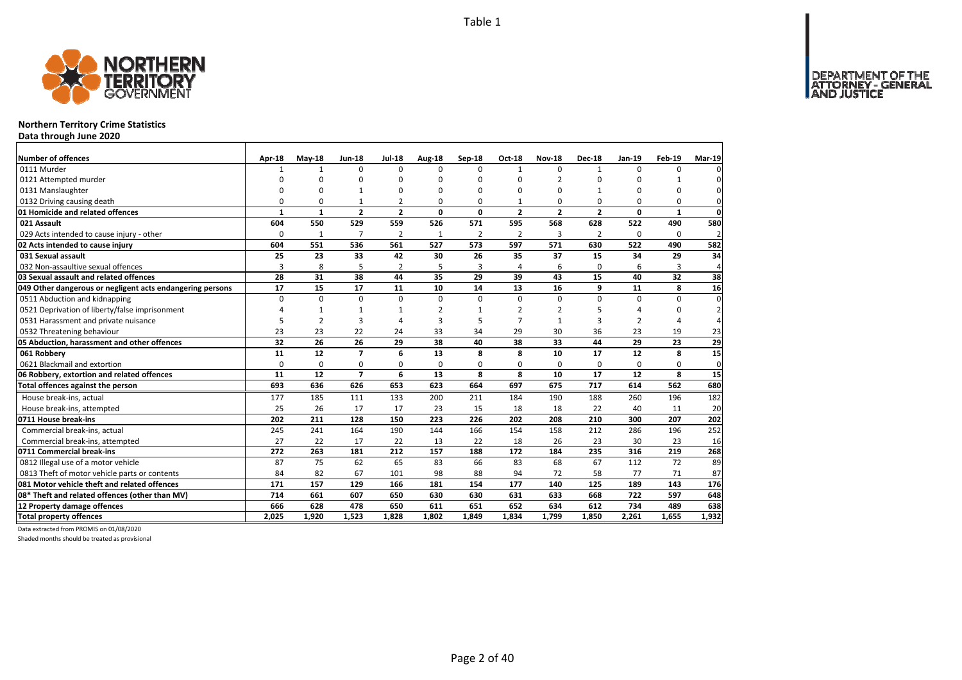DEPARTMENT OF THE<br>ATTORNEY - GENERAL



## **Northern Territory Crime Statistics**

**Data through June 2020**

| Number of offences                                        | Apr-18       | $Mav-18$       | <b>Jun-18</b>  | <b>Jul-18</b>            | Aug-18   | Sep-18         | <b>Oct-18</b>  | <b>Nov-18</b>  | <b>Dec-18</b>  | Jan-19         | <b>Feb-19</b> | Mar-19         |
|-----------------------------------------------------------|--------------|----------------|----------------|--------------------------|----------|----------------|----------------|----------------|----------------|----------------|---------------|----------------|
| 0111 Murder                                               |              | $\mathbf{1}$   | $\Omega$       | $\Omega$                 | $\Omega$ | $\Omega$       | $\mathbf{1}$   | $\Omega$       | $\mathbf{1}$   | $\Omega$       | 0             | $\Omega$       |
| 0121 Attempted murder                                     | $\Omega$     | O              | $\Omega$       | $\Omega$                 | ŋ        | U              | $\Omega$       | $\mathcal{P}$  | $\Omega$       | U              |               |                |
| 0131 Manslaughter                                         | $\Omega$     | $\Omega$       |                | $\Omega$                 | $\Omega$ | 0              | $\Omega$       | $\Omega$       |                | $\Omega$       | O             | $\Omega$       |
| 0132 Driving causing death                                | $\Omega$     | $\Omega$       |                | $\overline{\phantom{0}}$ | O        | 0              | $\mathbf{1}$   | $\Omega$       | $\Omega$       | $\Omega$       | $\Omega$      | $\Omega$       |
| 01 Homicide and related offences                          | $\mathbf{1}$ | $\mathbf{1}$   | $\overline{2}$ | $\overline{2}$           | 0        | 0              | $\overline{2}$ | $\overline{2}$ | $\overline{2}$ | 0              | 1             | $\mathbf 0$    |
| 021 Assault                                               | 604          | 550            | 529            | 559                      | 526      | 571            | 595            | 568            | 628            | 522            | 490           | 580            |
| 029 Acts intended to cause injury - other                 | $\Omega$     | $\mathbf{1}$   | $\overline{7}$ | $\overline{2}$           | 1        | $\overline{2}$ | $\overline{2}$ | 3              | $\overline{2}$ | $\Omega$       | 0             | $\overline{2}$ |
| 02 Acts intended to cause injury                          | 604          | 551            | 536            | 561                      | 527      | 573            | 597            | 571            | 630            | 522            | 490           | 582            |
| 031 Sexual assault                                        | 25           | 23             | 33             | 42                       | 30       | 26             | 35             | 37             | 15             | 34             | 29            | 34             |
| 032 Non-assaultive sexual offences                        | 3            | 8              | 5              | $\overline{2}$           | 5        | 3              | $\overline{a}$ | 6              | $\Omega$       | 6              | 3             | $\overline{4}$ |
| 03 Sexual assault and related offences                    | 28           | 31             | 38             | 44                       | 35       | 29             | 39             | 43             | 15             | 40             | 32            | 38             |
| 049 Other dangerous or negligent acts endangering persons | 17           | 15             | 17             | 11                       | 10       | 14             | 13             | 16             | 9              | 11             | 8             | 16             |
| 0511 Abduction and kidnapping                             | $\Omega$     | $\Omega$       | 0              | $\Omega$                 | $\Omega$ | 0              | $\Omega$       | $\Omega$       | $\Omega$       | $\Omega$       | $\Omega$      | $\Omega$       |
| 0521 Deprivation of liberty/false imprisonment            | Δ            | $\mathbf{1}$   | $\mathbf{1}$   | $\mathbf{1}$             | 2        | 1              | 2              |                | 5              | Δ              | ŋ             | $\overline{2}$ |
| 0531 Harassment and private nuisance                      | 5            | $\overline{2}$ | 3              | $\Delta$                 | 3        | 5              |                |                | 3              | $\overline{2}$ | Δ             | 4              |
| 0532 Threatening behaviour                                | 23           | 23             | 22             | 24                       | 33       | 34             | 29             | 30             | 36             | 23             | 19            | 23             |
| 05 Abduction, harassment and other offences               | 32           | 26             | 26             | 29                       | 38       | 40             | 38             | 33             | 44             | 29             | 23            | 29             |
| 061 Robberv                                               | 11           | 12             | $\overline{7}$ | 6                        | 13       | 8              | 8              | 10             | 17             | 12             | 8             | 15             |
| 0621 Blackmail and extortion                              | 0            | 0              | 0              | 0                        | $\Omega$ | 0              | 0              | 0              | 0              | 0              | 0             | 0              |
| 06 Robbery, extortion and related offences                | 11           | 12             | $\overline{7}$ | 6                        | 13       | 8              | 8              | 10             | 17             | 12             | 8             | 15             |
| Total offences against the person                         | 693          | 636            | 626            | 653                      | 623      | 664            | 697            | 675            | 717            | 614            | 562           | 680            |
| House break-ins, actual                                   | 177          | 185            | 111            | 133                      | 200      | 211            | 184            | 190            | 188            | 260            | 196           | 182            |
| House break-ins, attempted                                | 25           | 26             | 17             | 17                       | 23       | 15             | 18             | 18             | 22             | 40             | 11            | 20             |
| 0711 House break-ins                                      | 202          | 211            | 128            | 150                      | 223      | 226            | 202            | 208            | 210            | 300            | 207           | 202            |
| Commercial break-ins, actual                              | 245          | 241            | 164            | 190                      | 144      | 166            | 154            | 158            | 212            | 286            | 196           | 252            |
| Commercial break-ins, attempted                           | 27           | 22             | 17             | 22                       | 13       | 22             | 18             | 26             | 23             | 30             | 23            | 16             |
| 0711 Commercial break-ins                                 | 272          | 263            | 181            | 212                      | 157      | 188            | 172            | 184            | 235            | 316            | 219           | 268            |
| 0812 Illegal use of a motor vehicle                       | 87           | 75             | 62             | 65                       | 83       | 66             | 83             | 68             | 67             | 112            | 72            | 89             |
| 0813 Theft of motor vehicle parts or contents             | 84           | 82             | 67             | 101                      | 98       | 88             | 94             | 72             | 58             | 77             | 71            | 87             |
| 081 Motor vehicle theft and related offences              | 171          | 157            | 129            | 166                      | 181      | 154            | 177            | 140            | 125            | 189            | 143           | 176            |
| 08* Theft and related offences (other than MV)            | 714          | 661            | 607            | 650                      | 630      | 630            | 631            | 633            | 668            | 722            | 597           | 648            |
| 12 Property damage offences                               | 666          | 628            | 478            | 650                      | 611      | 651            | 652            | 634            | 612            | 734            | 489           | 638            |
| <b>Total property offences</b>                            | 2.025        | 1.920          | 1.523          | 1.828                    | 1.802    | 1.849          | 1.834          | 1.799          | 1.850          | 2.261          | 1.655         | 1,932          |

Data extracted from PROMIS on 01/08/2020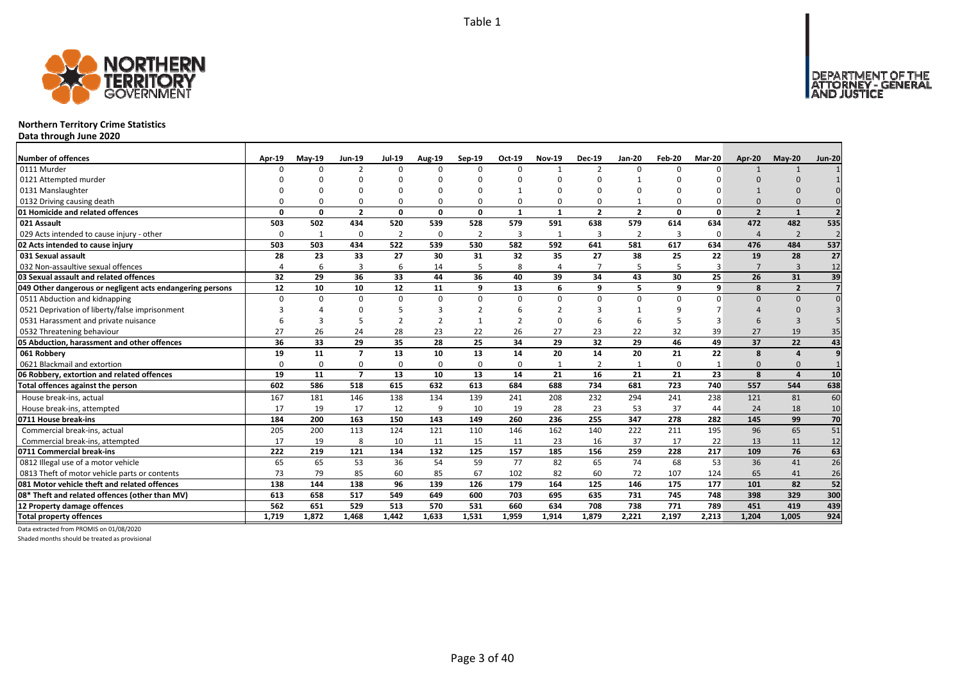

## **Northern Territory Crime Statistics**

**Data through June 2020**

| Number of offences                                        | Apr-19   | <b>Mav-19</b> | <b>Jun-19</b>  | <b>Jul-19</b>  | Aug-19         | Sep-19         | Oct-19       | <b>Nov-19</b>  | <b>Dec-19</b>  | <b>Jan-20</b>  | Feb-20   | Mar-20       | Apr-20         | $May-20$       | <b>Jun-20</b>   |
|-----------------------------------------------------------|----------|---------------|----------------|----------------|----------------|----------------|--------------|----------------|----------------|----------------|----------|--------------|----------------|----------------|-----------------|
| 0111 Murder                                               |          | $\Omega$      | $\mathcal{P}$  | $\Omega$       | $\Omega$       | $\Omega$       | <sup>n</sup> |                | $\overline{2}$ | $\Omega$       | $\Omega$ | $\Omega$     |                |                |                 |
| 0121 Attempted murder                                     |          |               |                |                |                |                |              |                |                |                |          |              |                |                |                 |
| 0131 Manslaughter                                         |          |               |                |                | $\Omega$       |                |              |                |                |                |          |              |                |                |                 |
| 0132 Driving causing death                                |          |               |                | O              | $\Omega$       |                |              |                | O              |                |          |              |                |                |                 |
| 01 Homicide and related offences                          | $\Omega$ | 0             | $\overline{2}$ | 0              | 0              | 0              | $\mathbf{1}$ | $\mathbf{1}$   | $\overline{2}$ | $\overline{2}$ | 0        | 0            | $\overline{2}$ | $\mathbf{1}$   | $\overline{2}$  |
| 021 Assault                                               | 503      | 502           | 434            | 520            | 539            | 528            | 579          | 591            | 638            | 579            | 614      | 634          | 472            | 482            | 535             |
| 029 Acts intended to cause injury - other                 | $\Omega$ | -1            | $\Omega$       | $\overline{2}$ | 0              | $\overline{2}$ | 3            | 1              | $\overline{3}$ | $\overline{2}$ | 3        | 0            | $\overline{4}$ | $\overline{2}$ |                 |
| 02 Acts intended to cause injury                          | 503      | 503           | 434            | 522            | 539            | 530            | 582          | 592            | 641            | 581            | 617      | 634          | 476            | 484            | 537             |
| 031 Sexual assault                                        | 28       | 23            | 33             | 27             | 30             | 31             | 32           | 35             | 27             | 38             | 25       | 22           | 19             | 28             | 27              |
| 032 Non-assaultive sexual offences                        |          | 6             | 3              | 6              | 14             | 5              | 8            | $\overline{4}$ | $\overline{7}$ | 5              | 5        | 3            | $\overline{7}$ | $\overline{3}$ | 12              |
| 03 Sexual assault and related offences                    | 32       | 29            | 36             | 33             | 44             | 36             | 40           | 39             | 34             | 43             | 30       | 25           | 26             | 31             | 39              |
| 049 Other dangerous or negligent acts endangering persons | 12       | 10            | 10             | 12             | 11             | q              | 13           | 6              | 9              | 5              | q        | 9            | 8              | $\overline{2}$ | $\overline{7}$  |
| 0511 Abduction and kidnapping                             | $\Omega$ | $\Omega$      | $\Omega$       | $\Omega$       | 0              | $\Omega$       | $\Omega$     | $\Omega$       | $\Omega$       | $\Omega$       | $\Omega$ | $\Omega$     |                | $\Omega$       | $\Omega$        |
| 0521 Deprivation of liberty/false imprisonment            |          |               |                | 5              | 3              |                |              |                |                |                |          |              |                |                |                 |
| 0531 Harassment and private nuisance                      |          |               |                | $\overline{2}$ | $\overline{2}$ |                |              |                |                |                |          |              |                |                |                 |
| 0532 Threatening behaviour                                | 27       | 26            | 24             | 28             | 23             | 22             | 26           | 27             | 23             | 22             | 32       | 39           | 27             | 19             | 35              |
| 05 Abduction, harassment and other offences               | 36       | 33            | 29             | 35             | 28             | 25             | 34           | 29             | 32             | 29             | 46       | 49           | 37             | 22             | 43              |
| 061 Robbery                                               | 19       | 11            | $\overline{7}$ | 13             | 10             | 13             | 14           | 20             | 14             | 20             | 21       | 22           | 8              | $\overline{a}$ | $\overline{9}$  |
| 0621 Blackmail and extortion                              | $\Omega$ | $\Omega$      | $\Omega$       | $\Omega$       | 0              | $\Omega$       | 0            |                | $\overline{2}$ | 1              | $\Omega$ | $\mathbf{1}$ |                |                |                 |
| 06 Robbery, extortion and related offences                | 19       | 11            | $\overline{7}$ | 13             | 10             | 13             | 14           | 21             | 16             | 21             | 21       | 23           | 8              | $\overline{a}$ | 10              |
| Total offences against the person                         | 602      | 586           | 518            | 615            | 632            | 613            | 684          | 688            | 734            | 681            | 723      | 740          | 557            | 544            | 638             |
| House break-ins, actual                                   | 167      | 181           | 146            | 138            | 134            | 139            | 241          | 208            | 232            | 294            | 241      | 238          | 121            | 81             | 60              |
| House break-ins, attempted                                | 17       | 19            | 17             | 12             | 9              | 10             | 19           | 28             | 23             | 53             | 37       | 44           | 24             | 18             | 10              |
| 0711 House break-ins                                      | 184      | 200           | 163            | 150            | 143            | 149            | 260          | 236            | 255            | 347            | 278      | 282          | 145            | 99             | 70              |
| Commercial break-ins, actual                              | 205      | 200           | 113            | 124            | 121            | 110            | 146          | 162            | 140            | 222            | 211      | 195          | 96             | 65             | 51              |
| Commercial break-ins, attempted                           | 17       | 19            | 8              | 10             | 11             | 15             | 11           | 23             | 16             | 37             | 17       | 22           | 13             | 11             | 12              |
| 0711 Commercial break-ins                                 | 222      | 219           | 121            | 134            | 132            | 125            | 157          | 185            | 156            | 259            | 228      | 217          | 109            | 76             | 63              |
| 0812 Illegal use of a motor vehicle                       | 65       | 65            | 53             | 36             | 54             | 59             | 77           | 82             | 65             | 74             | 68       | 53           | 36             | 41             | $\overline{26}$ |
| 0813 Theft of motor vehicle parts or contents             | 73       | 79            | 85             | 60             | 85             | 67             | 102          | 82             | 60             | 72             | 107      | 124          | 65             | 41             | 26              |
| 081 Motor vehicle theft and related offences              | 138      | 144           | 138            | 96             | 139            | 126            | 179          | 164            | 125            | 146            | 175      | 177          | 101            | 82             | 52              |
| 08* Theft and related offences (other than MV)            | 613      | 658           | 517            | 549            | 649            | 600            | 703          | 695            | 635            | 731            | 745      | 748          | 398            | 329            | 300             |
| 12 Property damage offences                               | 562      | 651           | 529            | 513            | 570            | 531            | 660          | 634            | 708            | 738            | 771      | 789          | 451            | 419            | 439             |
| <b>Total property offences</b>                            | 1.719    | 1.872         | 1.468          | 1.442          | 1.633          | 1.531          | 1.959        | 1.914          | 1,879          | 2.221          | 2.197    | 2.213        | 1.204          | 1.005          | 924             |

Data extracted from PROMIS on 01/08/2020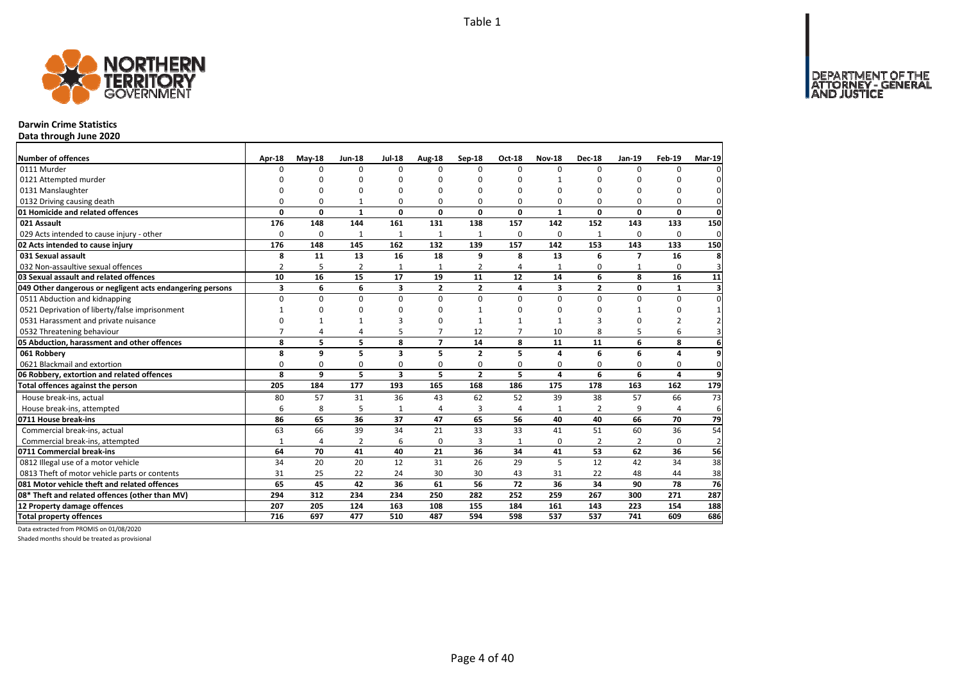DEPARTMENT OF THE<br>ATTORNEY - GENERAL



# **Darwin Crime Statistics**

**Data through June 2020**

| Number of offences                                        | Apr-18         | $May-18$     | <b>Jun-18</b>  | <b>Jul-18</b>           | Aug-18         | Sep-18         | Oct-18         | <b>Nov-18</b>  | <b>Dec-18</b>  | <b>Jan-19</b>           | Feb-19         | <b>Mar-19</b>           |
|-----------------------------------------------------------|----------------|--------------|----------------|-------------------------|----------------|----------------|----------------|----------------|----------------|-------------------------|----------------|-------------------------|
| 0111 Murder                                               | n              | $\Omega$     | $\Omega$       | $\Omega$                | 0              | $\Omega$       | $\Omega$       | $\Omega$       | $\Omega$       | $\Omega$                | $\Omega$       | 0                       |
| 0121 Attempted murder                                     |                | O            | ŋ              | O                       | ŋ              | n              | O              | 1              | O              | O                       |                | 0                       |
| 0131 Manslaughter                                         | $\Omega$       | O            | ŋ              | $\Omega$                | ŋ              | n              | O              | 0              | O              | $\Omega$                | $\Omega$       | $\mathbf 0$             |
| 0132 Driving causing death                                | 0              | 0            | 1              | 0                       | O              | $\Omega$       | 0              | 0              | 0              | 0                       | 0              | $\mathbf{0}$            |
| 01 Homicide and related offences                          | 0              | 0            | $\mathbf{1}$   | $\mathbf{0}$            | 0              | $\mathbf{0}$   | 0              | $\mathbf{1}$   | $\mathbf{0}$   | 0                       | $\mathbf{0}$   | $\mathbf{0}$            |
| 021 Assault                                               | 176            | 148          | 144            | 161                     | 131            | 138            | 157            | 142            | 152            | 143                     | 133            | 150                     |
| 029 Acts intended to cause injury - other                 | 0              | 0            | $\mathbf{1}$   | $\mathbf{1}$            | $\mathbf{1}$   | $\mathbf{1}$   | 0              | 0              | 1              | 0                       | 0              | $\mathbf 0$             |
| 02 Acts intended to cause injury                          | 176            | 148          | 145            | 162                     | 132            | 139            | 157            | 142            | 153            | 143                     | 133            | 150                     |
| 031 Sexual assault                                        | 8              | 11           | 13             | 16                      | 18             | 9              | 8              | 13             | 6              | $\overline{\mathbf{z}}$ | 16             | 8                       |
| 032 Non-assaultive sexual offences                        | $\overline{2}$ | 5            | $\overline{2}$ | $\mathbf{1}$            | $\mathbf{1}$   | $\overline{2}$ | 4              | 1              | $\Omega$       |                         | $\Omega$       | $\overline{3}$          |
| 03 Sexual assault and related offences                    | 10             | 16           | 15             | 17                      | 19             | 11             | 12             | 14             | 6              | 8                       | 16             | 11                      |
| 049 Other dangerous or negligent acts endangering persons | 3              | 6            | 6              | 3                       | $\overline{2}$ | $\mathbf{2}$   | 4              | 3              | $\overline{2}$ | 0                       | 1              | $\overline{\mathbf{3}}$ |
| 0511 Abduction and kidnapping                             | $\mathbf 0$    | 0            | $\mathbf 0$    | 0                       | $\Omega$       | $\Omega$       | $\Omega$       | 0              | 0              | 0                       | 0              | $\pmb{0}$               |
| 0521 Deprivation of liberty/false imprisonment            |                | $\Omega$     | 0              | $\Omega$                | O              |                | O              | 0              | 0              |                         | 0              | $\mathbf 1$             |
| 0531 Harassment and private nuisance                      | $\Omega$       | $\mathbf{1}$ | 1              | 3                       | ŋ              | $\mathbf{1}$   | 1              | $\mathbf{1}$   | 3              | 0                       | $\overline{2}$ | $\overline{2}$          |
| 0532 Threatening behaviour                                | $\overline{7}$ | 4            | 4              | 5                       | $\overline{7}$ | 12             | $\overline{7}$ | 10             | 8              | 5                       | 6              | $\overline{3}$          |
| 05 Abduction, harassment and other offences               | 8              | 5            | 5              | 8                       | $\overline{ }$ | 14             | 8              | 11             | 11             | 6                       | 8              | 6                       |
| 061 Robbery                                               | 8              | 9            | 5              | $\overline{\mathbf{3}}$ | 5              | $\overline{2}$ | 5              | 4              | 6              | 6                       | 4              | 9                       |
| 0621 Blackmail and extortion                              | 0              | 0            | 0              | $\mathbf 0$             | 0              | 0              | 0              | 0              | 0              | 0                       | $\mathbf 0$    | $\mathbf{0}$            |
| 06 Robbery, extortion and related offences                | 8              | 9            | 5              | $\overline{\mathbf{3}}$ | 5              | $\overline{2}$ | 5              | 4              | 6              | 6                       | 4              | 9                       |
| Total offences against the person                         | 205            | 184          | 177            | 193                     | 165            | 168            | 186            | 175            | 178            | 163                     | 162            | 179                     |
| House break-ins, actual                                   | 80             | 57           | 31             | 36                      | 43             | 62             | 52             | 39             | 38             | 57                      | 66             | 73                      |
| House break-ins, attempted                                | 6              | 8            | 5              | $\mathbf 1$             | Δ              | 3              | 4              | 1              | $\overline{2}$ | 9                       | 4              | 6                       |
| 0711 House break-ins                                      | 86             | 65           | 36             | 37                      | 47             | 65             | 56             | 40             | 40             | 66                      | 70             | 79                      |
| Commercial break-ins, actual                              | 63             | 66           | 39             | 34                      | 21             | 33             | 33             | 41             | 51             | 60                      | 36             | 54                      |
| Commercial break-ins, attempted                           | $\mathbf{1}$   | 4            | 2              | 6                       | 0              | 3              | 1              | 0              | 2              | 2                       | 0              | $\overline{2}$          |
| 0711 Commercial break-ins                                 | 64             | 70           | 41             | 40                      | 21             | 36             | 34             | 41             | 53             | 62                      | 36             | 56                      |
| 0812 Illegal use of a motor vehicle                       | 34             | 20           | 20             | 12                      | 31             | 26             | 29             | $\overline{5}$ | 12             | 42                      | 34             | 38                      |
| 0813 Theft of motor vehicle parts or contents             | 31             | 25           | 22             | 24                      | 30             | 30             | 43             | 31             | 22             | 48                      | 44             | 38                      |
| 081 Motor vehicle theft and related offences              | 65             | 45           | 42             | 36                      | 61             | 56             | 72             | 36             | 34             | 90                      | 78             | 76                      |
| 08* Theft and related offences (other than MV)            | 294            | 312          | 234            | 234                     | 250            | 282            | 252            | 259            | 267            | 300                     | 271            | 287                     |
| 12 Property damage offences                               | 207            | 205          | 124            | 163                     | 108            | 155            | 184            | 161            | 143            | 223                     | 154            | 188                     |
| <b>Total property offences</b>                            | 716            | 697          | 477            | 510                     | 487            | 594            | 598            | 537            | 537            | 741                     | 609            | 686                     |

Data extracted from PROMIS on 01/08/2020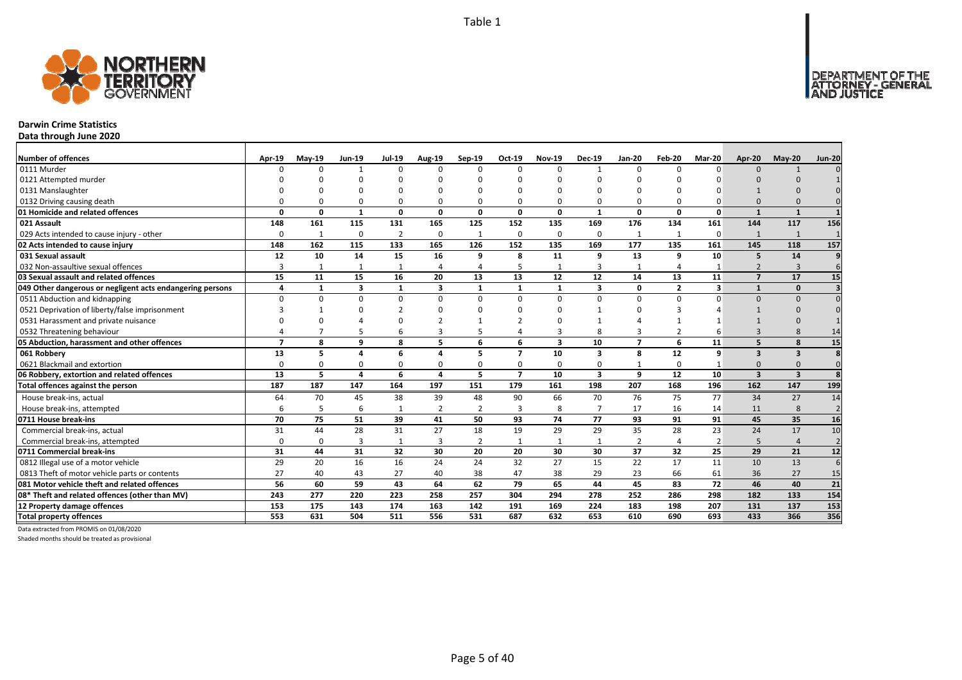

### **Darwin Crime Statistics**

**Data through June 2020**

| Number of offences                                        | Apr-19         | $May-19$     | <b>Jun-19</b> | <b>Jul-19</b>  | <b>Aug-19</b>  | Sep-19         | Oct-19         | <b>Nov-19</b> | <b>Dec-19</b>           | <b>Jan-20</b>  | Feb-20         | Mar-20   | Apr-20                   | $May-20$                | <b>Jun-20</b>   |
|-----------------------------------------------------------|----------------|--------------|---------------|----------------|----------------|----------------|----------------|---------------|-------------------------|----------------|----------------|----------|--------------------------|-------------------------|-----------------|
| 0111 Murder                                               |                | ŋ            |               | $\Omega$       | $\Omega$       | n              | <sup>n</sup>   | $\Omega$      | $\mathbf{1}$            | $\Omega$       | n              | $\Omega$ | $\Omega$                 |                         |                 |
| 0121 Attempted murder                                     |                |              |               |                |                |                |                |               |                         |                |                |          |                          |                         |                 |
| 0131 Manslaughter                                         |                |              |               |                |                |                |                |               |                         |                |                |          |                          |                         |                 |
| 0132 Driving causing death                                |                |              |               | $\Omega$       | 0              |                |                | $\Omega$      | 0                       | 0              |                |          | $\Omega$                 |                         |                 |
| 01 Homicide and related offences                          | $\Omega$       | 0            | 1             | 0              | 0              | $\Omega$       | 0              | $\Omega$      | $\mathbf{1}$            | 0              | $\Omega$       | 0        | $\mathbf{1}$             | $\mathbf{1}$            |                 |
| 021 Assault                                               | 148            | 161          | 115           | 131            | 165            | 125            | 152            | 135           | 169                     | 176            | 134            | 161      | 144                      | 117                     | 156             |
| 029 Acts intended to cause injury - other                 | $\Omega$       | $\mathbf{1}$ | $\Omega$      | $\overline{2}$ | 0              |                | 0              | $\Omega$      | 0                       | $\mathbf{1}$   | $\mathbf{1}$   | $\Omega$ | $\mathbf{1}$             | 1                       |                 |
| 02 Acts intended to cause injury                          | 148            | 162          | 115           | 133            | 165            | 126            | 152            | 135           | 169                     | 177            | 135            | 161      | 145                      | 118                     | 157             |
| 031 Sexual assault                                        | 12             | 10           | 14            | 15             | 16             | 9              | 8              | 11            | 9                       | 13             | q              | 10       | 5                        | 14                      |                 |
| 032 Non-assaultive sexual offences                        | 3              |              |               | $\overline{1}$ | $\overline{4}$ |                |                |               | 3                       | $\mathbf{1}$   |                |          | $\overline{\phantom{0}}$ | $\overline{3}$          | 6               |
| 03 Sexual assault and related offences                    | 15             | 11           | 15            | 16             | 20             | 13             | 13             | 12            | 12                      | 14             | 13             | 11       | $\overline{\phantom{a}}$ | 17                      | 15              |
| 049 Other dangerous or negligent acts endangering persons | 4              | $\mathbf{1}$ | 3             | 1              | 3              | 1              | $\mathbf{1}$   | 1             | 3                       | 0              | $\overline{2}$ | 3        | $\mathbf{1}$             | $\mathbf{0}$            |                 |
| 0511 Abduction and kidnapping                             | $\Omega$       | $\Omega$     | $\Omega$      | $\Omega$       | $\Omega$       | $\mathbf{0}$   | $\Omega$       | $\Omega$      | $\Omega$                | $\Omega$       | $\Omega$       | $\Omega$ | $\Omega$                 | $\Omega$                |                 |
| 0521 Deprivation of liberty/false imprisonment            |                |              |               |                | $\Omega$       |                |                | $\Omega$      |                         | U              |                |          |                          |                         |                 |
| 0531 Harassment and private nuisance                      |                |              |               |                |                |                |                |               |                         |                |                |          |                          |                         |                 |
| 0532 Threatening behaviour                                |                |              |               | 6              | 3              |                |                | 3             | 8                       | 3              | $\mathfrak{p}$ |          |                          |                         | 14              |
| 05 Abduction, harassment and other offences               | $\overline{ }$ | 8            | 9             | 8              | 5              | 6              | 6              | 3             | 10                      | $\overline{7}$ | 6              | 11       | 5                        | 8                       | 15              |
| 061 Robbery                                               | 13             | 5            | 4             | 6              | 4              | 5              | $\overline{7}$ | 10            | $\overline{\mathbf{3}}$ | 8              | 12             | 9        | $\overline{\mathbf{3}}$  | $\overline{\mathbf{3}}$ | 8               |
| 0621 Blackmail and extortion                              | $\Omega$       | 0            | $\Omega$      | $\Omega$       | 0              | $\Omega$       | $\Omega$       | $\Omega$      | 0                       | 1              | $\Omega$       |          | $\Omega$                 | $\Omega$                | $\Omega$        |
| 06 Robbery, extortion and related offences                | 13             | 5            | 4             | 6              | 4              | 5              | $\overline{7}$ | 10            | 3                       | 9              | 12             | 10       | $\overline{\mathbf{3}}$  | $\overline{\mathbf{3}}$ | 8               |
| Total offences against the person                         | 187            | 187          | 147           | 164            | 197            | 151            | 179            | 161           | 198                     | 207            | 168            | 196      | 162                      | 147                     | 199             |
| House break-ins, actual                                   | 64             | 70           | 45            | 38             | 39             | 48             | 90             | 66            | 70                      | 76             | 75             | 77       | 34                       | 27                      | 14              |
| House break-ins, attempted                                | 6              | 5            | 6             | $\overline{1}$ | $\overline{2}$ | $\overline{2}$ | 3              | 8             | $\overline{ }$          | 17             | 16             | 14       | 11                       | 8                       | $\overline{2}$  |
| 0711 House break-ins                                      | 70             | 75           | 51            | 39             | 41             | 50             | 93             | 74            | 77                      | 93             | 91             | 91       | 45                       | 35                      | 16              |
| Commercial break-ins, actual                              | 31             | 44           | 28            | 31             | 27             | 18             | 19             | 29            | 29                      | 35             | 28             | 23       | 24                       | 17                      | 10              |
| Commercial break-ins, attempted                           | $\Omega$       | 0            | 3             | $\mathbf{1}$   | 3              | 2              | 1              | $\mathbf{1}$  | 1                       | 2              | $\overline{4}$ | 2        | 5                        | $\overline{4}$          | $\overline{2}$  |
| 0711 Commercial break-ins                                 | 31             | 44           | 31            | 32             | 30             | 20             | 20             | 30            | 30                      | 37             | 32             | 25       | 29                       | 21                      | 12              |
| 0812 Illegal use of a motor vehicle                       | 29             | 20           | 16            | 16             | 24             | 24             | 32             | 27            | 15                      | 22             | 17             | 11       | 10                       | 13                      | 6               |
| 0813 Theft of motor vehicle parts or contents             | 27             | 40           | 43            | 27             | 40             | 38             | 47             | 38            | 29                      | 23             | 66             | 61       | 36                       | 27                      | 15              |
| 081 Motor vehicle theft and related offences              | 56             | 60           | 59            | 43             | 64             | 62             | 79             | 65            | 44                      | 45             | 83             | 72       | 46                       | 40                      | $\overline{21}$ |
| 08* Theft and related offences (other than MV)            | 243            | 277          | 220           | 223            | 258            | 257            | 304            | 294           | 278                     | 252            | 286            | 298      | 182                      | 133                     | 154             |
| 12 Property damage offences                               | 153            | 175          | 143           | 174            | 163            | 142            | 191            | 169           | 224                     | 183            | 198            | 207      | 131                      | 137                     | 153             |
| <b>Total property offences</b>                            | 553            | 631          | 504           | 511            | 556            | 531            | 687            | 632           | 653                     | 610            | 690            | 693      | 433                      | 366                     | 356             |

Data extracted from PROMIS on 01/08/2020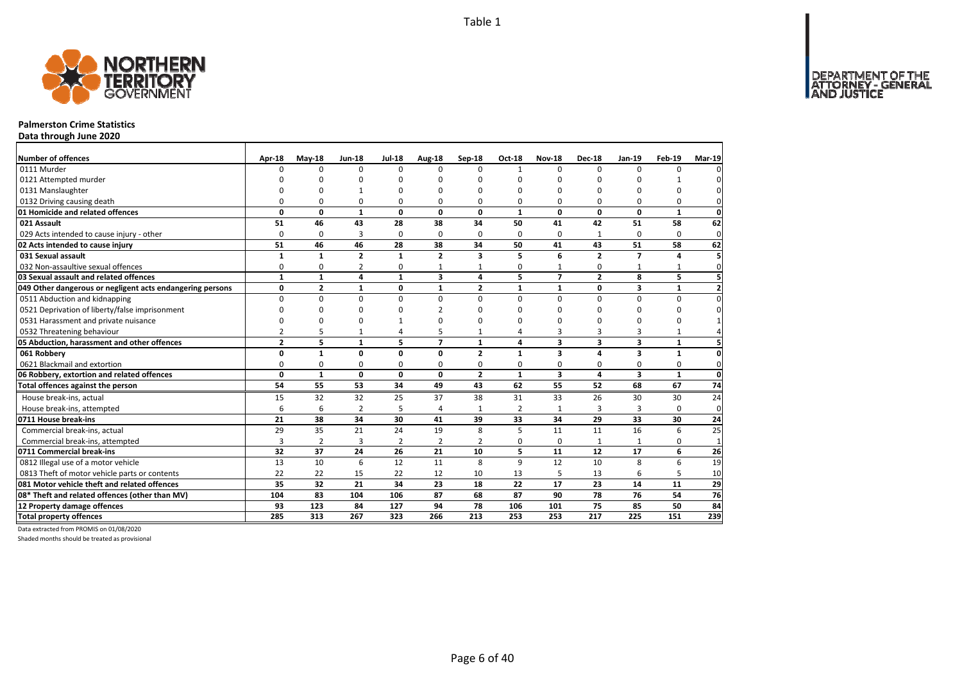

### **Palmerston Crime Statistics**

**Data through June 2020**

| <b>Number of offences</b>                                 | Apr-18         | $May-18$       | <b>Jun-18</b>  | <b>Jul-18</b> | Aug-18                  | Sep-18         | Oct-18       | <b>Nov-18</b>            | <b>Dec-18</b>           | Jan-19       | Feb-19       | <b>Mar-19</b>  |
|-----------------------------------------------------------|----------------|----------------|----------------|---------------|-------------------------|----------------|--------------|--------------------------|-------------------------|--------------|--------------|----------------|
| 0111 Murder                                               | n              | 0              | $\Omega$       | $\Omega$      | $\Omega$                | $\Omega$       | 1            | $\Omega$                 | $\Omega$                | $\Omega$     | O            |                |
| 0121 Attempted murder                                     |                | n              | n              | O             |                         | O              |              | ŋ                        | O                       |              |              |                |
| 0131 Manslaughter                                         |                | O              |                | $\Omega$      |                         | $\Omega$       | ŋ            | 0                        | $\Omega$                |              | 0            |                |
| 0132 Driving causing death                                | 0              | 0              | 0              | 0             | 0                       | 0              | 0            | 0                        | $\Omega$                | O            | 0            |                |
| 01 Homicide and related offences                          | 0              | $\mathbf 0$    | $\mathbf{1}$   | $\mathbf{0}$  | $\mathbf{0}$            | 0              | 1            | 0                        | $\mathbf 0$             | $\mathbf{0}$ | $\mathbf{1}$ | $\mathbf 0$    |
| 021 Assault                                               | 51             | 46             | 43             | 28            | 38                      | 34             | 50           | 41                       | 42                      | 51           | 58           | 62             |
| 029 Acts intended to cause injury - other                 | 0              | 0              | $\overline{3}$ | 0             | $\Omega$                | 0              | 0            | 0                        | 1                       | $\Omega$     | $\Omega$     | $\mathbf{0}$   |
| 02 Acts intended to cause injury                          | 51             | 46             | 46             | 28            | 38                      | 34             | 50           | 41                       | 43                      | 51           | 58           | 62             |
| 031 Sexual assault                                        | 1              | $\mathbf{1}$   | $\overline{2}$ | $\mathbf{1}$  | $\overline{2}$          | 3              | 5            | 6                        | $\overline{2}$          | 7            | Δ            |                |
| 032 Non-assaultive sexual offences                        | 0              | 0              | 2              | 0             |                         |                | 0            |                          | $\Omega$                |              |              | $\Omega$       |
| 03 Sexual assault and related offences                    | $\mathbf{1}$   | $\mathbf{1}$   | 4              | $\mathbf{1}$  | $\overline{\mathbf{3}}$ | 4              | 5            | $\overline{\phantom{a}}$ | $\overline{2}$          | 8            | 5            |                |
| 049 Other dangerous or negligent acts endangering persons | 0              | $\overline{2}$ | 1              | $\mathbf 0$   | 1                       | $\mathbf{2}$   | $\mathbf{1}$ | $\mathbf{1}$             | 0                       | 3            | 1            | $\overline{2}$ |
| 0511 Abduction and kidnapping                             | $\Omega$       | $\mathbf 0$    | $\mathbf 0$    | $\mathbf 0$   | $\Omega$                | $\Omega$       | $\Omega$     | $\Omega$                 | $\Omega$                | $\Omega$     | 0            | $\Omega$       |
| 0521 Deprivation of liberty/false imprisonment            | $\Omega$       | 0              | $\Omega$       | $\Omega$      |                         | $\Omega$       | ŋ            | ŋ                        | O                       | $\Omega$     | $\Omega$     |                |
| 0531 Harassment and private nuisance                      | 0              | 0              | 0              | 1             |                         | $\Omega$       | n            | O                        | O                       | O            | 0            |                |
| 0532 Threatening behaviour                                | $\overline{2}$ | 5              | $\mathbf{1}$   | 4             |                         |                | 4            | 3                        | 3                       | 3            | 1            |                |
| 05 Abduction, harassment and other offences               | $\overline{2}$ | 5              | $\mathbf{1}$   | 5             | $\overline{ }$          | $\mathbf{1}$   | 4            | $\overline{\mathbf{3}}$  | $\overline{\mathbf{3}}$ | 3            | $\mathbf{1}$ | 5              |
| 061 Robbery                                               | 0              | $\mathbf{1}$   | $\mathbf 0$    | $\mathbf 0$   | $\Omega$                | $\overline{2}$ | $\mathbf{1}$ | 3                        | $\overline{a}$          | 3            | $\mathbf{1}$ | $\mathbf{0}$   |
| 0621 Blackmail and extortion                              | 0              | 0              | 0              | 0             | $\Omega$                | 0              | 0            | 0                        | $\mathbf 0$             | $\Omega$     | $\mathbf 0$  | $\mathbf{0}$   |
| 06 Robbery, extortion and related offences                | $\mathbf{0}$   | $\mathbf{1}$   | $\mathbf 0$    | $\mathbf 0$   | 0                       | $\overline{2}$ | $\mathbf{1}$ | 3                        | $\overline{a}$          | 3            | $\mathbf{1}$ | $\mathbf 0$    |
| Total offences against the person                         | 54             | 55             | 53             | 34            | 49                      | 43             | 62           | 55                       | 52                      | 68           | 67           | 74             |
| House break-ins, actual                                   | 15             | 32             | 32             | 25            | 37                      | 38             | 31           | 33                       | 26                      | 30           | 30           | 24             |
| House break-ins, attempted                                | 6              | 6              | $\overline{2}$ | 5             | 4                       | 1              | 2            | 1                        | 3                       | 3            | $\Omega$     | $\mathbf 0$    |
| 0711 House break-ins                                      | 21             | 38             | 34             | 30            | 41                      | 39             | 33           | 34                       | 29                      | 33           | 30           | 24             |
| Commercial break-ins, actual                              | 29             | 35             | 21             | 24            | 19                      | 8              | 5            | 11                       | 11                      | 16           | 6            | 25             |
| Commercial break-ins, attempted                           | 3              | 2              | 3              | 2             | 2                       | 2              | 0            | $\Omega$                 | $\mathbf{1}$            | $\mathbf{1}$ | 0            | $\mathbf{1}$   |
| 0711 Commercial break-ins                                 | 32             | 37             | 24             | 26            | 21                      | 10             | 5            | 11                       | 12                      | 17           | 6            | 26             |
| 0812 Illegal use of a motor vehicle                       | 13             | 10             | 6              | 12            | 11                      | 8              | $\mathsf q$  | 12                       | 10                      | 8            | 6            | 19             |
| 0813 Theft of motor vehicle parts or contents             | 22             | 22             | 15             | 22            | 12                      | 10             | 13           | 5                        | 13                      | 6            | 5            | 10             |
| 081 Motor vehicle theft and related offences              | 35             | 32             | 21             | 34            | 23                      | 18             | 22           | 17                       | 23                      | 14           | 11           | 29             |
| 08* Theft and related offences (other than MV)            | 104            | 83             | 104            | 106           | 87                      | 68             | 87           | 90                       | 78                      | 76           | 54           | 76             |
| 12 Property damage offences                               | 93             | 123            | 84             | 127           | 94                      | 78             | 106          | 101                      | 75                      | 85           | 50           | 84             |
| <b>Total property offences</b>                            | 285            | 313            | 267            | 323           | 266                     | 213            | 253          | 253                      | 217                     | 225          | 151          | 239            |

Data extracted from PROMIS on 01/08/2020

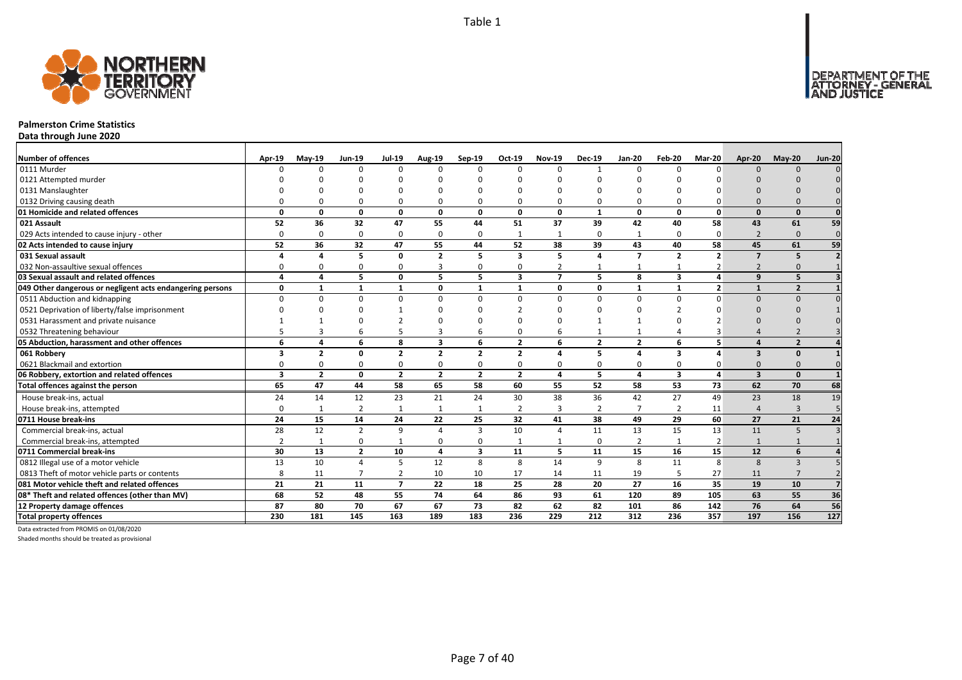

### **Palmerston Crime Statistics**

**Data through June 2020**

| <b>Number of offences</b>                                 | Apr-19   | <b>Mav-19</b>  | <b>Jun-19</b>  | <b>Jul-19</b>  | <b>Aug-19</b>  | Sep-19                  | Oct-19         | <b>Nov-19</b>  | <b>Dec-19</b>    | <b>Jan-20</b>  | Feb-20                  | Mar-20                | Apr-20                   | <b>Mav-20</b>  | <b>Jun-20</b>   |
|-----------------------------------------------------------|----------|----------------|----------------|----------------|----------------|-------------------------|----------------|----------------|------------------|----------------|-------------------------|-----------------------|--------------------------|----------------|-----------------|
| 0111 Murder                                               |          | $\Omega$       | $\Omega$       | $\Omega$       | $\Omega$       | $\Omega$                | $\Omega$       | $\Omega$       |                  | $\Omega$       |                         |                       | $\Omega$                 | $\Omega$       |                 |
| 0121 Attempted murder                                     |          |                |                |                |                |                         |                |                |                  |                |                         |                       |                          |                |                 |
| 0131 Manslaughter                                         |          |                |                |                |                |                         |                |                |                  | $\Omega$       |                         |                       |                          |                |                 |
| 0132 Driving causing death                                |          |                |                |                | $\Omega$       |                         |                |                | O                | $\Omega$       |                         |                       |                          |                |                 |
| 01 Homicide and related offences                          | $\Omega$ | 0              | $\Omega$       | 0              | 0              | $\Omega$                | 0              | $\Omega$       | $\mathbf{1}$     | 0              | 0                       | $\Omega$              | $\Omega$                 | $\Omega$       | $\mathbf{0}$    |
| 021 Assault                                               | 52       | 36             | 32             | 47             | 55             | 44                      | 51             | 37             | 39               | 42             | 40                      | 58                    | 43                       | 61             | 59              |
| 029 Acts intended to cause injury - other                 | $\Omega$ | $\Omega$       | $\Omega$       | $\Omega$       | $\mathbf 0$    | $\Omega$                | -1             |                | $\Omega$         | 1              | $\Omega$                | $\Omega$              | $\overline{2}$           | $\Omega$       | $\mathbf{0}$    |
| 02 Acts intended to cause injury                          | 52       | 36             | 32             | 47             | 55             | 44                      | 52             | 38             | 39               | 43             | 40                      | 58                    | 45                       | 61             | 59              |
| 031 Sexual assault                                        |          | Δ              | 5              | $\mathbf{0}$   | $\overline{2}$ | 5                       | 3              | 5              | $\Delta$         | $\overline{7}$ | $\overline{2}$          | $\overline{2}$        | $\overline{7}$           | 5              |                 |
| 032 Non-assaultive sexual offences                        | ۵        | O              | $\Omega$       | $\Omega$       | 3              | $\Omega$                | 0              | $\overline{2}$ |                  | 1              |                         |                       | $\overline{\phantom{0}}$ |                |                 |
| 03 Sexual assault and related offences                    | 4        | Δ              | 5.             | $\mathbf{0}$   | 5              | 5                       | 3              | $\overline{7}$ | 5                | 8              | $\overline{\mathbf{3}}$ | 4                     | 9                        | 5              |                 |
| 049 Other dangerous or negligent acts endangering persons | 0        | $\mathbf{1}$   | $\mathbf{1}$   | $\mathbf{1}$   | 0              | $\mathbf{1}$            | $\mathbf{1}$   | $\Omega$       | 0                | $\mathbf{1}$   | $\mathbf{1}$            | $\overline{2}$        |                          | $\overline{2}$ |                 |
| 0511 Abduction and kidnapping                             | $\Omega$ | $\Omega$       | $\Omega$       | $\Omega$       | $\mathbf 0$    | $\Omega$                | 0              | $\Omega$       | $\Omega$         | $\Omega$       | $\Omega$                | U                     | $\Omega$                 | $\Omega$       |                 |
| 0521 Deprivation of liberty/false imprisonment            |          |                |                |                | n              |                         |                |                |                  | ŋ              |                         |                       |                          |                |                 |
| 0531 Harassment and private nuisance                      |          |                |                |                | n              |                         |                |                |                  |                |                         |                       |                          |                |                 |
| 0532 Threatening behaviour                                |          |                |                |                | 3              | 6                       |                |                |                  | 1              |                         |                       |                          |                |                 |
| 05 Abduction, harassment and other offences               | 6        | Δ              | 6              | 8              | 3              | 6                       | $\overline{2}$ | 6              | $\overline{2}$   | $\overline{2}$ | 6                       | 5                     |                          | $\overline{2}$ |                 |
| 061 Robbery                                               | 3        | $\overline{2}$ | $\Omega$       | $\overline{2}$ | $\overline{2}$ | $\overline{2}$          | $\overline{2}$ | $\Delta$       | 5                | 4              | 3                       | Δ                     | $\mathbf{3}$             | $\Omega$       |                 |
| 0621 Blackmail and extortion                              |          | 0              | 0              | 0              | 0              | $\mathbf 0$             | 0              |                | 0                | 0              | 0                       |                       |                          |                |                 |
| 06 Robbery, extortion and related offences                | 3        | $\overline{2}$ | 0              | $\overline{2}$ | $\overline{2}$ | $\overline{2}$          | $\overline{2}$ | $\Delta$       | 5                | 4              | $\overline{\mathbf{3}}$ | Δ                     | $\mathbf{3}$             | $\Omega$       |                 |
| Total offences against the person                         | 65       | 47             | 44             | 58             | 65             | 58                      | 60             | 55             | 52               | 58             | 53                      | 73                    | 62                       | 70             | 68              |
| House break-ins, actual                                   | 24       | 14             | 12             | 23             | 21             | 24                      | 30             | 38             | 36               | 42             | 27                      | 49                    | 23                       | 18             | 19              |
| House break-ins, attempted                                | $\Omega$ | $\mathbf{1}$   | $\overline{2}$ | $\mathbf{1}$   | $\mathbf{1}$   |                         | $\overline{2}$ | $\overline{3}$ | $\overline{2}$   | $\overline{7}$ | $\overline{2}$          | 11                    | $\Delta$                 | $\overline{3}$ |                 |
| 0711 House break-ins                                      | 24       | 15             | 14             | 24             | 22             | 25                      | 32             | 41             | 38               | 49             | 29                      | 60                    | 27                       | 21             | 24              |
| Commercial break-ins, actual                              | 28       | 12             | $\overline{2}$ | 9              | 4              | 3                       | 10             |                | 11               | 13             | 15                      | 13                    | 11                       | -5             |                 |
| Commercial break-ins, attempted                           | 2        | -1             | O              | -1             | 0              | $\Omega$                |                |                | $\mathbf 0$      | 2              | 1                       | 2                     |                          |                |                 |
| 0711 Commercial break-ins                                 | 30       | 13             | $\overline{2}$ | 10             | $\overline{a}$ | $\overline{\mathbf{3}}$ | 11             | 5              | 11               | 15             | 16                      | 15                    | 12                       | 6              |                 |
| 0812 Illegal use of a motor vehicle                       | 13       | 10             | 4              | 5              | 12             | 8                       | 8              | 14             | 9                | 8              | 11                      | $\mathsf{\mathsf{R}}$ | 8                        | $\mathbf{3}$   |                 |
| 0813 Theft of motor vehicle parts or contents             | 8        | 11             | $\overline{7}$ | $\overline{2}$ | 10             | 10                      | 17             | 14             | 11               | 19             | 5                       | 27                    | 11                       |                |                 |
| 081 Motor vehicle theft and related offences              | 21       | 21             | 11             | $\overline{7}$ | 22             | 18                      | 25             | 28             | 20               | 27             | 16                      | 35                    | 19                       | 10             |                 |
| 08* Theft and related offences (other than MV)            | 68       | 52             | 48             | 55             | 74             | 64                      | 86             | 93             | 61               | 120            | 89                      | 105                   | 63                       | 55             | 36              |
| 12 Property damage offences                               | 87       | 80             | 70             | 67             | 67             | 73                      | 82             | 62             | 82               | 101            | 86                      | 142                   | 76                       | 64             | 56              |
| <b>Total property offences</b>                            | 230      | 181            | 145            | 163            | 189            | 183                     | 236            | 229            | $\overline{212}$ | 312            | 236                     | 357                   | 197                      | 156            | $\frac{127}{2}$ |

Data extracted from PROMIS on 01/08/2020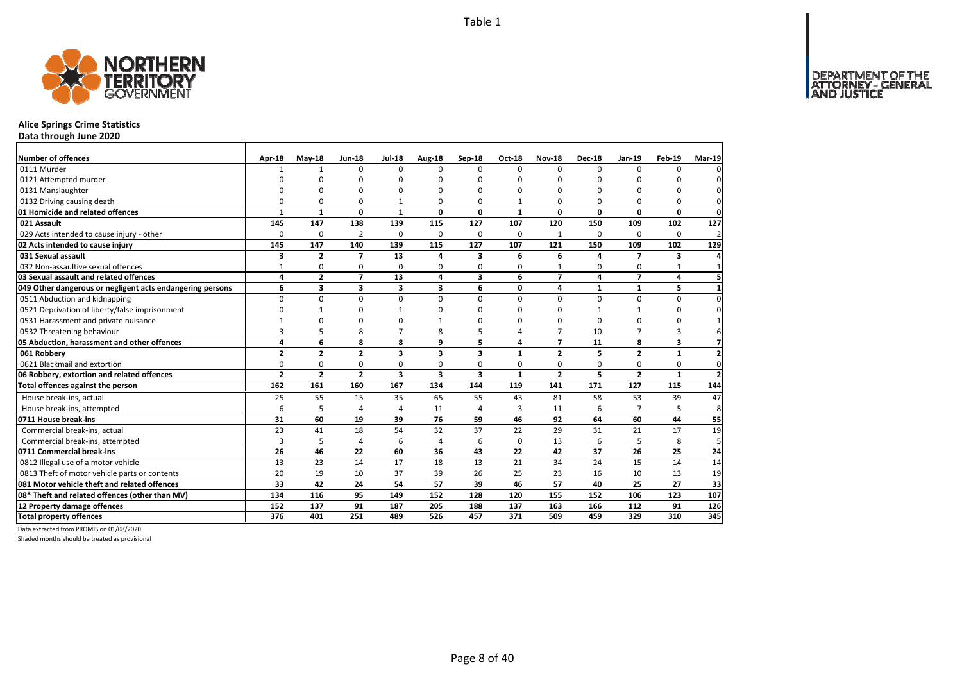DEPARTMENT OF THE<br>ATTORNEY - GENERAL



## **Alice Springs Crime Statistics**

**Data through June 2020**

| Number of offences<br>0111 Murder                                               | Apr-18            | $May-18$<br>1  | <b>Jun-18</b><br>$\Omega$ | <b>Jul-18</b><br>$\Omega$ | <b>Aug-18</b><br>$\Omega$ | Sep-18<br>O             | Oct-18<br>$\Omega$ | <b>Nov-18</b><br>$\Omega$ | <b>Dec-18</b><br>$\Omega$ | Jan-19<br>$\Omega$ | Feb-19<br><sup>0</sup> | <b>Mar-19</b>  |
|---------------------------------------------------------------------------------|-------------------|----------------|---------------------------|---------------------------|---------------------------|-------------------------|--------------------|---------------------------|---------------------------|--------------------|------------------------|----------------|
|                                                                                 |                   | ŋ              | $\Omega$                  | O                         | O                         | ŋ                       | O                  | O                         | $\Omega$                  | $\Omega$           |                        |                |
| 0121 Attempted murder                                                           |                   | ŋ              | 0                         | O                         |                           | ŋ                       | C                  | O                         | $\Omega$                  | $\Omega$           | O                      | O              |
| 0131 Manslaughter<br>0132 Driving causing death                                 | O                 | 0              | 0                         | 1                         | 0                         | 0                       | -1                 | 0                         | $\Omega$                  | $\Omega$           | 0                      | O              |
| 01 Homicide and related offences                                                | $\mathbf{1}$      | $\mathbf{1}$   | $\mathbf 0$               | $\mathbf{1}$              | 0                         | 0                       | $\mathbf{1}$       | 0                         | $\mathbf{0}$              | 0                  | $\mathbf{0}$           | $\mathbf 0$    |
| 021 Assault                                                                     | 145               | 147            | 138                       | 139                       | 115                       | 127                     | 107                | 120                       | 150                       | 109                | 102                    | 127            |
| 029 Acts intended to cause injury - other                                       | 0                 | 0              | 2                         | 0                         | 0                         | 0                       | 0                  | $\mathbf{1}$              | 0                         | $\Omega$           | 0                      | $\overline{2}$ |
| 02 Acts intended to cause injury                                                | 145               | 147            | 140                       | 139                       | 115                       | 127                     | 107                | 121                       | 150                       | 109                | 102                    | 129            |
| 031 Sexual assault                                                              |                   | $\overline{2}$ | $\overline{7}$            | 13                        | 4                         | 3                       | 6                  |                           | 4                         | $\overline{7}$     |                        |                |
| 032 Non-assaultive sexual offences                                              | 3                 | 0              | 0                         | $\Omega$                  | 0                         | 0                       | $\Omega$           | 6                         | $\Omega$                  | $\Omega$           | 3                      |                |
| 03 Sexual assault and related offences                                          | $\mathbf{1}$<br>4 | $\overline{2}$ | $\overline{7}$            | 13                        | 4                         | 3                       | 6                  | $\overline{\mathbf{z}}$   | 4                         | $\overline{7}$     | $\mathbf{1}$<br>4      |                |
|                                                                                 |                   |                |                           |                           |                           | 6                       |                    |                           |                           |                    |                        |                |
| 049 Other dangerous or negligent acts endangering persons                       | 6<br>$\Omega$     | 3              | 3                         | 3<br>$\mathbf 0$          | 3<br>$\Omega$             | $\Omega$                | 0<br>$\Omega$      | 4<br>0                    | $\mathbf{1}$<br>$\Omega$  | 1<br>$\Omega$      | 5                      | $\Omega$       |
| 0511 Abduction and kidnapping<br>0521 Deprivation of liberty/false imprisonment | O                 | 0<br>1         | 0<br>$\Omega$             | 1                         |                           | O                       | n                  | O                         | $\mathbf{1}$              |                    | 0                      |                |
|                                                                                 |                   | O              |                           |                           |                           | ŋ                       | n                  |                           |                           | $\Omega$           | 0                      |                |
| 0531 Harassment and private nuisance                                            |                   |                | 0                         | $\Omega$                  |                           |                         |                    | O                         | $\Omega$                  |                    | 0                      |                |
| 0532 Threatening behaviour                                                      | 3                 | 5              | 8                         | $\overline{7}$            | 8                         | 5                       | 4                  | 7                         | 10                        | $\overline{7}$     | 3                      |                |
| 05 Abduction, harassment and other offences                                     | 4                 | 6              | 8                         | 8                         | 9                         | 5                       | 4                  | $\overline{7}$            | 11                        | 8                  | 3                      |                |
| 061 Robbery                                                                     | $\overline{2}$    | $\overline{2}$ | $\overline{2}$            | $\overline{\mathbf{3}}$   | 3                         | 3                       | $\mathbf{1}$       | $\overline{2}$            | 5                         | $\overline{2}$     | $\mathbf{1}$           |                |
| 0621 Blackmail and extortion                                                    | $\Omega$          | 0              | 0                         | $\mathbf 0$               | 0                         | 0                       | 0                  | 0                         | $\Omega$                  | $\Omega$           | 0                      | $\mathbf 0$    |
| 06 Robbery, extortion and related offences                                      | $\overline{2}$    | $\overline{2}$ | $\overline{2}$            | $\overline{\mathbf{3}}$   | 3                         | $\overline{\mathbf{3}}$ | 1                  | $\overline{2}$            | 5                         | $\overline{2}$     | $\mathbf{1}$           | $\overline{2}$ |
| Total offences against the person                                               | 162               | 161            | 160                       | 167                       | 134                       | 144                     | 119                | 141                       | 171                       | 127                | 115                    | 144            |
| House break-ins, actual                                                         | 25                | 55             | 15                        | 35                        | 65                        | 55                      | 43                 | 81                        | 58                        | 53                 | 39                     | 47             |
| House break-ins, attempted                                                      | 6                 | 5              | $\overline{a}$            | 4                         | 11                        | 4                       | 3                  | 11                        | 6                         |                    | 5                      | 8              |
| 0711 House break-ins                                                            | 31                | 60             | 19                        | 39                        | 76                        | 59                      | 46                 | 92                        | 64                        | 60                 | 44                     | 55             |
| Commercial break-ins, actual                                                    | 23                | 41             | 18                        | 54                        | 32                        | 37                      | 22                 | 29                        | 31                        | 21                 | 17                     | 19             |
| Commercial break-ins, attempted                                                 | 3                 | 5              | 4                         | 6                         | 4                         | 6                       | 0                  | 13                        | 6                         | 5                  | 8                      | 5              |
| 0711 Commercial break-ins                                                       | 26                | 46             | 22                        | 60                        | 36                        | 43                      | 22                 | 42                        | 37                        | 26                 | 25                     | 24             |
| 0812 Illegal use of a motor vehicle                                             | 13                | 23             | 14                        | 17                        | 18                        | 13                      | 21                 | 34                        | 24                        | 15                 | 14                     | 14             |
| 0813 Theft of motor vehicle parts or contents                                   | 20                | 19             | 10                        | 37                        | 39                        | 26                      | 25                 | 23                        | 16                        | 10                 | 13                     | 19             |
| 081 Motor vehicle theft and related offences                                    | 33                | 42             | 24                        | 54                        | 57                        | 39                      | 46                 | 57                        | 40                        | 25                 | 27                     | 33             |
| 08* Theft and related offences (other than MV)                                  | 134               | 116            | 95                        | 149                       | 152                       | 128                     | 120                | 155                       | 152                       | 106                | 123                    | 107            |
| 12 Property damage offences                                                     | 152               | 137            | 91                        | 187                       | 205                       | 188                     | 137                | 163                       | 166                       | 112                | 91                     | 126            |
| <b>Total property offences</b>                                                  | 376               | 401            | 251                       | 489                       | 526                       | 457                     | 371                | 509                       | 459                       | 329                | 310                    | 345            |

Data extracted from PROMIS on 01/08/2020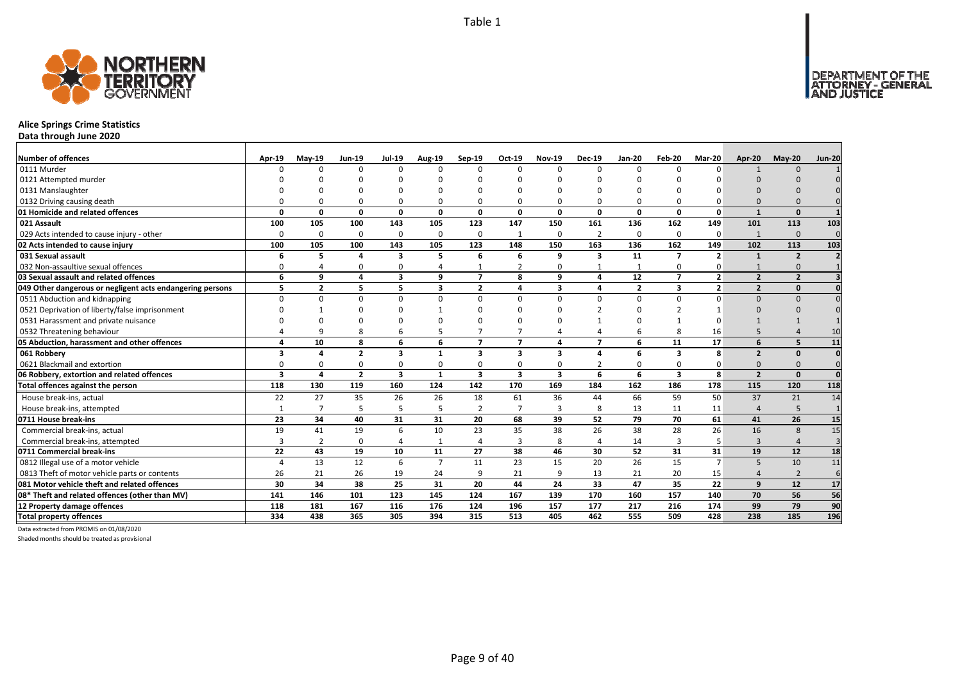

## **Alice Springs Crime Statistics**

**Data through June 2020**

| Number of offences                                        | Apr-19       | $May-19$       | <b>Jun-19</b>  | <b>Jul-19</b>           | <b>Aug-19</b>  | Sep-19                  | Oct-19                  | <b>Nov-19</b>           | <b>Dec-19</b>  | <b>Jan-20</b>   | Feb-20                   | Mar-20                  | Apr-20         | $May-20$                 | <b>Jun-20</b> |
|-----------------------------------------------------------|--------------|----------------|----------------|-------------------------|----------------|-------------------------|-------------------------|-------------------------|----------------|-----------------|--------------------------|-------------------------|----------------|--------------------------|---------------|
| 0111 Murder                                               | n            | $\Omega$       | $\Omega$       | O                       | 0              | $\Omega$                | $\Omega$                | n                       | $\Omega$       | $\Omega$        | n                        | U                       |                | $\cap$                   |               |
| 0121 Attempted murder                                     |              |                |                |                         |                |                         |                         |                         |                |                 |                          |                         |                |                          |               |
| 0131 Manslaughter                                         |              |                |                |                         |                |                         |                         |                         |                |                 |                          |                         |                |                          |               |
| 0132 Driving causing death                                |              |                |                | ŋ                       | 0              |                         |                         |                         | $\Omega$       | $\Omega$        |                          |                         |                |                          |               |
| 01 Homicide and related offences                          | $\Omega$     | O              | $\Omega$       | 0                       | $\mathbf 0$    | 0                       | $\Omega$                | $\Omega$                | 0              | 0               | $\Omega$                 | $\Omega$                | $\mathbf{1}$   | $\Omega$                 |               |
| 021 Assault                                               | 100          | 105            | 100            | 143                     | 105            | 123                     | 147                     | 150                     | 161            | 136             | 162                      | 149                     | 101            | 113                      | 103           |
| 029 Acts intended to cause injury - other                 | 0            | 0              | $\Omega$       | 0                       | 0              | $\mathbf 0$             | -1                      | $\Omega$                | $\overline{2}$ | $\mathbf 0$     | $\mathbf 0$              | $\Omega$                |                | $\mathbf 0$              | $\Omega$      |
| 02 Acts intended to cause injury                          | 100          | 105            | 100            | 143                     | 105            | 123                     | 148                     | 150                     | 163            | 136             | 162                      | 149                     | 102            | 113                      | 103           |
| 031 Sexual assault                                        | 6            | 5              |                | 3                       | 5              | 6                       | 6                       | q                       | 3              | 11              | $\overline{\phantom{a}}$ | $\overline{\mathbf{z}}$ |                | $\overline{2}$           |               |
| 032 Non-assaultive sexual offences                        | 0            |                | $\Omega$       | 0                       |                |                         |                         |                         |                | $\mathbf{1}$    | 0                        |                         |                |                          |               |
| 03 Sexual assault and related offences                    | 6            | q              | 4              | $\overline{\mathbf{3}}$ | 9              | $\overline{ }$          | 8                       | q                       | $\Delta$       | $\overline{12}$ | $\overline{ }$           | $\overline{2}$          | $\overline{2}$ | $\overline{\phantom{a}}$ |               |
| 049 Other dangerous or negligent acts endangering persons | 5            | $\overline{2}$ | 5              | 5                       | 3              | $\overline{2}$          | 4                       | $\overline{\mathbf{3}}$ | $\overline{a}$ | $\overline{2}$  | 3                        | $\overline{2}$          | $\overline{2}$ | $\Omega$                 |               |
| 0511 Abduction and kidnapping                             | <sup>0</sup> | $\Omega$       | $\Omega$       | $\Omega$                | 0              | $\Omega$                | <sup>0</sup>            | $\Omega$                | $\Omega$       | 0               | $\Omega$                 | U                       | $\Omega$       | $\Omega$                 |               |
| 0521 Deprivation of liberty/false imprisonment            |              |                |                |                         |                | ŋ                       |                         |                         |                | U               |                          |                         |                |                          |               |
| 0531 Harassment and private nuisance                      |              |                |                |                         |                |                         |                         |                         |                |                 |                          |                         |                |                          |               |
| 0532 Threatening behaviour                                |              | q              | 8              | 6                       | 5              |                         |                         |                         |                | 6               | 8                        | 16                      |                |                          | 10            |
| 05 Abduction, harassment and other offences               |              | 10             | 8              | 6                       | 6              | $\overline{ }$          | $\overline{7}$          | $\Delta$                | $\overline{ }$ | 6               | 11                       | 17                      | 6              | 5                        | 11            |
| 061 Robbery                                               | 3            | 4              | $\overline{2}$ | $\overline{\mathbf{3}}$ | 1              | $\overline{\mathbf{3}}$ | $\overline{\mathbf{3}}$ | $\overline{\mathbf{3}}$ | $\Delta$       | 6               | $\overline{\mathbf{3}}$  | 8                       | $\overline{2}$ | $\Omega$                 | $\Omega$      |
| 0621 Blackmail and extortion                              | 0            | 0              | $\Omega$       | 0                       | $\Omega$       | $\Omega$                | 0                       | $\Omega$                | $\overline{2}$ | $\Omega$        | $\Omega$                 |                         | $\Omega$       | $\Omega$                 | $\Omega$      |
| 06 Robbery, extortion and related offences                | 3            | 4              | $\overline{2}$ | 3                       | $\mathbf{1}$   | $\overline{\mathbf{3}}$ | $\overline{\mathbf{3}}$ | $\overline{\mathbf{3}}$ | 6              | 6               | $\overline{\mathbf{3}}$  | 8                       | $\overline{2}$ | $\mathbf{0}$             | $\mathbf{0}$  |
| Total offences against the person                         | 118          | 130            | 119            | 160                     | 124            | 142                     | 170                     | 169                     | 184            | 162             | 186                      | 178                     | 115            | 120                      | 118           |
| House break-ins, actual                                   | 22           | 27             | 35             | 26                      | 26             | 18                      | 61                      | 36                      | 44             | 66              | 59                       | 50                      | 37             | 21                       | 14            |
| House break-ins, attempted                                |              | $\overline{7}$ | 5              | 5                       | 5              | $\overline{2}$          | $\overline{7}$          | 3                       | 8              | 13              | 11                       | 11                      | $\Delta$       | 5                        | $\mathbf{1}$  |
| 0711 House break-ins                                      | 23           | 34             | 40             | 31                      | 31             | 20                      | 68                      | 39                      | 52             | 79              | 70                       | 61                      | 41             | 26                       | 15            |
| Commercial break-ins, actual                              | 19           | 41             | 19             | 6                       | 10             | 23                      | 35                      | 38                      | 26             | 38              | 28                       | 26                      | 16             | 8                        | 15            |
| Commercial break-ins, attempted                           | З            | 2              | $\Omega$       | 4                       | 1              | 4                       | 3                       | 8                       | $\Delta$       | 14              | 3                        | 5                       | $\mathbf{3}$   |                          |               |
| 0711 Commercial break-ins                                 | 22           | 43             | 19             | 10                      | 11             | 27                      | 38                      | 46                      | 30             | $\overline{52}$ | 31                       | 31                      | 19             | 12                       | 18            |
| 0812 Illegal use of a motor vehicle                       | Δ            | 13             | 12             | 6                       | $\overline{7}$ | 11                      | 23                      | 15                      | 20             | 26              | 15                       | $\overline{7}$          | 5              | 10                       | 11            |
| 0813 Theft of motor vehicle parts or contents             | 26           | 21             | 26             | 19                      | 24             | 9                       | 21                      | q                       | 13             | 21              | 20                       | 15                      | $\Delta$       | $\overline{2}$           | 6             |
| 081 Motor vehicle theft and related offences              | 30           | 34             | 38             | 25                      | 31             | 20                      | 44                      | 24                      | 33             | 47              | 35                       | 22                      | $\mathbf{q}$   | 12                       | 17            |
| 08* Theft and related offences (other than MV)            | 141          | 146            | 101            | 123                     | 145            | 124                     | 167                     | 139                     | 170            | 160             | 157                      | 140                     | 70             | 56                       | 56            |
| 12 Property damage offences                               | 118          | 181            | 167            | 116                     | 176            | 124                     | 196                     | 157                     | 177            | 217             | 216                      | 174                     | 99             | 79                       | 90            |
| <b>Total property offences</b>                            | 334          | 438            | 365            | 305                     | 394            | 315                     | 513                     | 405                     | 462            | 555             | 509                      | 428                     | 238            | 185                      | 196           |

Data extracted from PROMIS on 01/08/2020

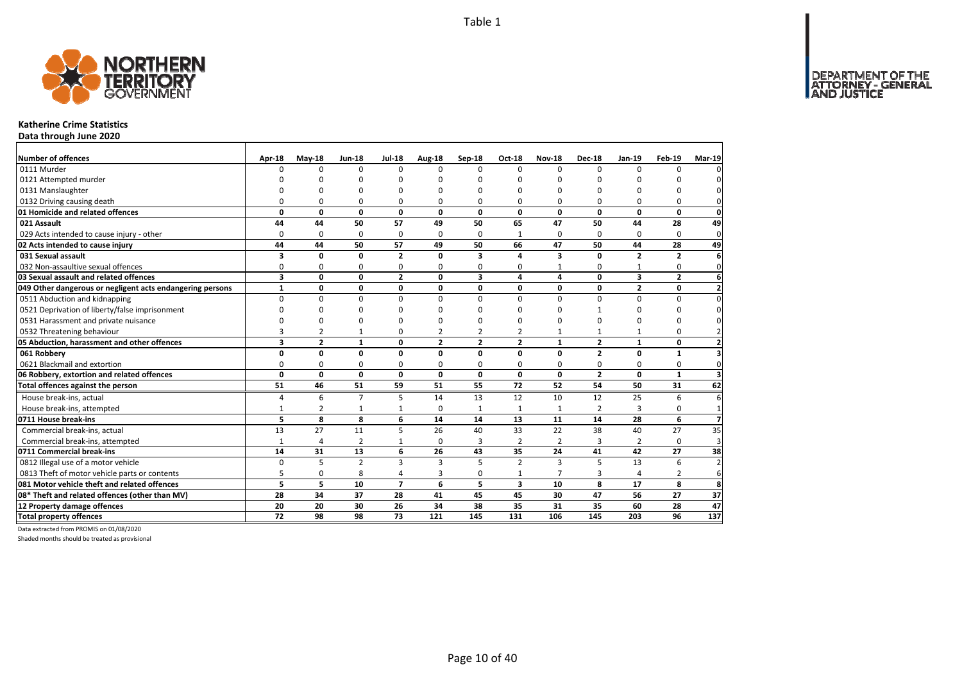DEPARTMENT OF THE<br>ATTORNEY - GENERAL



### **Katherine Crime Statistics**

**Data through June 2020**

| Number of offences                                        | <b>Apr-18</b> | $May-18$       | <b>Jun-18</b>  | <b>Jul-18</b>   | <b>Aug-18</b>  | Sep-18         | <b>Oct-18</b>           | <b>Nov-18</b>  | <b>Dec-18</b>  | Jan-19         | $Feb-19$       | <b>Mar-19</b>  |
|-----------------------------------------------------------|---------------|----------------|----------------|-----------------|----------------|----------------|-------------------------|----------------|----------------|----------------|----------------|----------------|
| 0111 Murder                                               | $\Omega$      | $\Omega$       | $\Omega$       | $\Omega$        | <sup>n</sup>   | 0              | $\Omega$                | $\Omega$       | $\Omega$       | $\Omega$       | $\Omega$       |                |
| 0121 Attempted murder                                     |               |                | ŋ              | $\Omega$        |                | O              |                         | n              |                |                |                |                |
| 0131 Manslaughter                                         |               |                | $\Omega$       | $\Omega$        |                | O              | n                       | O              |                | ŋ              | n              |                |
| 0132 Driving causing death                                | $\Omega$      | $\Omega$       | 0              | $\Omega$        | $\Omega$       | O              | $\Omega$                | $\Omega$       | $\Omega$       | $\Omega$       | 0              |                |
| 01 Homicide and related offences                          | 0             | 0              | 0              | $\mathbf 0$     | 0              | 0              | 0                       | 0              | $\mathbf{0}$   | 0              | 0              | $\Omega$       |
| 021 Assault                                               | 44            | 44             | 50             | 57              | 49             | 50             | 65                      | 47             | 50             | 44             | 28             | 49             |
| 029 Acts intended to cause injury - other                 | $\Omega$      | 0              | 0              | $\Omega$        | $\Omega$       | 0              | $\mathbf{1}$            | $\Omega$       | $\Omega$       | $\Omega$       | $\Omega$       | $\mathbf 0$    |
| 02 Acts intended to cause injury                          | 44            | 44             | 50             | 57              | 49             | 50             | 66                      | 47             | 50             | 44             | 28             | 49             |
| 031 Sexual assault                                        | 3             | 0              | 0              | $\overline{2}$  | $\Omega$       | 3              | 4                       | 3              | $\Omega$       | $\overline{2}$ | $\overline{2}$ |                |
| 032 Non-assaultive sexual offences                        | 0             | 0              | 0              | $\Omega$        | 0              | 0              | 0                       | $\mathbf{1}$   | $\Omega$       | 1              | 0              | $\Omega$       |
| 03 Sexual assault and related offences                    | 3             | 0              | $\mathbf 0$    | $\overline{2}$  | 0              | 3              | 4                       | 4              | 0              | 3              | $\overline{2}$ | 6              |
| 049 Other dangerous or negligent acts endangering persons | $\mathbf{1}$  | 0              | 0              | 0               | 0              | 0              | 0                       | 0              | 0              | $\overline{2}$ | 0              | $\overline{2}$ |
| 0511 Abduction and kidnapping                             | $\Omega$      | $\Omega$       | $\Omega$       | $\Omega$        | 0              | $\Omega$       | $\Omega$                | $\Omega$       | $\Omega$       | $\Omega$       | 0              |                |
| 0521 Deprivation of liberty/false imprisonment            | $\Omega$      | U              | $\Omega$       | $\Omega$        |                | O              | n                       | O              |                | ŋ              | U              |                |
| 0531 Harassment and private nuisance                      | $\Omega$      | $\Omega$       | $\Omega$       | n               | n              | O              | n                       | $\Omega$       | $\Omega$       | ŋ              | 0              |                |
| 0532 Threatening behaviour                                | 3             | $\overline{2}$ | $\mathbf{1}$   | 0               | $\overline{2}$ | $\overline{2}$ | $\overline{2}$          | 1              | $\mathbf{1}$   | 1              | 0              |                |
| 05 Abduction, harassment and other offences               | 3             | $\overline{2}$ | $\mathbf{1}$   | $\mathbf 0$     | $\overline{2}$ | $\overline{2}$ | $\overline{2}$          | $\mathbf{1}$   | $\overline{2}$ | $\mathbf{1}$   | 0              |                |
| 061 Robbery                                               | 0             | 0              | 0              | $\mathbf 0$     | $\Omega$       | 0              | $\Omega$                | 0              | $\overline{2}$ | 0              | $\mathbf{1}$   |                |
| 0621 Blackmail and extortion                              | 0             | 0              | 0              | 0               | 0              | 0              | 0                       | 0              | 0              | 0              | 0              | $\Omega$       |
| 06 Robbery, extortion and related offences                | $\mathbf{0}$  | $\mathbf{0}$   | $\mathbf{0}$   | $\mathbf 0$     | 0              | 0              | 0                       | $\mathbf{0}$   | $\overline{2}$ | 0              | $\mathbf{1}$   | $\overline{3}$ |
| Total offences against the person                         | 51            | 46             | 51             | 59              | 51             | 55             | 72                      | 52             | 54             | 50             | 31             | 62             |
| House break-ins, actual                                   | 4             | 6              | $\overline{7}$ | 5               | 14             | 13             | 12                      | 10             | 12             | 25             | 6              | 6              |
| House break-ins, attempted                                | $\mathbf{1}$  | $\overline{2}$ | $\mathbf{1}$   | $\mathbf{1}$    | $\Omega$       | $\mathbf{1}$   | $\mathbf{1}$            | $\mathbf{1}$   | $\overline{2}$ | 3              | 0              | $\mathbf{1}$   |
| 0711 House break-ins                                      | 5             | 8              | 8              | 6               | 14             | 14             | 13                      | 11             | 14             | 28             | 6              |                |
| Commercial break-ins, actual                              | 13            | 27             | 11             | 5               | 26             | 40             | 33                      | 22             | 38             | 40             | 27             | 35             |
| Commercial break-ins, attempted                           | $\mathbf{1}$  | 4              | $\overline{2}$ | 1               | $\Omega$       | 3              | $\overline{2}$          | $\overline{2}$ | 3              | $\overline{2}$ | 0              | 3              |
| 0711 Commercial break-ins                                 | 14            | 31             | 13             | 6               | 26             | 43             | 35                      | 24             | 41             | 42             | 27             | 38             |
| 0812 Illegal use of a motor vehicle                       | 0             | 5              | $\overline{2}$ | $\overline{3}$  | 3              | 5              | $\overline{2}$          | 3              | 5              | 13             | 6              | $\overline{a}$ |
| 0813 Theft of motor vehicle parts or contents             | 5             | 0              | 8              | 4               | 3              | 0              | $\mathbf{1}$            | $\overline{7}$ | 3              | 4              | 2              | 6              |
| 081 Motor vehicle theft and related offences              | 5             | 5              | 10             | $\overline{7}$  | 6              | 5              | $\overline{\mathbf{3}}$ | 10             | 8              | 17             | 8              | 8              |
| 08* Theft and related offences (other than MV)            | 28            | 34             | 37             | 28              | 41             | 45             | 45                      | 30             | 47             | 56             | 27             | 37             |
| 12 Property damage offences                               | 20            | 20             | 30             | 26              | 34             | 38             | 35                      | 31             | 35             | 60             | 28             | 47             |
| <b>Total property offences</b>                            | 72            | 98             | 98             | $\overline{73}$ | 121            | 145            | 131                     | 106            | 145            | 203            | 96             | 137            |

Data extracted from PROMIS on 01/08/2020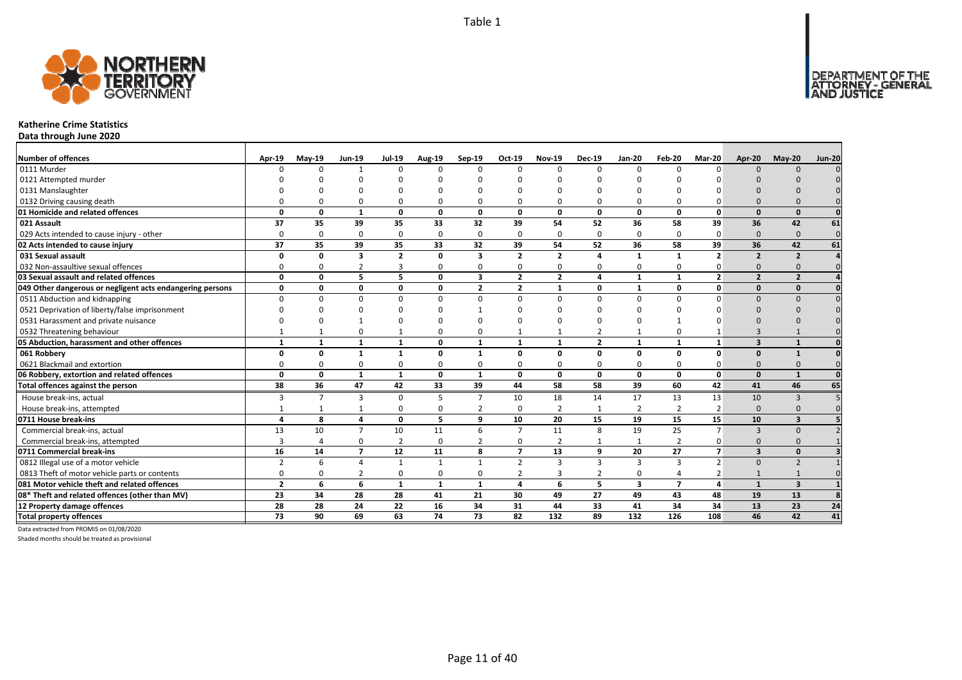

### **Katherine Crime Statistics**

**Data through June 2020**

| <b>Number of offences</b>                                 | Apr-19         | $Mav-19$       | <b>Jun-19</b>            | <b>Jul-19</b>  | <b>Aug-19</b> | Sep-19                  | Oct-19         | <b>Nov-19</b>           | <b>Dec-19</b>           | <b>Jan-20</b>           | Feb-20         | Mar-20                  | Apr-20                   | $May-20$                 | <b>Jun-20</b> |
|-----------------------------------------------------------|----------------|----------------|--------------------------|----------------|---------------|-------------------------|----------------|-------------------------|-------------------------|-------------------------|----------------|-------------------------|--------------------------|--------------------------|---------------|
| 0111 Murder                                               |                | $\Omega$       |                          | $\Omega$       | $\Omega$      | n                       | <sup>n</sup>   | $\Omega$                | $\Omega$                | $\Omega$                | $\Omega$       | n                       | $\Omega$                 | $\Omega$                 |               |
| 0121 Attempted murder                                     |                |                |                          |                |               |                         |                |                         |                         |                         |                |                         |                          |                          |               |
| 0131 Manslaughter                                         |                |                |                          |                |               |                         |                |                         |                         |                         |                |                         |                          |                          |               |
| 0132 Driving causing death                                |                |                |                          | $\Omega$       | 0             |                         |                | <sup>0</sup>            | 0                       | 0                       |                |                         | $\Omega$                 |                          |               |
| 01 Homicide and related offences                          | $\Omega$       | 0              | 1                        | $\mathbf 0$    | 0             | $\Omega$                | $\Omega$       | $\Omega$                | $\mathbf{0}$            | $\mathbf 0$             | $\Omega$       | $\Omega$                | $\Omega$                 | $\Omega$                 |               |
| 021 Assault                                               | 37             | 35             | 39                       | 35             | 33            | 32                      | 39             | 54                      | 52                      | 36                      | 58             | 39                      | 36                       | 42                       | 61            |
| 029 Acts intended to cause injury - other                 | $\Omega$       | $\Omega$       | $\Omega$                 | $\mathbf 0$    | $\mathbf 0$   | $\Omega$                | $\Omega$       | $\Omega$                | $\mathbf 0$             | 0                       | $\Omega$       | $\Omega$                | $\Omega$                 | $\Omega$                 | $\mathbf 0$   |
| 02 Acts intended to cause injury                          | 37             | 35             | 39                       | 35             | 33            | 32                      | 39             | 54                      | 52                      | 36                      | 58             | 39                      | 36                       | 42                       | 61            |
| 031 Sexual assault                                        | n              | 0              | 3                        | $\overline{2}$ | 0             | 3                       | $\overline{2}$ | $\overline{\mathbf{z}}$ | 4                       | $\mathbf{1}$            |                | $\overline{\mathbf{z}}$ | $\overline{2}$           | $\overline{2}$           |               |
| 032 Non-assaultive sexual offences                        | O              | O              | $\overline{2}$           | 3              | 0             | 0                       | n              | $\Omega$                | 0                       | 0                       |                |                         | $\Omega$                 |                          |               |
| 03 Sexual assault and related offences                    | $\Omega$       | $\Omega$       | 5.                       | 5              | 0             | $\overline{\mathbf{3}}$ | $\overline{2}$ | $\overline{2}$          | $\overline{a}$          | $\mathbf{1}$            | $\mathbf{1}$   | $\overline{2}$          | $\overline{\phantom{a}}$ | $\overline{2}$           |               |
| 049 Other dangerous or negligent acts endangering persons | $\Omega$       | 0              | $\Omega$                 | $\mathbf 0$    | 0             | $\overline{2}$          | $\overline{2}$ | -1                      | $\mathbf 0$             | $\mathbf{1}$            | 0              | 0                       | $\Omega$                 | $\Omega$                 |               |
| 0511 Abduction and kidnapping                             | $\Omega$       | $\Omega$       | $\Omega$                 | $\Omega$       | $\Omega$      | $\Omega$                | $\Omega$       | $\Omega$                | $\Omega$                | $\Omega$                | $\Omega$       | $\Omega$                | $\Omega$                 | $\Omega$                 |               |
| 0521 Deprivation of liberty/false imprisonment            |                |                |                          |                | ŋ             |                         |                |                         |                         | U                       |                |                         |                          |                          |               |
| 0531 Harassment and private nuisance                      |                |                |                          |                | O             |                         |                |                         |                         | O                       |                |                         |                          |                          |               |
| 0532 Threatening behaviour                                |                |                | n                        |                | $\mathbf 0$   | $\Omega$                |                |                         | $\overline{2}$          | $\mathbf{1}$            | $\Omega$       |                         |                          |                          |               |
| 05 Abduction, harassment and other offences               | 1              | $\mathbf{1}$   | $\mathbf{1}$             | $\mathbf{1}$   | 0             | 1                       | $\mathbf{1}$   | $\mathbf{1}$            | $\overline{\mathbf{2}}$ | $\mathbf{1}$            | $\mathbf{1}$   | $\mathbf{1}$            | $\overline{\mathbf{3}}$  | $\mathbf{1}$             |               |
| 061 Robbery                                               | $\Omega$       | 0              | $\mathbf{1}$             | $\mathbf{1}$   | 0             | $\mathbf{1}$            | 0              | 0                       | $\mathbf{0}$            | $\mathbf{0}$            | 0              | 0                       | $\Omega$                 | $\mathbf{1}$             |               |
| 0621 Blackmail and extortion                              | ∩              | 0              | $\Omega$                 | $\Omega$       | 0             | $\Omega$                | ŋ              | $\Omega$                | $\Omega$                | 0                       | $\Omega$       | 0                       | $\Omega$                 | $\Omega$                 |               |
| 06 Robbery, extortion and related offences                | $\Omega$       | $\mathbf 0$    | 1                        | $\mathbf{1}$   | 0             | $\mathbf{1}$            | 0              | 0                       | $\mathbf{0}$            | $\mathbf{0}$            | 0              | $\mathbf{0}$            | $\Omega$                 | $\mathbf{1}$             | $\mathbf{0}$  |
| Total offences against the person                         | 38             | 36             | 47                       | 42             | 33            | 39                      | 44             | 58                      | 58                      | 39                      | 60             | 42                      | 41                       | 46                       | 65            |
| House break-ins, actual                                   | 3              | $\overline{7}$ | 3                        | $\Omega$       | 5             | $\overline{ }$          | 10             | 18                      | 14                      | 17                      | 13             | 13                      | 10                       | $\mathbf{B}$             |               |
| House break-ins, attempted                                |                |                |                          | $\Omega$       | $\mathbf 0$   | $\overline{2}$          | $\Omega$       | $\overline{2}$          | 1                       | $\overline{2}$          | $\overline{2}$ | $\overline{2}$          | $\Omega$                 | $\Omega$                 |               |
| 0711 House break-ins                                      | $\mathbf{a}$   | 8              | 4                        | $\mathbf{0}$   | 5.            | 9                       | 10             | 20                      | 15                      | 19                      | 15             | 15                      | 10                       | $\overline{\mathbf{3}}$  |               |
| Commercial break-ins, actual                              | 13             | 10             | $\overline{7}$           | 10             | 11            | 6                       | $\overline{7}$ | 11                      | 8                       | 19                      | 25             | $\overline{7}$          | $\overline{3}$           | $\Omega$                 |               |
| Commercial break-ins, attempted                           |                |                | $\Omega$                 | $\overline{2}$ | 0             | $\overline{2}$          | <sup>0</sup>   | $\overline{2}$          | $\mathbf{1}$            | 1                       | $\overline{2}$ | 0                       | $\Omega$                 | $\Omega$                 |               |
| 0711 Commercial break-ins                                 | 16             | 14             | $\overline{\phantom{a}}$ | 12             | 11            | 8                       | $\overline{ }$ | 13                      | 9                       | 20                      | 27             | $\overline{7}$          | $\overline{3}$           | $\Omega$                 |               |
| 0812 Illegal use of a motor vehicle                       | $\overline{2}$ | 6              | $\Lambda$                | 1              | $\mathbf{1}$  | 1                       | $\overline{2}$ | 3                       | $\overline{3}$          | 3                       | 3              | $\overline{2}$          | $\Omega$                 | $\overline{\phantom{0}}$ |               |
| 0813 Theft of motor vehicle parts or contents             | $\Omega$       | <sup>0</sup>   | 2                        | 0              | 0             | $\Omega$                |                | 3                       | $\overline{2}$          | 0                       | 4              |                         |                          |                          |               |
| 081 Motor vehicle theft and related offences              | $\overline{2}$ | 6              | 6                        | 1              | $\mathbf{1}$  | 1                       | 4              | 6                       | 5                       | $\overline{\mathbf{3}}$ | $\overline{7}$ | 4                       | $\mathbf{1}$             | $\overline{\mathbf{3}}$  |               |
| 08* Theft and related offences (other than MV)            | 23             | 34             | 28                       | 28             | 41            | 21                      | 30             | 49                      | 27                      | 49                      | 43             | 48                      | 19                       | 13                       |               |
| 12 Property damage offences                               | 28             | 28             | 24                       | 22             | 16            | 34                      | 31             | 44                      | 33                      | 41                      | 34             | 34                      | 13                       | 23                       | 24            |
| <b>Total property offences</b>                            | 73             | 90             | 69                       | 63             | 74            | 73                      | 82             | 132                     | 89                      | 132                     | 126            | 108                     | 46                       | 42                       | 41            |

Data extracted from PROMIS on 01/08/2020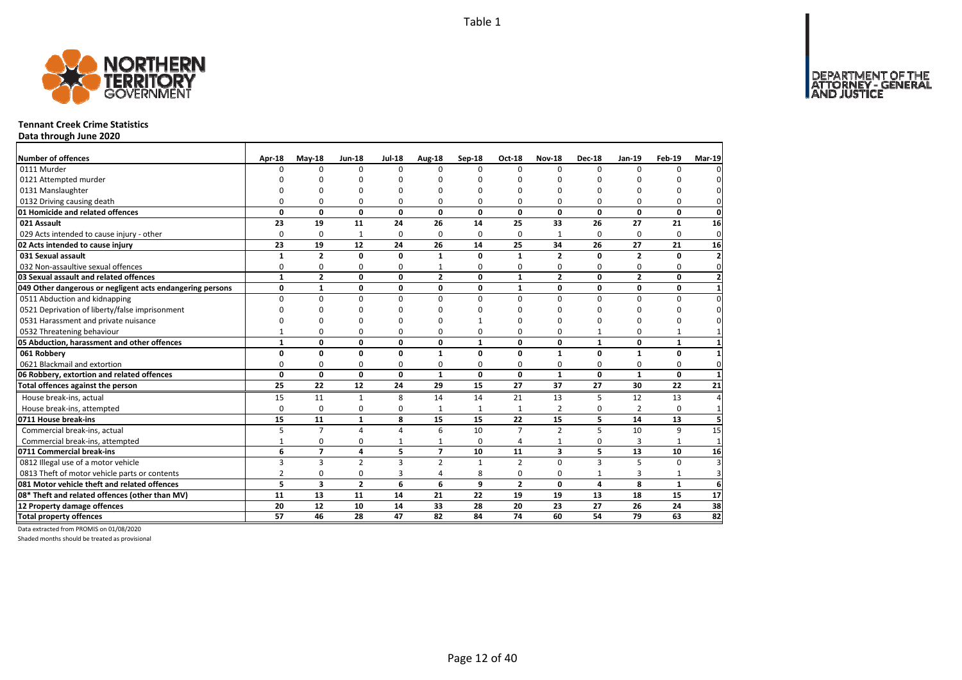DEPARTMENT OF THE<br>ATTORNEY - GENERAL<br>AND JUSTICE



### **Tennant Creek Crime Statistics**

**Data through June 2020**

| Number of offences                                        | Apr-18          | $May-18$       | <b>Jun-18</b>   | <b>Jul-18</b>  | Aug-18          | Sep-18       | Oct-18          | <b>Nov-18</b>           | <b>Dec-18</b>   | Jan-19         | Feb-19       | <b>Mar-19</b>           |
|-----------------------------------------------------------|-----------------|----------------|-----------------|----------------|-----------------|--------------|-----------------|-------------------------|-----------------|----------------|--------------|-------------------------|
| 0111 Murder                                               | n               | $\Omega$       | $\Omega$        | $\Omega$       | $\Omega$        | $\Omega$     | $\Omega$        | $\Omega$                | $\Omega$        | $\Omega$       | $\Omega$     |                         |
| 0121 Attempted murder                                     |                 |                | ŋ               | O              |                 | O            | ŋ               | O                       | O               |                |              |                         |
| 0131 Manslaughter                                         |                 | O              | U               | O              |                 | O            | ŋ               | 0                       | O               |                | $\Omega$     |                         |
| 0132 Driving causing death                                | n               | 0              | 0               | 0              | O               | 0            | 0               | 0                       | 0               | $\Omega$       | 0            | 0                       |
| 01 Homicide and related offences                          | 0               | 0              | $\mathbf{0}$    | 0              | 0               | 0            | 0               | 0                       | $\mathbf{0}$    | 0              | $\mathbf{0}$ | $\mathbf{0}$            |
| 021 Assault                                               | 23              | 19             | 11              | 24             | 26              | 14           | 25              | 33                      | 26              | 27             | 21           | 16                      |
| 029 Acts intended to cause injury - other                 | 0               | 0              | $\mathbf{1}$    | 0              | $\Omega$        | 0            | 0               | $\mathbf{1}$            | 0               | 0              | 0            | $\overline{0}$          |
| 02 Acts intended to cause injury                          | 23              | 19             | 12              | 24             | 26              | 14           | 25              | 34                      | 26              | 27             | 21           | 16                      |
| 031 Sexual assault                                        | $\mathbf{1}$    | $\overline{2}$ | 0               | 0              | $\mathbf{1}$    | 0            | $\mathbf{1}$    | $\overline{2}$          | 0               | $\overline{2}$ | 0            | $\overline{2}$          |
| 032 Non-assaultive sexual offences                        | 0               | 0              | 0               | $\Omega$       |                 | 0            | $\Omega$        | 0                       | $\Omega$        | $\Omega$       | 0            | 0                       |
| 03 Sexual assault and related offences                    | $\mathbf{1}$    | $\overline{2}$ | $\mathbf{0}$    | 0              | $\overline{2}$  | 0            | $\mathbf{1}$    | $\overline{2}$          | 0               | $\overline{2}$ | 0            | $\overline{\mathbf{z}}$ |
| 049 Other dangerous or negligent acts endangering persons | 0               | $\mathbf{1}$   | 0               | 0              | 0               | 0            | $\mathbf{1}$    | 0                       | $\mathbf 0$     | 0              | 0            |                         |
| 0511 Abduction and kidnapping                             | $\Omega$        | 0              | 0               | $\Omega$       | $\Omega$        | $\Omega$     | $\Omega$        | $\Omega$                | 0               | $\Omega$       | 0            | $\Omega$                |
| 0521 Deprivation of liberty/false imprisonment            | n               | O              | 0               | O              |                 | ŋ            | ŋ               | O                       | O               |                | $\Omega$     |                         |
| 0531 Harassment and private nuisance                      | n               | O              | 0               | $\Omega$       |                 |              | ŋ               | O                       | O               |                | $\Omega$     |                         |
| 0532 Threatening behaviour                                | $\mathbf{1}$    | $\Omega$       | 0               | $\Omega$       | ŋ               | 0            | $\Omega$        | 0                       | $\mathbf{1}$    | $\Omega$       | $\mathbf{1}$ |                         |
| 05 Abduction, harassment and other offences               | $\mathbf{1}$    | 0              | 0               | 0              | 0               | $\mathbf{1}$ | 0               | 0                       | $\mathbf{1}$    | 0              | $\mathbf{1}$ |                         |
| 061 Robbery                                               | 0               | 0              | $\mathbf 0$     | 0              | $\mathbf{1}$    | $\Omega$     | $\Omega$        | $\mathbf{1}$            | $\mathbf 0$     | $\mathbf{1}$   | 0            |                         |
| 0621 Blackmail and extortion                              | 0               | 0              | 0               | 0              | O               | 0            | $\Omega$        | 0                       | 0               | 0              | 0            | 0                       |
| 06 Robbery, extortion and related offences                | $\mathbf 0$     | 0              | $\mathbf{0}$    | 0              | $\mathbf{1}$    | 0            | 0               | $\mathbf{1}$            | $\mathbf{0}$    | $\mathbf{1}$   | $\mathbf{0}$ | $\mathbf{1}$            |
| Total offences against the person                         | $\overline{25}$ | 22             | $\overline{12}$ | 24             | 29              | 15           | 27              | 37                      | $\overline{27}$ | 30             | 22           | 21                      |
| House break-ins, actual                                   | 15              | 11             | $\mathbf{1}$    | 8              | 14              | 14           | 21              | 13                      | 5               | 12             | 13           | $\Delta$                |
| House break-ins, attempted                                | 0               | 0              | 0               | $\Omega$       |                 |              | $\mathbf{1}$    | $\overline{2}$          | $\mathbf 0$     | $\overline{2}$ | 0            |                         |
| 0711 House break-ins                                      | 15              | 11             | $\mathbf{1}$    | 8              | 15              | 15           | 22              | 15                      | 5               | 14             | 13           |                         |
| Commercial break-ins, actual                              | 5               | $\overline{7}$ | 4               | $\Delta$       | 6               | 10           | $\overline{7}$  | $\overline{2}$          | 5               | 10             | 9            | 15                      |
| Commercial break-ins, attempted                           | 1               | 0              | 0               |                |                 | 0            | 4               | 1                       | 0               | 3              | $\mathbf{1}$ | $\mathbf 1$             |
| 0711 Commercial break-ins                                 | 6               | $\overline{7}$ | 4               | 5              | $\overline{ }$  | 10           | 11              | $\overline{\mathbf{3}}$ | 5               | 13             | 10           | 16                      |
| 0812 Illegal use of a motor vehicle                       | 3               | 3              | $\overline{2}$  | $\overline{3}$ | $\overline{2}$  |              | $\mathcal{P}$   | $\Omega$                | $\overline{3}$  | $\overline{5}$ | $\Omega$     |                         |
| 0813 Theft of motor vehicle parts or contents             | $\overline{2}$  | 0              | 0               | 3              | Δ               | 8            | 0               | 0                       | $\mathbf{1}$    | 3              | $\mathbf{1}$ | 3                       |
| 081 Motor vehicle theft and related offences              | 5               | 3              | $\overline{2}$  | 6              | 6               | 9            | $\overline{2}$  | 0                       | $\overline{a}$  | 8              | $\mathbf{1}$ | 6                       |
| 08* Theft and related offences (other than MV)            | 11              | 13             | 11              | 14             | 21              | 22           | 19              | 19                      | 13              | 18             | 15           | 17                      |
| 12 Property damage offences                               | 20              | 12             | 10              | 14             | 33              | 28           | 20              | 23                      | 27              | 26             | 24           | 38                      |
| <b>Total property offences</b>                            | 57              | 46             | 28              | 47             | $\overline{82}$ | 84           | $\overline{74}$ | 60                      | 54              | 79             | 63           | $\overline{82}$         |

Data extracted from PROMIS on 01/08/2020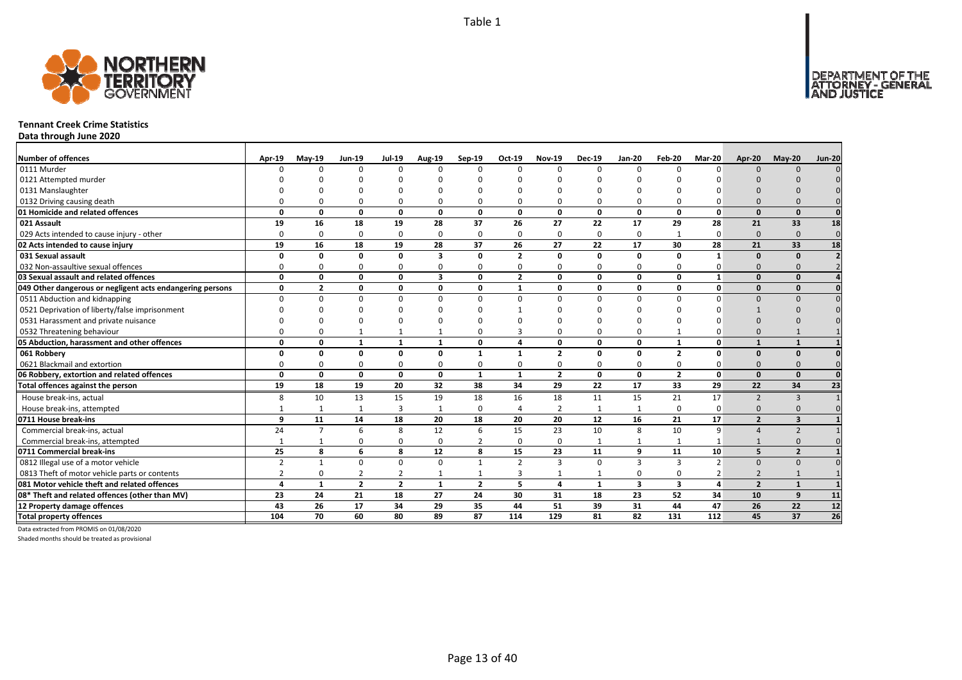

### **Tennant Creek Crime Statistics**

**Data through June 2020**

| <b>Number of offences</b>                                 | Apr-19         | <b>Mav-19</b>  | <b>Jun-19</b>  | <b>Jul-19</b>  | Aug-19                  | Sep-19         | Oct-19         | <b>Nov-19</b>  | <b>Dec-19</b> | <b>Jan-20</b>           | Feb-20                  | Mar-20        | Apr-20                   | <b>Mav-20</b>  | <b>Jun-20</b>   |
|-----------------------------------------------------------|----------------|----------------|----------------|----------------|-------------------------|----------------|----------------|----------------|---------------|-------------------------|-------------------------|---------------|--------------------------|----------------|-----------------|
| 0111 Murder                                               |                | $\Omega$       | $\Omega$       | $\Omega$       | $\Omega$                | $\Omega$       | $\Omega$       | $\Omega$       | $\Omega$      | $\Omega$                | $\Omega$                |               | $\Omega$                 | $\Omega$       |                 |
| 0121 Attempted murder                                     |                |                |                |                |                         |                |                |                |               |                         |                         |               |                          |                |                 |
| 0131 Manslaughter                                         |                |                |                |                |                         |                |                |                |               |                         |                         |               |                          |                |                 |
| 0132 Driving causing death                                |                |                |                |                | 0                       |                |                |                |               | <sup>0</sup>            |                         |               |                          |                |                 |
| 01 Homicide and related offences                          | $\Omega$       | 0              | $\Omega$       | 0              | $\mathbf 0$             | 0              | 0              | $\Omega$       | $\mathbf{0}$  | 0                       | $\mathbf{0}$            | $\Omega$      | $\Omega$                 | $\Omega$       | $\Omega$        |
| 021 Assault                                               | 19             | 16             | 18             | 19             | 28                      | 37             | 26             | 27             | 22            | 17                      | 29                      | 28            | 21                       | 33             | 18              |
| 029 Acts intended to cause injury - other                 | 0              | $\Omega$       | $\Omega$       | $\Omega$       | $\mathbf 0$             | 0              | $\Omega$       | $\Omega$       | $\mathbf 0$   | 0                       |                         | $\Omega$      | $\Omega$                 | $\Omega$       | $\mathbf{0}$    |
| 02 Acts intended to cause injury                          | 19             | 16             | 18             | 19             | 28                      | 37             | 26             | 27             | 22            | 17                      | 30                      | 28            | 21                       | 33             | 18              |
| 031 Sexual assault                                        | O              | O              | $\Omega$       | 0              | 3                       | $\Omega$       | $\overline{2}$ | $\Omega$       | $\mathbf{0}$  | 0                       | $\Omega$                | $\mathbf{1}$  | $\Omega$                 | $\Omega$       |                 |
| 032 Non-assaultive sexual offences                        | 0              | $\Omega$       | $\Omega$       | $\Omega$       | 0                       | 0              | 0              | $\Omega$       | $\Omega$      | 0                       | 0                       |               | $\Omega$                 |                |                 |
| 03 Sexual assault and related offences                    | $\Omega$       | $\Omega$       | $\Omega$       | 0              | $\overline{\mathbf{3}}$ | 0              | $\overline{2}$ | $\Omega$       | 0             | 0                       | $\Omega$                | $\mathbf{1}$  | $\Omega$                 | $\Omega$       |                 |
| 049 Other dangerous or negligent acts endangering persons | 0              | $\overline{2}$ | 0              | 0              | 0                       | 0              | $\mathbf{1}$   | $\Omega$       | 0             | 0                       | 0                       | $\mathbf{0}$  | $\Omega$                 | $\Omega$       |                 |
| 0511 Abduction and kidnapping                             | <sup>0</sup>   | $\Omega$       | $\Omega$       | $\Omega$       | 0                       | $\Omega$       | $\Omega$       | $\Omega$       | $\Omega$      | 0                       | $\Omega$                |               | $\Omega$                 | $\Omega$       |                 |
| 0521 Deprivation of liberty/false imprisonment            |                | n              |                |                |                         |                |                |                |               | n                       |                         |               |                          |                |                 |
| 0531 Harassment and private nuisance                      |                |                |                |                |                         |                |                |                |               | $\Omega$                |                         |               |                          |                |                 |
| 0532 Threatening behaviour                                | n              | $\Omega$       |                | -1             | $\mathbf{1}$            | 0              |                |                | $\Omega$      | $\Omega$                |                         |               |                          |                |                 |
| 05 Abduction, harassment and other offences               | 0              | O              | $\mathbf{1}$   | $\mathbf{1}$   | $\mathbf{1}$            | 0              | 4              | $\Omega$       | $\mathbf{0}$  | 0                       | $\mathbf{1}$            | $\Omega$      |                          |                |                 |
| 061 Robbery                                               | 0              | 0              | 0              | 0              | 0                       | $\mathbf{1}$   | $\mathbf{1}$   | $\overline{2}$ | 0             | 0                       | $\overline{2}$          | $\Omega$      | $\Omega$                 | $\Omega$       |                 |
| 0621 Blackmail and extortion                              | 0              | $\Omega$       | 0              | 0              | 0                       | 0              | 0              | $\Omega$       | $\Omega$      | 0                       | 0                       |               |                          |                |                 |
| 06 Robbery, extortion and related offences                | 0              | 0              | $\mathbf{0}$   | 0              | 0                       | 1              | $\mathbf{1}$   | $\overline{2}$ | $\mathbf 0$   | 0                       | $\overline{2}$          | $\mathbf{0}$  | $\Omega$                 | $\Omega$       |                 |
| Total offences against the person                         | 19             | 18             | 19             | 20             | 32                      | 38             | 34             | 29             | 22            | 17                      | 33                      | 29            | 22                       | 34             | 23              |
| House break-ins, actual                                   | 8              | 10             | 13             | 15             | 19                      | 18             | 16             | 18             | 11            | 15                      | 21                      | 17            | $\overline{\phantom{0}}$ | 3              |                 |
| House break-ins, attempted                                |                | 1              | $\mathbf{1}$   | 3              | $\mathbf{1}$            | $\Omega$       | 4              | $\overline{2}$ | $\mathbf{1}$  | $\mathbf{1}$            | $\Omega$                | $\Omega$      | $\Omega$                 |                |                 |
| 0711 House break-ins                                      | q              | 11             | 14             | 18             | 20                      | 18             | 20             | 20             | 12            | 16                      | 21                      | 17            | $\overline{\mathbf{z}}$  | 3              |                 |
| Commercial break-ins, actual                              | 24             | $\overline{7}$ | 6              | 8              | 12                      | 6              | 15             | 23             | 10            | 8                       | 10                      | 9             |                          |                |                 |
| Commercial break-ins, attempted                           |                |                | n              | $\Omega$       | 0                       | $\overline{2}$ | 0              | $\Omega$       | $\mathbf{1}$  | 1                       |                         |               |                          | $\Omega$       |                 |
| 0711 Commercial break-ins                                 | 25             | 8              | 6              | 8              | 12                      | 8              | 15             | 23             | 11            | 9                       | 11                      | 10            | 5                        | $\overline{2}$ |                 |
| 0812 Illegal use of a motor vehicle                       | $\overline{2}$ | $\mathbf{1}$   | $\Omega$       | 0              | 0                       | $\mathbf{1}$   | 2              | 3              | $\Omega$      | 3                       | 3                       | $\mathcal{P}$ | $\Omega$                 | $\Omega$       |                 |
| 0813 Theft of motor vehicle parts or contents             | $\overline{2}$ | $\Omega$       | 2              | 2              | $\mathbf{1}$            | $\mathbf{1}$   | 3              | $\mathbf{1}$   | $\mathbf{1}$  | 0                       | $\Omega$                |               | $\overline{2}$           |                |                 |
| 081 Motor vehicle theft and related offences              |                | $\mathbf{1}$   | $\overline{2}$ | $\overline{2}$ | $\mathbf{1}$            | $\overline{2}$ | 5              | 4              | $\mathbf{1}$  | $\overline{\mathbf{3}}$ | $\overline{\mathbf{3}}$ | 4             | $\overline{2}$           | $\overline{1}$ |                 |
| 08* Theft and related offences (other than MV)            | 23             | 24             | 21             | 18             | 27                      | 24             | 30             | 31             | 18            | 23                      | 52                      | 34            | 10                       | q              | 11              |
| 12 Property damage offences                               | 43             | 26             | 17             | 34             | 29                      | 35             | 44             | 51             | 39            | 31                      | 44                      | 47            | 26                       | 22             | 12              |
| <b>Total property offences</b>                            | 104            | 70             | 60             | 80             | 89                      | 87             | 114            | 129            | 81            | 82                      | 131                     | 112           | 45                       | 37             | $\overline{26}$ |

Data extracted from PROMIS on 01/08/2020

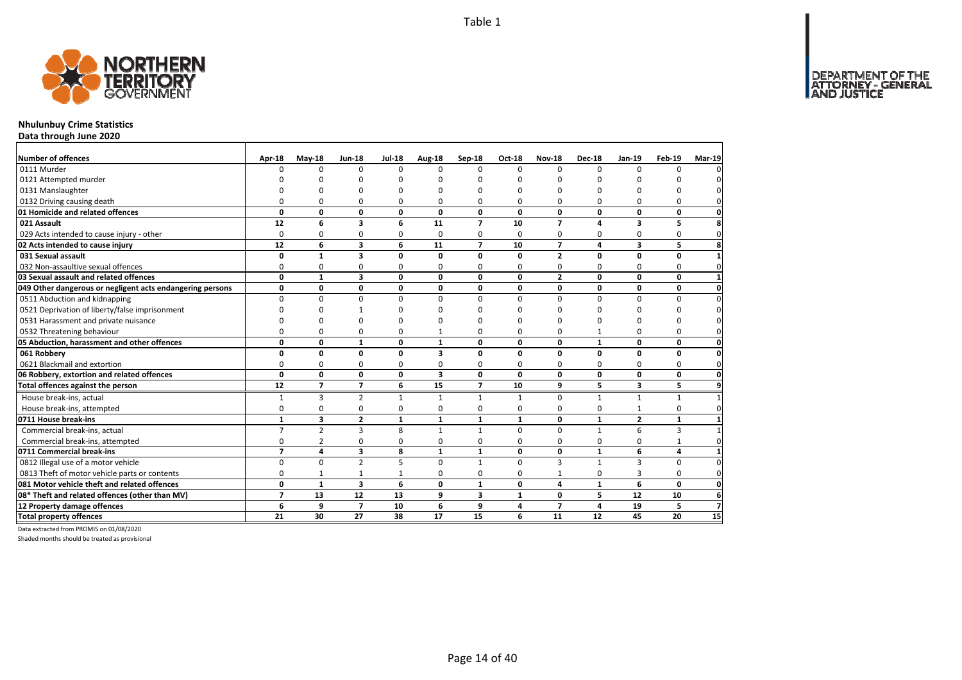

## **Nhulunbuy Crime Statistics**

**Data through June 2020**

| Number of offences                                        | Apr-18         | $May-18$       | <b>Jun-18</b>           | <b>Jul-18</b> | Aug-18                  | Sep-18         | Oct-18       | <b>Nov-18</b>  | <b>Dec-18</b> | <b>Jan-19</b>           | Feb-19       | <b>Mar-19</b>       |
|-----------------------------------------------------------|----------------|----------------|-------------------------|---------------|-------------------------|----------------|--------------|----------------|---------------|-------------------------|--------------|---------------------|
| 0111 Murder                                               | n              | $\Omega$       | $\Omega$                | $\Omega$      | $\Omega$                | $\Omega$       | $\Omega$     | $\Omega$       | $\Omega$      | $\Omega$                | $\Omega$     | 0                   |
| 0121 Attempted murder                                     |                |                |                         |               |                         |                | ŋ            | O              |               |                         |              | 0                   |
| 0131 Manslaughter                                         |                |                | n                       | ŋ             | ŋ                       | n              | O            | $\Omega$       | <sup>0</sup>  | ŋ                       |              | 0                   |
| 0132 Driving causing death                                | O              | 0              | 0                       | 0             | ŋ                       | $\Omega$       | 0            | O              | ŋ             | 0                       | 0            | $\mathbf{0}$        |
| 01 Homicide and related offences                          | 0              | 0              | 0                       | 0             | $\mathbf{0}$            | 0              | 0            | 0              | 0             | 0                       | 0            | $\mathbf 0$         |
| 021 Assault                                               | 12             | 6              | 3                       | 6             | 11                      | $\overline{ }$ | 10           | $\overline{ }$ | 4             | 3                       | 5            | 8                   |
| 029 Acts intended to cause injury - other                 | 0              | 0              | 0                       | $\Omega$      | $\Omega$                | $\Omega$       | $\Omega$     | 0              | $\Omega$      | 0                       | 0            | $\mathbf 0$         |
| 02 Acts intended to cause injury                          | 12             | 6              | $\overline{\mathbf{3}}$ | 6             | 11                      | $\overline{7}$ | 10           | $\overline{ }$ | 4             | $\overline{\mathbf{3}}$ | 5            | 8                   |
| 031 Sexual assault                                        | 0              | $\mathbf{1}$   | 3                       | 0             | 0                       | 0              | 0            | $\overline{2}$ | 0             | 0                       | 0            | $\mathbf{1}$        |
| 032 Non-assaultive sexual offences                        | 0              | $\mathbf 0$    | 0                       | 0             | 0                       | 0              | 0            | 0              | 0             | 0                       | 0            | $\mathbf 0$         |
| 03 Sexual assault and related offences                    | 0              | $\mathbf{1}$   | 3                       | 0             | 0                       | 0              | 0            | $\overline{2}$ | 0             | 0                       | 0            | $\mathbf{1}$        |
| 049 Other dangerous or negligent acts endangering persons | 0              | 0              | 0                       | 0             | 0                       | 0              | 0            | 0              | 0             | 0                       | 0            | 0                   |
| 0511 Abduction and kidnapping                             | $\Omega$       | $\mathbf 0$    | 0                       | $\Omega$      | $\Omega$                | $\Omega$       | $\Omega$     | $\Omega$       | $\Omega$      | 0                       | 0            | $\pmb{0}$           |
| 0521 Deprivation of liberty/false imprisonment            | n              | ŋ              |                         |               | n                       | n              | ŋ            | O              | <sup>0</sup>  | ŋ                       | $\Omega$     | $\mathsf{O}\xspace$ |
| 0531 Harassment and private nuisance                      |                | O              | U                       | n             |                         | n              | ŋ            | $\Omega$       |               | $\Omega$                | $\Omega$     | 0                   |
| 0532 Threatening behaviour                                | $\Omega$       | $\Omega$       | $\Omega$                | $\Omega$      |                         | $\Omega$       | 0            | 0              |               | 0                       | $\Omega$     | $\mathbf{0}$        |
| 05 Abduction, harassment and other offences               | 0              | 0              | $\mathbf{1}$            | 0             | $\mathbf{1}$            | 0              | 0            | 0              | $\mathbf{1}$  | 0                       | 0            | $\mathbf 0$         |
| 061 Robberv                                               | 0              | 0              | 0                       | 0             | 3                       | 0              | 0            | 0              | 0             | 0                       | 0            | $\mathbf 0$         |
| 0621 Blackmail and extortion                              | 0              | 0              | $\Omega$                | $\Omega$      | 0                       | 0              | $\Omega$     | $\Omega$       | 0             | $\Omega$                | 0            | $\mathbf 0$         |
| 06 Robbery, extortion and related offences                | 0              | 0              | 0                       | 0             | $\overline{\mathbf{3}}$ | 0              | 0            | 0              | 0             | 0                       | 0            | $\mathbf{0}$        |
| Total offences against the person                         | 12             | $\overline{7}$ | $\overline{7}$          | 6             | 15                      | $\overline{7}$ | 10           | 9              | 5.            | 3                       | 5            | 9                   |
| House break-ins, actual                                   | 1              | 3              | $\overline{2}$          | 1             | 1                       | $\mathbf{1}$   | $\mathbf{1}$ | 0              | 1             | 1                       | $\mathbf{1}$ | $\mathbf{1}$        |
| House break-ins, attempted                                | 0              | $\mathbf 0$    | 0                       | 0             | 0                       | 0              | 0            | $\Omega$       | 0             |                         | $\mathbf 0$  | $\mathbf 0$         |
| 0711 House break-ins                                      | $\mathbf{1}$   | 3              | $\overline{\mathbf{2}}$ | $\mathbf{1}$  | 1                       | 1              | 1            | 0              | $\mathbf{1}$  | $\mathbf{2}$            | $\mathbf{1}$ | $\mathbf{1}$        |
| Commercial break-ins, actual                              | $\overline{7}$ | $\overline{2}$ | $\overline{3}$          | 8             | $\mathbf{1}$            | $\mathbf{1}$   | $\Omega$     | $\Omega$       | $\mathbf{1}$  | 6                       | 3            | $\mathbf{1}$        |
| Commercial break-ins, attempted                           | 0              | $\overline{2}$ | 0                       | 0             | 0                       | $\mathbf 0$    | 0            | 0              | 0             | 0                       | $\mathbf{1}$ | $\mathbf 0$         |
| 0711 Commercial break-ins                                 | $\overline{ }$ | 4              | 3                       | 8             | $\mathbf{1}$            | $\mathbf{1}$   | 0            | 0              | $\mathbf{1}$  | 6                       | 4            | $\mathbf{1}$        |
| 0812 Illegal use of a motor vehicle                       | $\Omega$       | $\Omega$       | $\overline{2}$          | 5             | $\Omega$                | $\mathbf{1}$   | 0            | $\overline{3}$ | $\mathbf{1}$  | 3                       | $\mathbf 0$  | $\mathbf 0$         |
| 0813 Theft of motor vehicle parts or contents             | 0              | $\mathbf{1}$   | $\mathbf{1}$            | $\mathbf{1}$  | 0                       | 0              | 0            | $\mathbf{1}$   | 0             | 3                       | 0            | 0                   |
| 081 Motor vehicle theft and related offences              | 0              | $\mathbf{1}$   | $\overline{\mathbf{3}}$ | 6             | $\Omega$                | $\mathbf{1}$   | $\mathbf{0}$ | 4              | $\mathbf{1}$  | 6                       | 0            | $\mathbf{0}$        |
| 08* Theft and related offences (other than MV)            | $\overline{7}$ | 13             | 12                      | 13            | 9                       | 3              | 1            | 0              | 5             | 12                      | 10           | 6                   |
| 12 Property damage offences                               | 6              | 9              | $\overline{\mathbf{z}}$ | 10            | 6                       | 9              | 4            | $\overline{7}$ | 4             | 19                      | 5            | $\overline{7}$      |
| <b>Total property offences</b>                            | 21             | 30             | 27                      | 38            | 17                      | 15             | 6            | 11             | 12            | 45                      | 20           | 15                  |

Data extracted from PROMIS on 01/08/2020

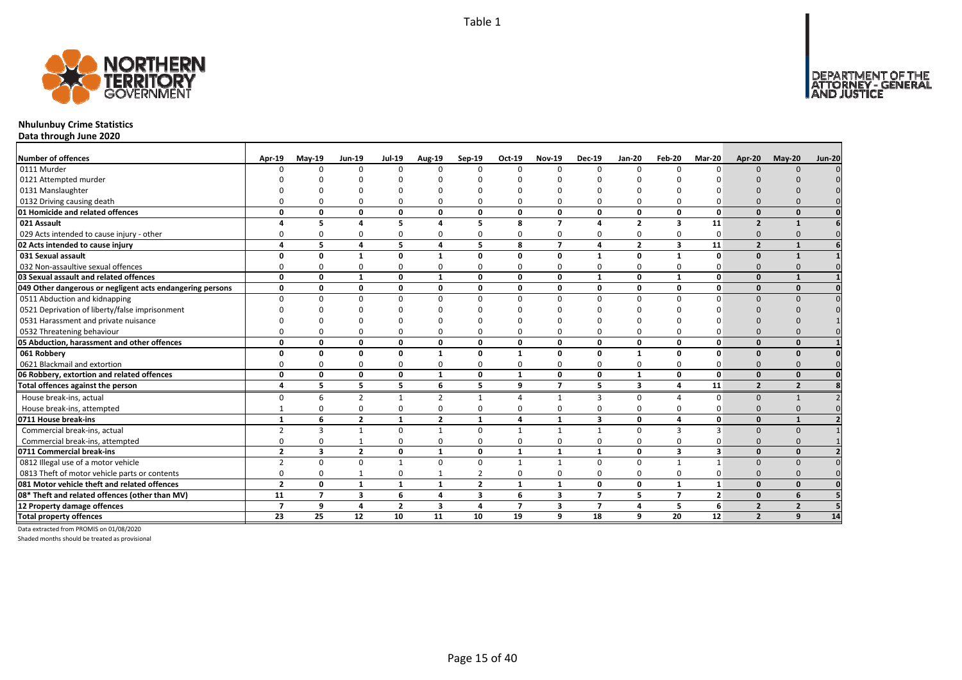

# **Nhulunbuy Crime Statistics**

**Data through June 2020**

| <b>Number of offences</b>                                 | Apr-19         | $Mav-19$                | <b>Jun-19</b>            | <b>Jul-19</b>  | Aug-19          | Sep-19         | Oct-19         | <b>Nov-19</b>           | <b>Dec-19</b>           | Jan-20         | Feb-20                  | Mar-20         | Apr-20         | $May-20$                | <b>Jun-20</b> |
|-----------------------------------------------------------|----------------|-------------------------|--------------------------|----------------|-----------------|----------------|----------------|-------------------------|-------------------------|----------------|-------------------------|----------------|----------------|-------------------------|---------------|
| 0111 Murder                                               |                | $\Omega$                | $\Omega$                 | $\Omega$       | 0               | $\Omega$       | $\Omega$       | $\Omega$                | $\Omega$                | $\Omega$       | $\Omega$                | $\Omega$       |                |                         |               |
| 0121 Attempted murder                                     |                |                         |                          |                |                 |                |                |                         |                         |                |                         |                |                |                         |               |
| 0131 Manslaughter                                         |                |                         |                          |                |                 |                |                |                         |                         |                |                         |                |                |                         |               |
| 0132 Driving causing death                                |                |                         |                          | O              | $\Omega$        |                |                |                         | ŋ                       | $\Omega$       |                         |                |                |                         |               |
| 01 Homicide and related offences                          | $\Omega$       | $\Omega$                | $\Omega$                 | 0              | 0               | 0              | 0              | $\Omega$                | 0                       | 0              | $\mathbf{0}$            | 0              | $\Omega$       | $\Omega$                |               |
| 021 Assault                                               |                | 5                       | $\mathbf{A}$             | 5              | 4               | 5              | 8              | $\overline{ }$          | $\boldsymbol{\Lambda}$  | $\overline{2}$ | $\overline{\mathbf{3}}$ | 11             | $\overline{2}$ | $\mathbf{1}$            |               |
| 029 Acts intended to cause injury - other                 |                | O                       | $\Omega$                 | $\Omega$       | 0               | 0              | 0              |                         | $\Omega$                | 0              | $\Omega$                | 0              |                |                         |               |
| 02 Acts intended to cause injury                          |                | 5                       | $\Delta$                 | 5              | 4               | 5              | 8              | $\overline{ }$          | 4                       | $\overline{2}$ | 3                       | 11             | $\overline{2}$ |                         |               |
| 031 Sexual assault                                        |                | 0                       |                          | $\Omega$       | $\mathbf{1}$    | O              | 0              | $\Omega$                | $\mathbf{1}$            | 0              | $\mathbf{1}$            | 0              | $\Omega$       |                         |               |
| 032 Non-assaultive sexual offences                        |                |                         |                          | C              | $\Omega$        | $\Omega$       | ŋ              |                         | ŋ                       | $\Omega$       | $\Omega$                |                |                |                         |               |
| 03 Sexual assault and related offences                    | $\Omega$       | $\Omega$                | $\mathbf{1}$             | $\mathbf{0}$   | $\mathbf{1}$    | 0              | 0              | $\Omega$                | $\mathbf{1}$            | 0              | $\mathbf{1}$            | 0              | $\Omega$       |                         |               |
| 049 Other dangerous or negligent acts endangering persons | $\Omega$       | $\Omega$                | $\Omega$                 | 0              | 0               | 0              | 0              | $\Omega$                | 0                       | 0              | 0                       | 0              | $\Omega$       | $\Omega$                |               |
| 0511 Abduction and kidnapping                             | $\Omega$       | <sup>n</sup>            | $\Omega$                 | $\Omega$       | $\Omega$        | $\Omega$       | <sup>0</sup>   | n                       | $\Omega$                | $\Omega$       | $\Omega$                | ŋ              | $\Omega$       |                         |               |
| 0521 Deprivation of liberty/false imprisonment            |                |                         |                          |                | n               |                |                |                         |                         |                |                         |                |                |                         |               |
| 0531 Harassment and private nuisance                      |                |                         |                          |                |                 |                |                |                         |                         |                |                         |                |                |                         |               |
| 0532 Threatening behaviour                                |                |                         |                          |                | $\Omega$        |                |                |                         |                         | $\Omega$       |                         |                |                |                         |               |
| 05 Abduction, harassment and other offences               | $\Omega$       | $\Omega$                | $\Omega$                 | 0              | 0               | 0              | 0              | $\Omega$                | 0                       | 0              | $\Omega$                | 0              | $\Omega$       | $\Omega$                |               |
| 061 Robbery                                               | n              | 0                       | $\Omega$                 | 0              | $\mathbf{1}$    | O              | $\mathbf{1}$   | $\Omega$                | $\Omega$                | $\mathbf{1}$   | 0                       | 0              |                |                         |               |
| 0621 Blackmail and extortion                              |                | O                       |                          | $\Omega$       | 0               | $\Omega$       | 0              |                         | $\Omega$                | 0              | $\Omega$                | O              |                |                         |               |
| 06 Robbery, extortion and related offences                | $\Omega$       | 0                       | $\Omega$                 | 0              | 1               | 0              | 1              | $\Omega$                | 0                       | $\mathbf{1}$   | $\mathbf{0}$            | 0              | $\Omega$       | $\Omega$                |               |
| Total offences against the person                         | 4              | 5                       | 5                        | 5              | 6               | 5              | 9              | $\overline{7}$          | 5                       | 3              | 4                       | 11             | $\overline{2}$ | $\overline{2}$          |               |
| House break-ins, actual                                   | $\Omega$       | 6                       | $\overline{\phantom{0}}$ | $\mathbf{1}$   | $\overline{2}$  | $\mathbf{1}$   | Δ              |                         | $\overline{3}$          | $\Omega$       | Δ                       | $\Omega$       | $\Omega$       |                         |               |
| House break-ins, attempted                                |                | <sup>0</sup>            | $\Omega$                 | $\Omega$       | 0               | $\Omega$       | 0              |                         | O                       | 0              | $\Omega$                | ŋ              |                |                         |               |
| 0711 House break-ins                                      |                | 6                       | $\overline{2}$           | $\mathbf{1}$   | $\overline{2}$  | $\mathbf{1}$   | Δ              |                         | $\overline{\mathbf{3}}$ | 0              | $\Delta$                | 0              |                |                         |               |
| Commercial break-ins, actual                              |                | 3                       |                          | $\Omega$       | $\mathbf{1}$    | $\Omega$       |                |                         |                         | 0              | R                       | 3              |                |                         |               |
| Commercial break-ins, attempted                           |                |                         |                          | $\Omega$       | 0               | $\Omega$       | O              |                         | $\Omega$                | 0              | $\Omega$                |                |                |                         |               |
| 0711 Commercial break-ins                                 | $\overline{2}$ | $\overline{\mathbf{3}}$ | $\overline{2}$           | $\mathbf 0$    | $\mathbf{1}$    | $\mathbf{0}$   | $\mathbf{1}$   | 1                       | 1                       | 0              | $\overline{\mathbf{3}}$ | 3              | $\Omega$       | $\mathbf{0}$            |               |
| 0812 Illegal use of a motor vehicle                       | $\overline{2}$ | $\Omega$                | $\Omega$                 | $\mathbf{1}$   | $\mathbf 0$     | $\Omega$       | $\mathbf{1}$   |                         | $\Omega$                | $\Omega$       | $\mathbf{1}$            | $\mathbf{1}$   |                |                         |               |
| 0813 Theft of motor vehicle parts or contents             | $\Omega$       | 0                       |                          | $\Omega$       | $\mathbf{1}$    | $\overline{2}$ | 0              |                         | $\Omega$                | 0              | $\mathbf 0$             | 0              | $\Omega$       |                         |               |
| 081 Motor vehicle theft and related offences              | $\overline{2}$ | $\Omega$                | 1                        | $\mathbf{1}$   | $\mathbf{1}$    | $\overline{2}$ | $\mathbf{1}$   | $\mathbf{1}$            | 0                       | $\mathbf{0}$   | $\mathbf{1}$            | $\mathbf{1}$   | $\Omega$       | $\Omega$                |               |
| 08* Theft and related offences (other than MV)            | 11             | $\overline{\mathbf{z}}$ | 3                        | 6              | 4               | 3              | 6              | 3                       | $\overline{7}$          | 5              | $\overline{7}$          | $\overline{2}$ | $\Omega$       | 6                       |               |
| 12 Property damage offences                               | $\overline{ }$ | 9                       | 4                        | $\overline{2}$ | 3               | 4              | $\overline{7}$ | $\overline{\mathbf{3}}$ | $\overline{7}$          | 4              | 5                       | 6              | $\overline{2}$ | $\overline{\mathbf{z}}$ |               |
| <b>Total property offences</b>                            | 23             | 25                      | 12                       | 10             | $\overline{11}$ | 10             | 19             | q                       | 18                      | 9              | 20                      | 12             | $\overline{2}$ | 9                       | 14            |

Data extracted from PROMIS on 01/08/2020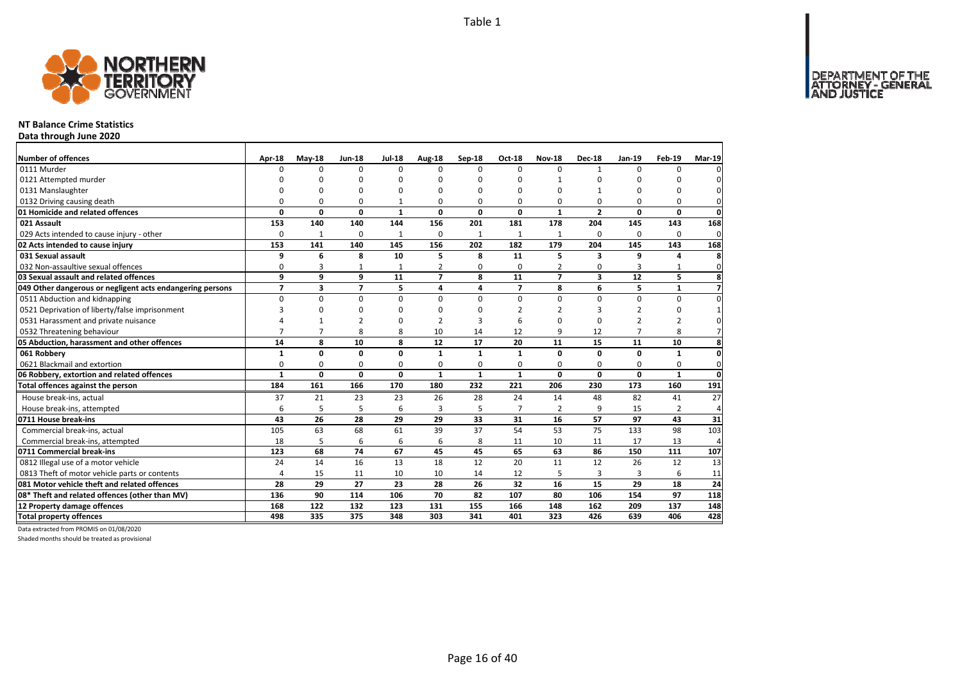

### **NT Balance Crime Statistics**

**Data through June 2020**

| Number of offences                                        | Apr-18         | $May-18$       | <b>Jun-18</b>  | <b>Jul-18</b> | Aug-18         | Sep-18       | Oct-18         | <b>Nov-18</b>  | <b>Dec-18</b>  | <b>Jan-19</b>  | <b>Feb-19</b>  | <b>Mar-19</b>  |
|-----------------------------------------------------------|----------------|----------------|----------------|---------------|----------------|--------------|----------------|----------------|----------------|----------------|----------------|----------------|
| 0111 Murder                                               | n              | $\Omega$       | $\Omega$       | $\Omega$      | $\Omega$       | $\Omega$     | <sup>0</sup>   | $\Omega$       | $\mathbf{1}$   | $\Omega$       | O              |                |
| 0121 Attempted murder                                     |                | O              | O              | $\Omega$      |                | O            | ŋ              |                | O              |                | ŋ              |                |
| 0131 Manslaughter                                         | $\Omega$       | O              | 0              | $\Omega$      |                | O            | 0              | 0              | 1              |                | 0              | $\Omega$       |
| 0132 Driving causing death                                | 0              | 0              | 0              | 1             | $\Omega$       | O            | 0              | 0              | 0              | 0              | 0              | 0              |
| 01 Homicide and related offences                          | 0              | 0              | 0              | $\mathbf{1}$  | $\mathbf{0}$   | 0            | 0              | $\mathbf{1}$   | $\overline{2}$ | 0              | 0              | $\mathbf{0}$   |
| 021 Assault                                               | 153            | 140            | 140            | 144           | 156            | 201          | 181            | 178            | 204            | 145            | 143            | 168            |
| 029 Acts intended to cause injury - other                 | 0              | $\mathbf{1}$   | 0              | $\mathbf{1}$  | 0              | $\mathbf{1}$ | $\mathbf{1}$   | $\mathbf{1}$   | 0              | 0              | 0              | 0              |
| 02 Acts intended to cause injury                          | 153            | 141            | 140            | 145           | 156            | 202          | 182            | 179            | 204            | 145            | 143            | 168            |
| 031 Sexual assault                                        | 9              | 6              | 8              | 10            | 5              | 8            | 11             | 5              | 3              | 9              | 4              | 8              |
| 032 Non-assaultive sexual offences                        | 0              | 3              | $\mathbf{1}$   | $\mathbf{1}$  | $\overline{2}$ | 0            | 0              | $\overline{2}$ | $\Omega$       | 3              | 1              | $\mathbf{0}$   |
| 03 Sexual assault and related offences                    | 9              | 9              | 9              | 11            | $\overline{ }$ | 8            | 11             | $\overline{7}$ | 3              | 12             | 5              | 8              |
| 049 Other dangerous or negligent acts endangering persons | $\overline{7}$ | 3              | $\overline{7}$ | 5             | 4              | 4            | $\overline{7}$ | 8              | 6              | 5              | $\mathbf{1}$   | $\overline{7}$ |
| 0511 Abduction and kidnapping                             | 0              | 0              | 0              | 0             | $\Omega$       | $\Omega$     | 0              | $\Omega$       | 0              | 0              | 0              | $\Omega$       |
| 0521 Deprivation of liberty/false imprisonment            | 3              | $\Omega$       | 0              | $\Omega$      |                | ŋ            | 2              | 2              | 3              | 2              | 0              |                |
| 0531 Harassment and private nuisance                      |                |                | $\overline{2}$ | $\Omega$      |                | 3            | 6              | O              | $\Omega$       | $\overline{2}$ | $\overline{2}$ | <sup>0</sup>   |
| 0532 Threatening behaviour                                | $\overline{7}$ | $\overline{7}$ | 8              | 8             | 10             | 14           | 12             | 9              | 12             | $\overline{7}$ | 8              |                |
| 05 Abduction, harassment and other offences               | 14             | 8              | 10             | 8             | 12             | 17           | 20             | 11             | 15             | 11             | 10             | 8              |
| 061 Robbery                                               | $\mathbf{1}$   | 0              | 0              | $\mathbf 0$   | $\mathbf{1}$   | 1            | $\mathbf{1}$   | 0              | $\mathbf{0}$   | O              | $\mathbf{1}$   | $\mathbf{0}$   |
| 0621 Blackmail and extortion                              | $\Omega$       | 0              | 0              | $\mathbf 0$   | $\Omega$       | $\Omega$     | 0              | 0              | 0              | $\Omega$       | $\mathbf 0$    | $\mathbf{0}$   |
| 06 Robbery, extortion and related offences                | $\mathbf{1}$   | 0              | $\mathbf{0}$   | $\mathbf 0$   | $\mathbf{1}$   | $\mathbf{1}$ | 1              | 0              | $\Omega$       | $\mathbf{0}$   | $\mathbf{1}$   | $\mathbf 0$    |
| Total offences against the person                         | 184            | 161            | 166            | 170           | 180            | 232          | 221            | 206            | 230            | 173            | 160            | 191            |
| House break-ins, actual                                   | 37             | 21             | 23             | 23            | 26             | 28           | 24             | 14             | 48             | 82             | 41             | 27             |
| House break-ins, attempted                                | 6              | 5              | 5              | 6             | 3              | 5            | $\overline{7}$ | $\overline{2}$ | 9              | 15             | $\overline{2}$ | $\Delta$       |
| 0711 House break-ins                                      | 43             | 26             | 28             | 29            | 29             | 33           | 31             | 16             | 57             | 97             | 43             | 31             |
| Commercial break-ins, actual                              | 105            | 63             | 68             | 61            | 39             | 37           | 54             | 53             | 75             | 133            | 98             | 103            |
| Commercial break-ins, attempted                           | 18             | 5              | 6              | 6             | 6              | 8            | 11             | 10             | 11             | 17             | 13             | 4              |
| 0711 Commercial break-ins                                 | 123            | 68             | 74             | 67            | 45             | 45           | 65             | 63             | 86             | 150            | 111            | 107            |
| 0812 Illegal use of a motor vehicle                       | 24             | 14             | 16             | 13            | 18             | 12           | 20             | 11             | 12             | 26             | 12             | 13             |
| 0813 Theft of motor vehicle parts or contents             | $\overline{4}$ | 15             | 11             | 10            | 10             | 14           | 12             | 5              | $\overline{3}$ | 3              | 6              | 11             |
| 081 Motor vehicle theft and related offences              | 28             | 29             | 27             | 23            | 28             | 26           | 32             | 16             | 15             | 29             | 18             | 24             |
| 08* Theft and related offences (other than MV)            | 136            | 90             | 114            | 106           | 70             | 82           | 107            | 80             | 106            | 154            | 97             | 118            |
| 12 Property damage offences                               | 168            | 122            | 132            | 123           | 131            | 155          | 166            | 148            | 162            | 209            | 137            | 148            |
| <b>Total property offences</b>                            | 498            | 335            | 375            | 348           | 303            | 341          | 401            | 323            | 426            | 639            | 406            | 428            |

Data extracted from PROMIS on 01/08/2020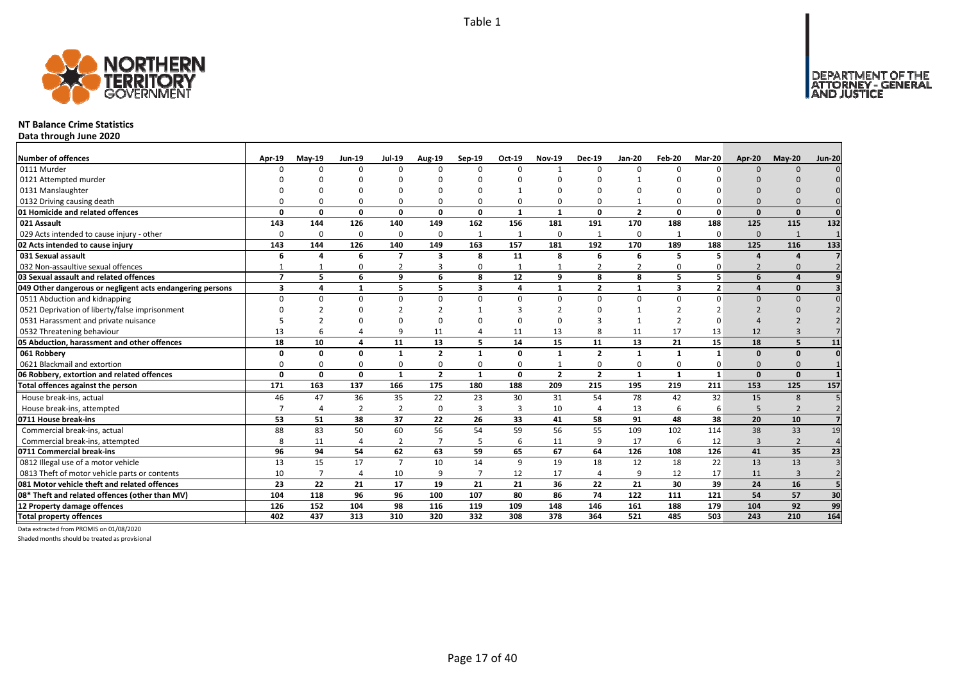

### **NT Balance Crime Statistics**

**Data through June 2020**

| Number of offences                                        | Apr-19                   | $May-19$       | <b>Jun-19</b>  | <b>Jul-19</b>  | Aug-19         | Sep-19       | Oct-19         | <b>Nov-19</b>  | <b>Dec-19</b>  | <b>Jan-20</b>  | Feb-20                  | Mar-20         | Apr-20                   | $May-20$       | <b>Jun-20</b> |
|-----------------------------------------------------------|--------------------------|----------------|----------------|----------------|----------------|--------------|----------------|----------------|----------------|----------------|-------------------------|----------------|--------------------------|----------------|---------------|
| 0111 Murder                                               | n                        | $\Omega$       | $\Omega$       | O              | 0              | $\Omega$     | $\Omega$       |                | $\Omega$       | $\Omega$       | $\Omega$                | n              | $\Omega$                 | $\cap$         |               |
| 0121 Attempted murder                                     |                          |                |                |                |                |              |                |                |                |                |                         |                |                          |                |               |
| 0131 Manslaughter                                         |                          |                |                |                |                |              |                |                |                |                |                         |                |                          |                |               |
| 0132 Driving causing death                                |                          | n              |                | 0              | 0              | 0            | 0              |                | $\Omega$       | 1              |                         |                |                          |                |               |
| 01 Homicide and related offences                          | $\Omega$                 | O              | $\Omega$       | 0              | $\mathbf{0}$   | 0            | $\mathbf{1}$   | $\mathbf{1}$   | $\mathbf{0}$   | $\overline{2}$ | $\Omega$                | $\Omega$       | $\Omega$                 | $\mathbf{0}$   | $\Omega$      |
| 021 Assault                                               | 143                      | 144            | 126            | 140            | 149            | 162          | 156            | 181            | 191            | 170            | 188                     | 188            | 125                      | 115            | 132           |
| 029 Acts intended to cause injury - other                 | 0                        | $\Omega$       | $\Omega$       | 0              | 0              | $\mathbf{1}$ | $\overline{1}$ | $\Omega$       | $\mathbf{1}$   | 0              |                         | $\Omega$       | $\Omega$                 | $\overline{1}$ |               |
| 02 Acts intended to cause injury                          | 143                      | 144            | 126            | 140            | 149            | 163          | 157            | 181            | 192            | 170            | 189                     | 188            | 125                      | 116            | 133           |
| 031 Sexual assault                                        | 6                        | Δ              | 6              | $\overline{7}$ | 3              | 8            | 11             | 8              | 6              | 6              |                         |                |                          |                |               |
| 032 Non-assaultive sexual offences                        |                          |                | $\Omega$       | $\overline{2}$ | 3              | $\Omega$     |                |                | $\overline{2}$ | $\overline{2}$ | $\Omega$                |                | $\overline{\phantom{0}}$ |                |               |
| 03 Sexual assault and related offences                    | $\overline{\phantom{a}}$ | 5              | 6              | 9              | 6              | 8            | 12             | q              | 8              | 8              | 5                       | 5              | 6                        |                |               |
| 049 Other dangerous or negligent acts endangering persons | 3                        | 4              | $\mathbf{1}$   | 5              | 5              | 3            | 4              | $\mathbf{1}$   | $\overline{2}$ | $\mathbf{1}$   | $\overline{\mathbf{3}}$ | $\overline{2}$ |                          | $\Omega$       |               |
| 0511 Abduction and kidnapping                             | <sup>0</sup>             | <sup>0</sup>   | $\Omega$       | $\Omega$       | $\Omega$       | $\Omega$     | $\Omega$       | n              | $\Omega$       | $\Omega$       | $\Omega$                |                | $\Omega$                 | $\Omega$       |               |
| 0521 Deprivation of liberty/false imprisonment            |                          |                |                |                | $\mathcal{P}$  |              |                |                |                |                |                         |                |                          |                |               |
| 0531 Harassment and private nuisance                      |                          |                |                |                | $\Omega$       |              |                |                |                |                | $\overline{2}$          |                |                          |                |               |
| 0532 Threatening behaviour                                | 13                       |                |                | 9              | 11             |              | 11             | 13             | 8              | 11             | 17                      | 13             | 12                       |                |               |
| 05 Abduction, harassment and other offences               | 18                       | 10             | 4              | 11             | 13             | 5            | 14             | 15             | 11             | 13             | 21                      | 15             | 18                       | 5              | 11            |
| 061 Robbery                                               | O                        | O              | $\Omega$       | 1              | $\overline{2}$ | $\mathbf{1}$ | 0              | $\mathbf{1}$   | $\overline{2}$ | $\mathbf{1}$   | $\mathbf{1}$            | $\mathbf{1}$   | $\Omega$                 | $\Omega$       | $\Omega$      |
| 0621 Blackmail and extortion                              | O                        | $\Omega$       | $\Omega$       | 0              | $\Omega$       | 0            | O              |                | $\Omega$       | $\Omega$       | $\Omega$                |                | $\Omega$                 | $\Omega$       |               |
| 06 Robbery, extortion and related offences                | $\mathbf{0}$             | 0              | $\mathbf{0}$   | $\mathbf{1}$   | $\overline{2}$ | 1            | $\mathbf{0}$   | $\overline{2}$ | $\overline{2}$ | $\mathbf{1}$   | $\mathbf{1}$            | $\mathbf{1}$   | $\Omega$                 | $\mathbf{0}$   |               |
| Total offences against the person                         | 171                      | 163            | 137            | 166            | 175            | 180          | 188            | 209            | 215            | 195            | 219                     | 211            | 153                      | 125            | 157           |
| House break-ins, actual                                   | 46                       | 47             | 36             | 35             | 22             | 23           | 30             | 31             | 54             | 78             | 42                      | 32             | 15                       | 8              |               |
| House break-ins, attempted                                | 7                        | Δ              | $\overline{2}$ | $\overline{2}$ | $\Omega$       | 3            | $\overline{3}$ | 10             | $\Delta$       | 13             | 6                       | 6              | 5                        | $\overline{2}$ |               |
| 0711 House break-ins                                      | 53                       | 51             | 38             | 37             | 22             | 26           | 33             | 41             | 58             | 91             | 48                      | 38             | 20                       | 10             |               |
| Commercial break-ins, actual                              | 88                       | 83             | 50             | 60             | 56             | 54           | 59             | 56             | 55             | 109            | 102                     | 114            | 38                       | 33             | 19            |
| Commercial break-ins, attempted                           | 8                        | 11             | $\overline{4}$ | $\overline{2}$ | $\overline{7}$ | 5            | 6              | 11             | 9              | 17             | 6                       | 12             | 3                        | $\overline{2}$ |               |
| 0711 Commercial break-ins                                 | 96                       | 94             | 54             | 62             | 63             | 59           | 65             | 67             | 64             | 126            | 108                     | 126            | 41                       | 35             | 23            |
| 0812 Illegal use of a motor vehicle                       | 13                       | 15             | 17             | $\overline{7}$ | 10             | 14           | 9              | 19             | 18             | 12             | 18                      | 22             | 13                       | 13             |               |
| 0813 Theft of motor vehicle parts or contents             | 10                       | $\overline{7}$ | $\overline{4}$ | 10             | 9              |              | 12             | 17             | $\overline{4}$ | 9              | 12                      | 17             | 11                       | $\overline{3}$ |               |
| 081 Motor vehicle theft and related offences              | 23                       | 22             | 21             | 17             | 19             | 21           | 21             | 36             | 22             | 21             | 30                      | 39             | 24                       | 16             | 5             |
| 08* Theft and related offences (other than MV)            | 104                      | 118            | 96             | 96             | 100            | 107          | 80             | 86             | 74             | 122            | 111                     | 121            | 54                       | 57             | 30            |
| 12 Property damage offences                               | 126                      | 152            | 104            | 98             | 116            | 119          | 109            | 148            | 146            | 161            | 188                     | 179            | 104                      | 92             | 99            |
| <b>Total property offences</b>                            | 402                      | 437            | 313            | 310            | 320            | 332          | 308            | 378            | 364            | 521            | 485                     | 503            | 243                      | 210            | 164           |

Data extracted from PROMIS on 01/08/2020

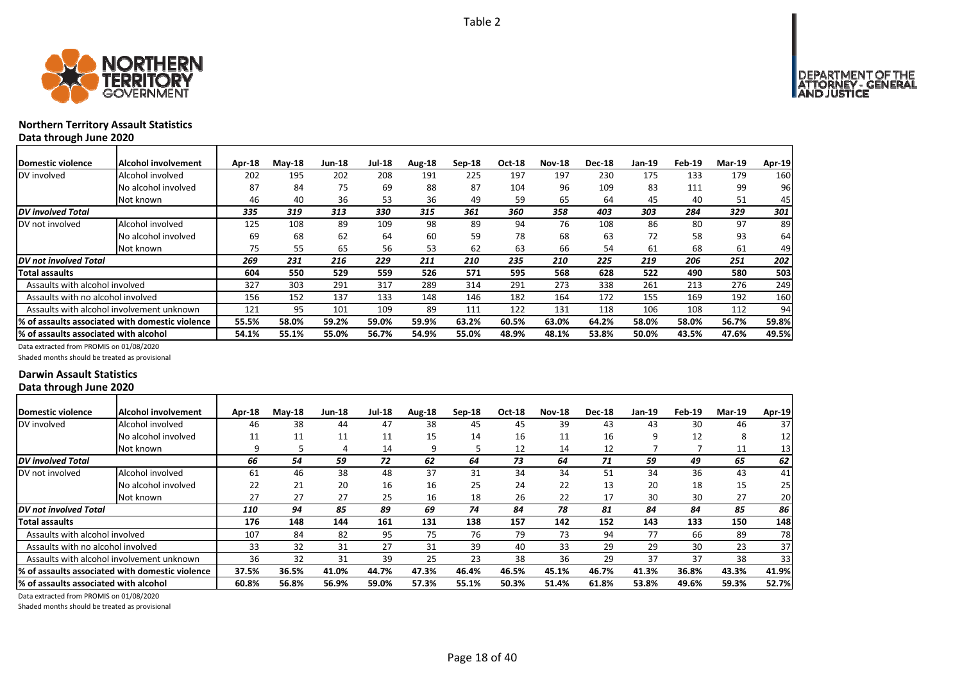

# **Northern Territory Assault Statistics Data through June 2020**

| Domestic violence                      | Alcohol involvement                              | Apr-18 | $M$ ay-18 | Jun-18 | <b>Jul-18</b> | Aug-18 | $Sep-18$ | <b>Oct-18</b> | <b>Nov-18</b> | <b>Dec-18</b> | Jan-19 | Feb-19 | <b>Mar-19</b> | Apr-19 |
|----------------------------------------|--------------------------------------------------|--------|-----------|--------|---------------|--------|----------|---------------|---------------|---------------|--------|--------|---------------|--------|
| DV involved                            | Alcohol involved                                 | 202    | 195       | 202    | 208           | 191    | 225      | 197           | 197           | 230           | 175    | 133    | 179           | 160    |
|                                        | No alcohol involved                              | 87     | 84        | 75     | 69            | 88     | 87       | 104           | 96            | 109           | 83     | 111    | 99            | 96     |
|                                        | Not known                                        | 46     | 40        | 36     | 53            | 36     | 49       | 59            | 65            | 64            | 45     | 40     | 51            | 45     |
| <b>DV</b> involved Total               |                                                  | 335    | 319       | 313    | 330           | 315    | 361      | 360           | 358           | 403           | 303    | 284    | 329           | 301    |
| DV not involved                        | Alcohol involved                                 | 125    | 108       | 89     | 109           | 98     | 89       | 94            | 76            | 108           | 86     | 80     | 97            | 89     |
|                                        | No alcohol involved                              | 69     | 68        | 62     | 64            | 60     | 59       | 78            | 68            | 63            | 72     | 58     | 93            | 64     |
|                                        | Not known                                        | 75     | 55        | 65     | 56            | 53     | 62       | 63            | 66            | 54            | 61     | 68     | 61            | 49     |
| DV not involved Total                  |                                                  | 269    | 231       | 216    | 229           | 211    | 210      | 235           | 210           | 225           | 219    | 206    | 251           | 202    |
| Total assaults                         |                                                  | 604    | 550       | 529    | 559           | 526    | 571      | 595           | 568           | 628           | 522    | 490    | 580           | 503    |
| Assaults with alcohol involved         |                                                  | 327    | 303       | 291    | 317           | 289    | 314      | 291           | 273           | 338           | 261    | 213    | 276           | 249    |
| Assaults with no alcohol involved      |                                                  | 156    | 152       | 137    | 133           | 148    | 146      | 182           | 164           | 172           | 155    | 169    | 192           | 160    |
|                                        | Assaults with alcohol involvement unknown        | 121    | 95        | 101    | 109           | 89     | 111      | 122           | 131           | 118           | 106    | 108    | 112           | 94     |
|                                        | I% of assaults associated with domestic violence | 55.5%  | 58.0%     | 59.2%  | 59.0%         | 59.9%  | 63.2%    | 60.5%         | 63.0%         | 64.2%         | 58.0%  | 58.0%  | 56.7%         | 59.8%  |
| I% of assaults associated with alcohol |                                                  | 54.1%  | 55.1%     | 55.0%  | 56.7%         | 54.9%  | 55.0%    | 48.9%         | 48.1%         | 53.8%         | 50.0%  | 43.5%  | 47.6%         | 49.5%  |

Data extracted from PROMIS on 01/08/2020

Shaded months should be treated as provisional

### **Darwin Assault Statistics Data through June 2020**

| <b>IDomestic violence</b>              | <b>Alcohol involvement</b>                       | Apr-18 | $M$ ay-18 | <b>Jun-18</b> | <b>Jul-18</b> | Aug-18 | $Sep-18$ | <b>Oct-18</b> | <b>Nov-18</b> | <b>Dec-18</b> | Jan-19 | Feb-19 | <b>Mar-19</b> | Apr-19          |
|----------------------------------------|--------------------------------------------------|--------|-----------|---------------|---------------|--------|----------|---------------|---------------|---------------|--------|--------|---------------|-----------------|
| DV involved                            | Alcohol involved                                 | 46     | 38        | 44            | 47            | 38     | 45       | 45            | 39            | 43            | 43     | 30     | 46            | 37              |
|                                        | No alcohol involved                              | 11     | 11        | 11            | 11            | 15     | 14       | 16            | 11            | 16            | q      | 12     | 8             | 12              |
|                                        | Not known                                        | q      |           | 4             | 14            | 9      | 5        | 12            | 14            | 12            |        |        | 11            | 13              |
| DV involved Total                      |                                                  | 66     | 54        | 59            | 72            | 62     | 64       | 73            | 64            | 71            | 59     | 49     | 65            | 62              |
| DV not involved                        | Alcohol involved                                 | 61     | 46        | 38            | 48            | 37     | 31       | 34            | 34            | 51            | 34     | 36     | 43            | 41              |
|                                        | No alcohol involved                              | 22     | 21        | 20            | 16            | 16     | 25       | 24            | 22            | 13            | 20     | 18     | 15            | 25              |
|                                        | Not known                                        | 27     | 27        | 27            | 25            | 16     | 18       | 26            | 22            | 17            | 30     | 30     | 27            | 20              |
| DV not involved Total                  |                                                  | 110    | 94        | 85            | 89            | 69     | 74       | 84            | 78            | 81            | 84     | 84     | 85            | 86              |
| Total assaults                         |                                                  | 176    | 148       | 144           | 161           | 131    | 138      | 157           | 142           | 152           | 143    | 133    | 150           | 148             |
| Assaults with alcohol involved         |                                                  | 107    | 84        | 82            | 95            | 75     | 76       | 79            | 73            | 94            | 77     | 66     | 89            | 78              |
| Assaults with no alcohol involved      |                                                  | 33     | 32        | 31            | 27            | 31     | 39       | 40            | 33            | 29            | 29     | 30     | 23            | 37 <sub>l</sub> |
|                                        | Assaults with alcohol involvement unknown        | 36     | 32        | 31            | 39            | 25     | 23       | 38            | 36            | 29            | 37     | 37     | 38            | 33              |
|                                        | 1% of assaults associated with domestic violence | 37.5%  | 36.5%     | 41.0%         | 44.7%         | 47.3%  | 46.4%    | 46.5%         | 45.1%         | 46.7%         | 41.3%  | 36.8%  | 43.3%         | 41.9%           |
| 1% of assaults associated with alcohol |                                                  | 60.8%  | 56.8%     | 56.9%         | 59.0%         | 57.3%  | 55.1%    | 50.3%         | 51.4%         | 61.8%         | 53.8%  | 49.6%  | 59.3%         | 52.7%           |

Data extracted from PROMIS on 01/08/2020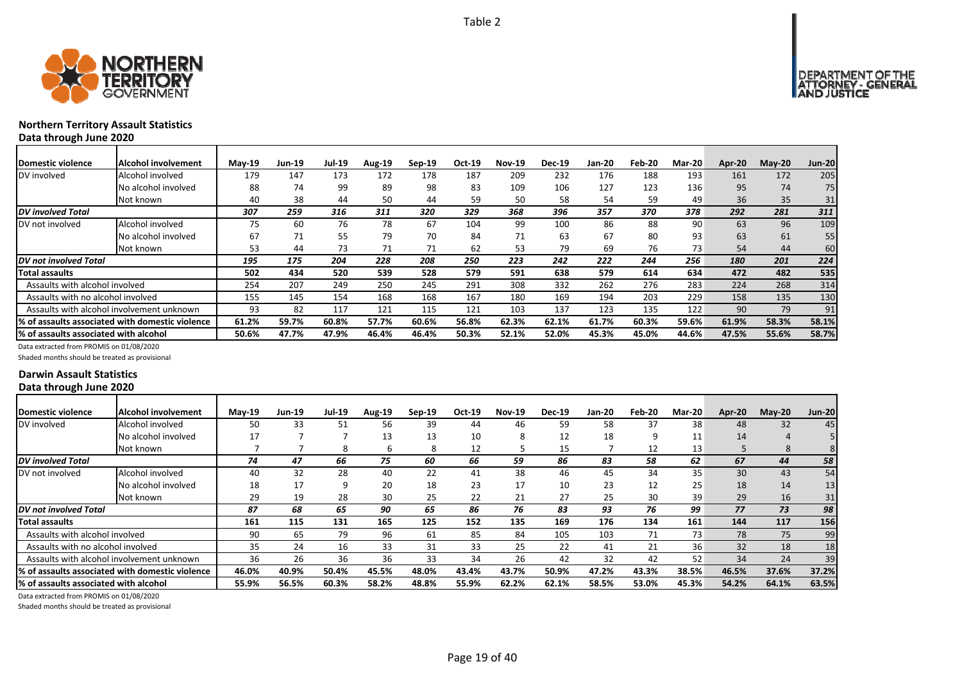



# **Northern Territory Assault Statistics Data through June 2020**

| <b>Domestic violence</b>                  | Alcohol involvement                             | <b>Mav-19</b> | Jun-19 | <b>Jul-19</b> | <b>Aug-19</b> | $Sep-19$ | Oct-19 | Nov-19 | <b>Dec-19</b> | Jan-20 | Feb-20 | <b>Mar-20</b> | Apr-20 | $Mav-20$ | <b>Jun-20</b> |
|-------------------------------------------|-------------------------------------------------|---------------|--------|---------------|---------------|----------|--------|--------|---------------|--------|--------|---------------|--------|----------|---------------|
| DV involved                               | Alcohol involved                                | 179           | 147    | 173           | 172           | 178      | 187    | 209    | 232           | 176    | 188    | 193           | 161    | 172      | 205           |
|                                           | No alcohol involved                             | 88            | 74     | 99            | 89            | 98       | 83     | 109    | 106           | 127    | 123    | 136           | 95     | 74       | 75            |
|                                           | Not known                                       | 40            | 38     | 44            | 50            | 44       | 59     | 50     | 58            | 54     | 59     | 49            | 36     | 35       | 31            |
| <b>DV</b> involved Total                  |                                                 | 307           | 259    | 316           | 311           | 320      | 329    | 368    | 396           | 357    | 370    | 378           | 292    | 281      | 311           |
| DV not involved                           | Alcohol involved                                | 75            | 60     | 76            | 78            | 67       | 104    | 99     | 100           | 86     | 88     | 90            | 63     | 96       | 109           |
|                                           | No alcohol involved                             | 67            | 71     | 55            | 79            | 70       | 84     | 71     | 63            | 67     | 80     | 93            | 63     | 61       | 55            |
|                                           | Not known                                       | 53            | 44     | 73            |               | 71       | 62     | 53     | 79            | 69     | 76     | 73            | 54     | 44       | 60            |
| DV not involved Total                     |                                                 | 195           | 175    | 204           | 228           | 208      | 250    | 223    | 242           | 222    | 244    | 256           | 180    | 201      | 224           |
| Total assaults                            |                                                 | 502           | 434    | 520           | 539           | 528      | 579    | 591    | 638           | 579    | 614    | 634           | 472    | 482      | 535           |
| Assaults with alcohol involved            |                                                 | 254           | 207    | 249           | 250           | 245      | 291    | 308    | 332           | 262    | 276    | 283           | 224    | 268      | 314           |
| Assaults with no alcohol involved         |                                                 | 155           | 145    | 154           | 168           | 168      | 167    | 180    | 169           | 194    | 203    | 229           | 158    | 135      | 130           |
| Assaults with alcohol involvement unknown |                                                 | 93            | 82     | 117           | 121           | 115      | 121    | 103    | 137           | 123    | 135    | 122           | 90     | 79       | 91            |
|                                           | % of assaults associated with domestic violence | 61.2%         | 59.7%  | 60.8%         | 57.7%         | 60.6%    | 56.8%  | 62.3%  | 62.1%         | 61.7%  | 60.3%  | 59.6%         | 61.9%  | 58.3%    | 58.1%         |
| % of assaults associated with alcohol     |                                                 | 50.6%         | 47.7%  | 47.9%         | 46.4%         | 46.4%    | 50.3%  | 52.1%  | 52.0%         | 45.3%  | 45.0%  | 44.6%         | 47.5%  | 55.6%    | 58.7%         |

Data extracted from PROMIS on 01/08/2020

Shaded months should be treated as provisional

### **Darwin Assault Statistics Data through June 2020**

| Domestic violence                      | Alcohol involvement                              | $M$ ay-19 | Jun-19 | <b>Jul-19</b> | <b>Aug-19</b> | $Sep-19$ | Oct-19 | <b>Nov-19</b> | <b>Dec-19</b> | Jan-20 | Feb-20 | <b>Mar-20</b> | Apr-20 | $M$ ay-20 | <b>Jun-20</b> |
|----------------------------------------|--------------------------------------------------|-----------|--------|---------------|---------------|----------|--------|---------------|---------------|--------|--------|---------------|--------|-----------|---------------|
| DV involved                            | Alcohol involved                                 | 50        | 33     | 51            | 56            | 39       | 44     | 46            | 59            | 58     | 37     | 38            | 48     | 32        | 45            |
|                                        | No alcohol involved                              | 17        |        |               | 13            | 13       | 10     | 8             | 12            | 18     | 9      | 11            | 14     | 4         |               |
|                                        | Not known                                        |           |        | Ջ             | h             | 8        | 12     |               | 15            |        | 12     | 13            |        | 8         |               |
| <b>DV</b> involved Total               |                                                  | 74        | 47     | 66            | 75            | 60       | 66     | 59            | 86            | 83     | 58     | 62            | 67     | 44        | 58            |
| DV not involved                        | Alcohol involved                                 | 40        | 32     | 28            | 40            | 22       | 41     | 38            | 46            | 45     | 34     | 35            | 30     | 43        | 54            |
|                                        | No alcohol involved                              | 18        | 17     | a             | 20            | 18       | 23     | 17            | 10            | 23     | 12     | 25            | 18     | 14        | 13            |
|                                        | Not known                                        | 29        | 19     | 28            | 30            | 25       | 22     | 21            | 27            | 25     | 30     | 39            | 29     | 16        | 31            |
| DV not involved Total                  |                                                  | 87        | 68     | 65            | 90            | 65       | 86     | 76            | 83            | 93     | 76     | 99            | 77     | 73        | 98            |
| Total assaults                         |                                                  | 161       | 115    | 131           | 165           | 125      | 152    | 135           | 169           | 176    | 134    | 161           | 144    | 117       | 156           |
| Assaults with alcohol involved         |                                                  | 90        | 65     | 79            | 96            | 61       | 85     | 84            | 105           | 103    | 71     | 73            | 78     | 75        | 99            |
| Assaults with no alcohol involved      |                                                  | 35        | 24     | 16            | 33            | 31       | 33     | 25            | 22            | 41     | 21     | 36            | 32     | 18        | 18            |
|                                        | Assaults with alcohol involvement unknown        | 36        | 26     | 36            | 36            | 33       | 34     | 26            | 42            | 32     | 42     | 52            | 34     | 24        | 39            |
|                                        | I% of assaults associated with domestic violence | 46.0%     | 40.9%  | 50.4%         | 45.5%         | 48.0%    | 43.4%  | 43.7%         | 50.9%         | 47.2%  | 43.3%  | 38.5%         | 46.5%  | 37.6%     | 37.2%         |
| I% of assaults associated with alcohol |                                                  | 55.9%     | 56.5%  | 60.3%         | 58.2%         | 48.8%    | 55.9%  | 62.2%         | 62.1%         | 58.5%  | 53.0%  | 45.3%         | 54.2%  | 64.1%     | 63.5%         |

Data extracted from PROMIS on 01/08/2020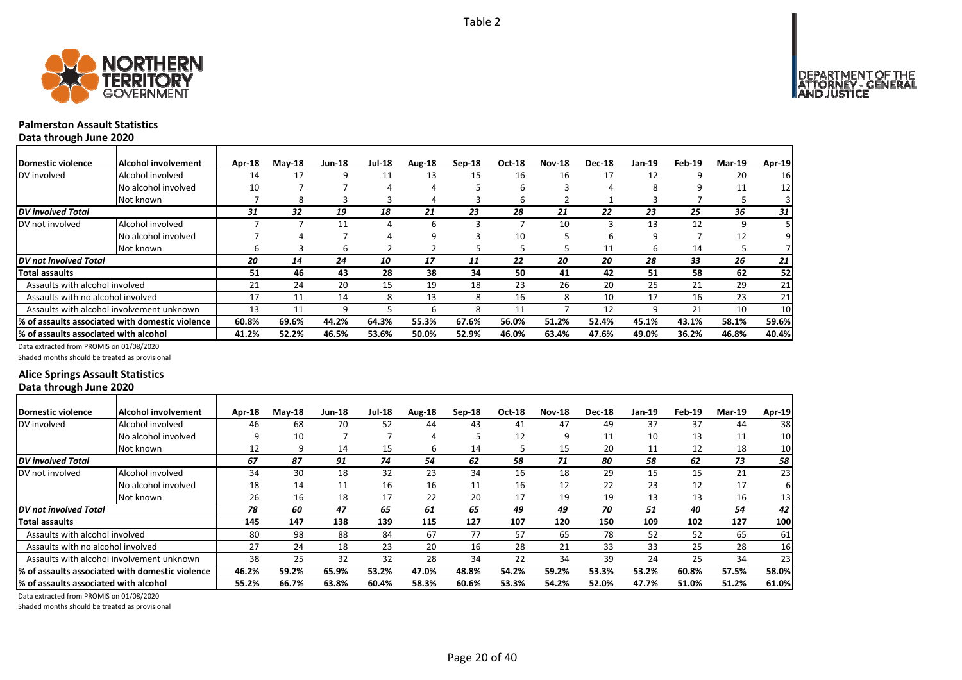

# **Palmerston Assault Statistics**

**Data through June 2020**

| <b>IDomestic violence</b>             | Alcohol involvement                              | Apr-18 | $M$ ay-18 | <b>Jun-18</b> | <b>Jul-18</b> | Aug-18 | $Sep-18$ | <b>Oct-18</b> | <b>Nov-18</b> | <b>Dec-18</b> | Jan-19 | Feb-19 | <b>Mar-19</b> | Apr-19 |
|---------------------------------------|--------------------------------------------------|--------|-----------|---------------|---------------|--------|----------|---------------|---------------|---------------|--------|--------|---------------|--------|
| DV involved                           | Alcohol involved                                 | 14     | 17        | 9             | 11            | 13     | 15       | 16            | 16            | 17            | 12     |        | 20            | 16     |
|                                       | No alcohol involved                              | 10     |           |               |               | 4      |          | 6             |               |               | 8      |        | 11            | 12     |
|                                       | Not known                                        |        | 8         |               |               | 4      |          | b             |               |               |        |        |               |        |
| <b>DV</b> involved Total              |                                                  | 31     | 32        | 19            | 18            | 21     | 23       | 28            | 21            | 22            | 23     | 25     | 36            | 31     |
| DV not involved                       | Alcohol involved                                 |        |           | 11            |               | 6      |          |               | 10            |               | 13     | 12     | q             |        |
|                                       | No alcohol involved                              |        |           |               |               | 9      |          | 10            |               |               | 9      |        | 12            |        |
|                                       | Not known                                        | h      |           | h             |               |        |          |               |               | 11            | 6      | 14     |               |        |
| <b>DV</b> not involved Total          |                                                  | 20     | 14        | 24            | 10            | 17     | 11       | 22            | 20            | 20            | 28     | 33     | 26            | 21     |
| <b>Total assaults</b>                 |                                                  | 51     | 46        | 43            | 28            | 38     | 34       | 50            | 41            | 42            | 51     | 58     | 62            | 52     |
| Assaults with alcohol involved        |                                                  | 21     | 24        | 20            | 15            | 19     | 18       | 23            | 26            | 20            | 25     | 21     | 29            | 21     |
| Assaults with no alcohol involved     |                                                  | 17     | 11        | 14            | 8             | 13     | 8        | 16            | 8             | 10            | 17     | 16     | 23            | 21     |
|                                       | Assaults with alcohol involvement unknown        | 13     | 11        | 9             |               | 6      | 8        | 11            |               | 12            | 9      | 21     | 10            | 10     |
|                                       | 1% of assaults associated with domestic violence | 60.8%  | 69.6%     | 44.2%         | 64.3%         | 55.3%  | 67.6%    | 56.0%         | 51.2%         | 52.4%         | 45.1%  | 43.1%  | 58.1%         | 59.6%  |
| % of assaults associated with alcohol |                                                  | 41.2%  | 52.2%     | 46.5%         | 53.6%         | 50.0%  | 52.9%    | 46.0%         | 63.4%         | 47.6%         | 49.0%  | 36.2%  | 46.8%         | 40.4%  |

Data extracted from PROMIS on 01/08/2020

Shaded months should be treated as provisional

### **Alice Springs Assault Statistics Data through June 2020**

| Domestic violence                     | Alcohol involvement                              | Apr-18 | $Mav-18$ | <b>Jun-18</b> | <b>Jul-18</b> | Aug-18 | Sep-18 | <b>Oct-18</b> | <b>Nov-18</b> | <b>Dec-18</b> | Jan-19 | Feb-19 | <b>Mar-19</b> | Apr-19 |
|---------------------------------------|--------------------------------------------------|--------|----------|---------------|---------------|--------|--------|---------------|---------------|---------------|--------|--------|---------------|--------|
| DV involved                           | Alcohol involved                                 | 46     | 68       | 70            | 52            | 44     | 43     | 41            | 47            | 49            | 37     | 37     | 44            | 38     |
|                                       | No alcohol involved                              |        | 10       |               |               | 4      |        | 12            |               | 11            | 10     | 13     | 11            | 10     |
|                                       | Not known                                        | 12     | q        | 14            | 15            | 6      | 14     |               | 15            | 20            | 11     | 12     | 18            | 10     |
| <b>DV</b> involved Total              |                                                  | 67     | 87       | 91            | 74            | 54     | 62     | 58            | 71            | 80            | 58     | 62     | 73            | 58     |
| DV not involved                       | Alcohol involved                                 | 34     | 30       | 18            | 32            | 23     | 34     | 16            | 18            | 29            | 15     | 15     | 21            | 23     |
|                                       | No alcohol involved                              | 18     | 14       | 11            | 16            | 16     | 11     | 16            | 12            | 22            | 23     | 12     | 17            | 61     |
|                                       | Not known                                        | 26     | 16       | 18            | 17            | 22     | 20     | 17            | 19            | 19            | 13     | 13     | 16            | 13     |
| DV not involved Total                 |                                                  | 78     | 60       | 47            | 65            | 61     | 65     | 49            | 49            | 70            | 51     | 40     | 54            | 42     |
| Total assaults                        |                                                  | 145    | 147      | 138           | 139           | 115    | 127    | 107           | 120           | 150           | 109    | 102    | 127           | 100    |
| Assaults with alcohol involved        |                                                  | 80     | 98       | 88            | 84            | 67     | 77     | 57            | 65            | 78            | 52     | 52     | 65            | 61     |
| Assaults with no alcohol involved     |                                                  | 27     | 24       | 18            | 23            | 20     | 16     | 28            | 21            | 33            | 33     | 25     | 28            | 16     |
|                                       | Assaults with alcohol involvement unknown        | 38     | 25       | 32            | 32            | 28     | 34     | 22            | 34            | 39            | 24     | 25     | 34            | 23     |
|                                       | I% of assaults associated with domestic violence | 46.2%  | 59.2%    | 65.9%         | 53.2%         | 47.0%  | 48.8%  | 54.2%         | 59.2%         | 53.3%         | 53.2%  | 60.8%  | 57.5%         | 58.0%  |
| % of assaults associated with alcohol |                                                  | 55.2%  | 66.7%    | 63.8%         | 60.4%         | 58.3%  | 60.6%  | 53.3%         | 54.2%         | 52.0%         | 47.7%  | 51.0%  | 51.2%         | 61.0%  |

Data extracted from PROMIS on 01/08/2020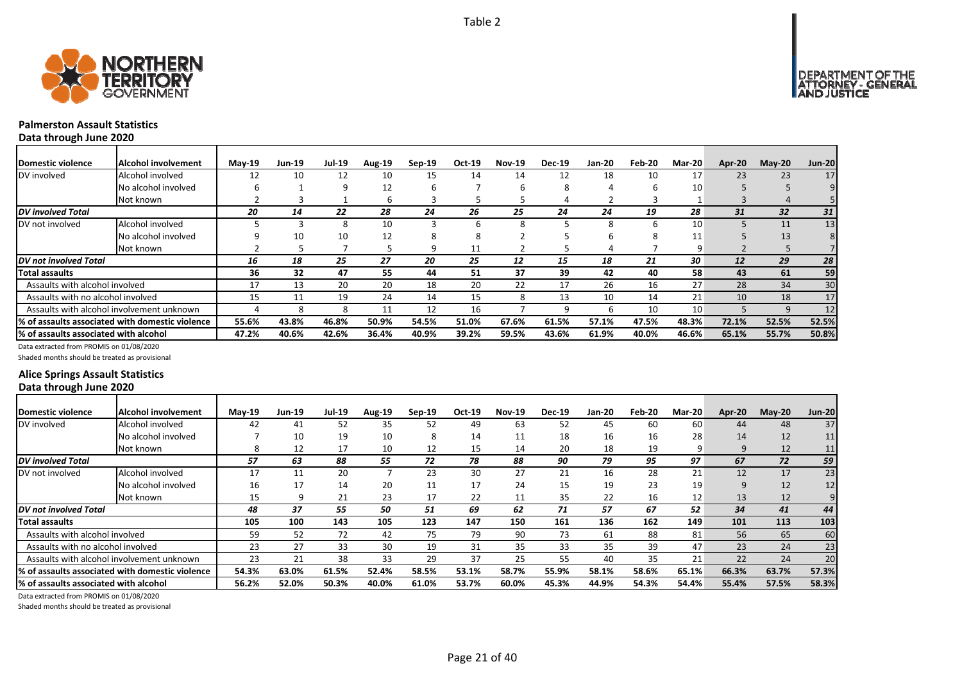



# **Palmerston Assault Statistics**

**Data through June 2020**

| Domestic violence                     | <b>Alcohol involvement</b>                       | $Mav-19$ | <b>Jun-19</b> | Jul-19 | <b>Aug-19</b> | $Sep-19$ | Oct-19 | <b>Nov-19</b> | <b>Dec-19</b> | <b>Jan-20</b> | Feb-20 | Mar-20 | Apr-20 | $M$ ay-20       | <b>Jun-20</b> |
|---------------------------------------|--------------------------------------------------|----------|---------------|--------|---------------|----------|--------|---------------|---------------|---------------|--------|--------|--------|-----------------|---------------|
| DV involved                           | Alcohol involved                                 | 12       | 10            | 12     | 10            | 15       | 14     | 14            | 12            | 18            | 10     | 17     | 23     | 23              | 17            |
|                                       | No alcohol involved                              |          |               | 9      | 12            | h        |        |               | 8             | Д             | h      | 10     |        |                 |               |
|                                       | Not known                                        |          |               |        | ь             |          |        |               |               |               |        |        |        |                 |               |
| <b>DV</b> involved Total              |                                                  | 20       | 14            | 22     | 28            | 24       | 26     | 25            | 24            | 24            | 19     | 28     | 31     | 32 <sup>2</sup> | 31            |
| DV not involved                       | Alcohol involved                                 |          |               | 8      | 10            |          | h      |               |               | 8             | h      | 10     |        | 11              | 13            |
|                                       | No alcohol involved                              |          | 10            | 10     | 12            | ŏ        | Õ      |               |               | h             | 8      | 11     |        | 13              | 8             |
|                                       | Not known                                        |          |               |        |               | q        | 11     |               |               | 4             |        | 9      |        |                 |               |
| <b>DV</b> not involved Total          |                                                  | 16       | 18            | 25     | 27            | 20       | 25     | 12            | 15            | 18            | 21     | 30     | 12     | 29              | 28            |
| Total assaults                        |                                                  | 36       | 32            | 47     | 55            | 44       | 51     | 37            | 39            | 42            | 40     | 58     | 43     | 61              | 59            |
| Assaults with alcohol involved        |                                                  | 17       | 13            | 20     | 20            | 18       | 20     | 22            | 17            | 26            | 16     | 27     | 28     | 34              | 30            |
| Assaults with no alcohol involved     |                                                  | 15       | 11            | 19     | 24            | 14       | 15     | 8             | 13            | 10            | 14     | 21     | 10     | 18              | 17            |
|                                       | Assaults with alcohol involvement unknown        |          |               |        | 11            | 12       | 16     |               | a             | h             | 10     | 10     |        | q               | 12            |
|                                       | 1% of assaults associated with domestic violence | 55.6%    | 43.8%         | 46.8%  | 50.9%         | 54.5%    | 51.0%  | 67.6%         | 61.5%         | 57.1%         | 47.5%  | 48.3%  | 72.1%  | 52.5%           | 52.5%         |
| % of assaults associated with alcohol |                                                  | 47.2%    | 40.6%         | 42.6%  | 36.4%         | 40.9%    | 39.2%  | 59.5%         | 43.6%         | 61.9%         | 40.0%  | 46.6%  | 65.1%  | 55.7%           | 50.8%         |

Data extracted from PROMIS on 01/08/2020

Shaded months should be treated as provisional

### **Alice Springs Assault Statistics Data through June 2020**

| Domestic violence                     | Alcohol involvement                              | $M$ ay-19 | <b>Jun-19</b> | Jul-19 | <b>Aug-19</b> | $Sep-19$ | Oct-19 | <b>Nov-19</b> | <b>Dec-19</b> | Jan-20 | Feb-20 | <b>Mar-20</b> | Apr-20 | $May-20$ | <b>Jun-20</b> |
|---------------------------------------|--------------------------------------------------|-----------|---------------|--------|---------------|----------|--------|---------------|---------------|--------|--------|---------------|--------|----------|---------------|
| DV involved                           | Alcohol involved                                 | 42        | 41            | 52     | 35            | 52       | 49     | 63            | 52            | 45     | 60     | 60            | 44     | 48       | 37            |
|                                       | No alcohol involved                              |           | 10            | 19     | 10            | 8        | 14     | 11            | 18            | 16     | 16     | 28            | 14     | 12       | 11            |
|                                       | Not known                                        |           | 12            | 17     | 10            | 12       | 15     | 14            | 20            | 18     | 19     | q             | 9      | 12       | 11            |
| <b>DV</b> involved Total              |                                                  | 57        | 63            | 88     | 55            | 72       | 78     | 88            | 90            | 79     | 95     | 97            | 67     | 72       | 59            |
| DV not involved                       | Alcohol involved                                 | 17        | 11            | 20     |               | 23       | 30     | 27            | 21            | 16     | 28     | 21            | 12     | 17       | 23            |
|                                       | No alcohol involved                              | 16        | 17            | 14     | 20            | 11       | 17     | 24            | 15            | 19     | 23     | 19            | 9      | 12       | 12            |
|                                       | Not known                                        | 15        |               | 21     | 23            | 17       | 22     | 11            | 35            | 22     | 16     | 12            | 13     | 12       |               |
| <b>DV</b> not involved Total          |                                                  | 48        | 37            | 55     | 50            | 51       | 69     | 62            | 71            | 57     | 67     | 52            | 34     | 41       | 44            |
| <b>Total assaults</b>                 |                                                  | 105       | 100           | 143    | 105           | 123      | 147    | 150           | 161           | 136    | 162    | 149           | 101    | 113      | 103           |
| Assaults with alcohol involved        |                                                  | 59        | 52            | 72     | 42            | 75       | 79     | 90            | 73            | 61     | 88     | 81            | 56     | 65       | 60            |
| Assaults with no alcohol involved     |                                                  | 23        | 27            | 33     | 30            | 19       | 31     | 35            | 33            | 35     | 39     | 47            | 23     | 24       | 23            |
|                                       | Assaults with alcohol involvement unknown        | 23        | 21            | 38     | 33            | 29       | 37     | 25            | 55            | 40     | 35     | 21            | 22     | 24       | 20            |
|                                       | l% of assaults associated with domestic violence | 54.3%     | 63.0%         | 61.5%  | 52.4%         | 58.5%    | 53.1%  | 58.7%         | 55.9%         | 58.1%  | 58.6%  | 65.1%         | 66.3%  | 63.7%    | 57.3%         |
| % of assaults associated with alcohol |                                                  | 56.2%     | 52.0%         | 50.3%  | 40.0%         | 61.0%    | 53.7%  | 60.0%         | 45.3%         | 44.9%  | 54.3%  | 54.4%         | 55.4%  | 57.5%    | 58.3%         |

Data extracted from PROMIS on 01/08/2020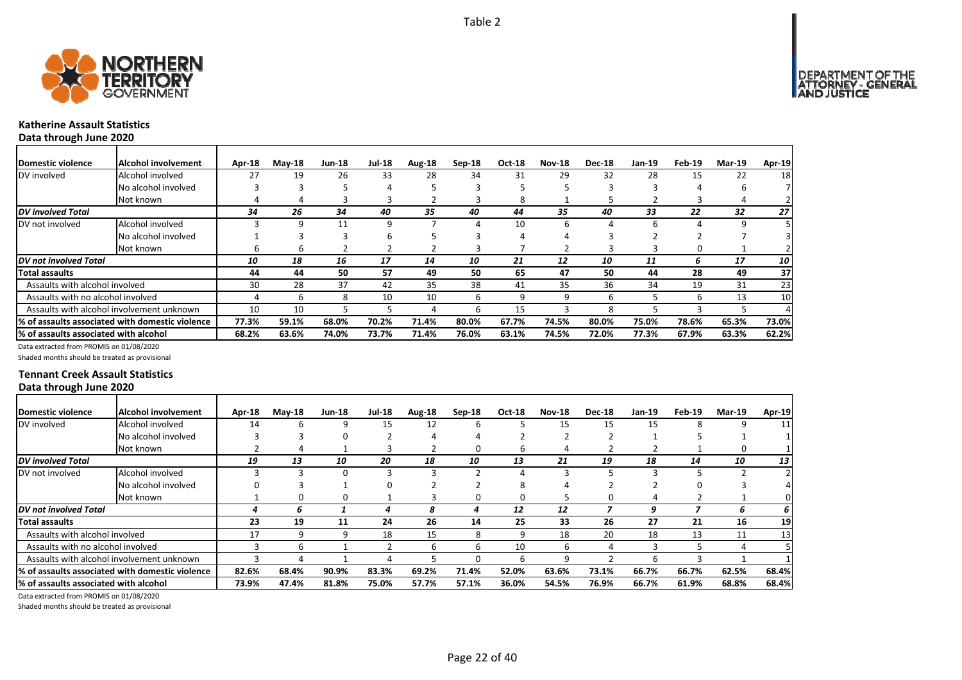



# **Katherine Assault Statistics**

**Data through June 2020**

| Domestic violence                     | Alcohol involvement                             | Apr-18 | $M$ ay-18 | Jun-18 | <b>Jul-18</b> | Aug-18 | $Sep-18$ | <b>Oct-18</b> | <b>Nov-18</b> | <b>Dec-18</b> | Jan-19 | Feb-19 | Mar-19 | Apr-19 |
|---------------------------------------|-------------------------------------------------|--------|-----------|--------|---------------|--------|----------|---------------|---------------|---------------|--------|--------|--------|--------|
| DV involved                           | Alcohol involved                                | 27     | 19        | 26     | 33            | 28     | 34       | 31            | 29            | 32            | 28     | 15     | 22     | 18     |
|                                       | No alcohol involved                             |        |           |        |               |        |          |               |               |               |        |        |        |        |
|                                       | Not known                                       |        |           |        |               |        |          | 8             |               |               |        |        |        |        |
| <b>DV</b> involved Total              |                                                 | 34     | 26        | 34     | 40            | 35     | 40       | 44            | 35            | 40            | 33     | 22     | 32     | 27     |
| DV not involved                       | Alcohol involved                                |        | ٩         | 11     | 9             |        | 4        | 10            | h             |               | 6      |        |        |        |
|                                       | No alcohol involved                             |        |           |        | h             |        |          |               |               |               |        |        |        |        |
|                                       | Not known                                       | n      | ь         |        |               |        | ς        |               |               |               |        |        |        |        |
| <b>DV</b> not involved Total          |                                                 | 10     | 18        | 16     | 17            | 14     | 10       | 21            | 12            | 10            | 11     | 6      | 17     | 10     |
| <b>Total assaults</b>                 |                                                 | 44     | 44        | 50     | 57            | 49     | 50       | 65            | 47            | 50            | 44     | 28     | 49     | 37     |
| Assaults with alcohol involved        |                                                 | 30     | 28        | 37     | 42            | 35     | 38       | 41            | 35            | 36            | 34     | 19     | 31     | 23     |
| Assaults with no alcohol involved     |                                                 | 4      | ь         | 8      | 10            | 10     | 6        | 9             |               |               |        | h      | 13     | 10     |
|                                       | Assaults with alcohol involvement unknown       | 10     | 10        |        |               | 4      | b        | 15            |               |               |        |        |        |        |
|                                       | % of assaults associated with domestic violence | 77.3%  | 59.1%     | 68.0%  | 70.2%         | 71.4%  | 80.0%    | 67.7%         | 74.5%         | 80.0%         | 75.0%  | 78.6%  | 65.3%  | 73.0%  |
| % of assaults associated with alcohol |                                                 | 68.2%  | 63.6%     | 74.0%  | 73.7%         | 71.4%  | 76.0%    | 63.1%         | 74.5%         | 72.0%         | 77.3%  | 67.9%  | 63.3%  | 62.2%  |

Data extracted from PROMIS on 01/08/2020

Shaded months should be treated as provisional

### **Tennant Creek Assault Statistics Data through June 2020**

| Domestic violence                      | <b>Alcohol involvement</b>                       | Apr-18 | $M$ ay-18 | <b>Jun-18</b> | <b>Jul-18</b> | Aug-18 | $Sep-18$ | <b>Oct-18</b> | <b>Nov-18</b> | <b>Dec-18</b> | <b>Jan-19</b> | Feb-19 | <b>Mar-19</b> | Apr-19 |
|----------------------------------------|--------------------------------------------------|--------|-----------|---------------|---------------|--------|----------|---------------|---------------|---------------|---------------|--------|---------------|--------|
| DV involved                            | Alcohol involved                                 | 14     | 6         | 9             | 15            | 12     | 6        |               | 15            | 15            | 15            | 8      | 9             | 11     |
|                                        | No alcohol involved                              |        |           | O             |               |        | Δ        |               |               |               |               |        |               |        |
|                                        | Not known                                        |        | 4         |               |               |        | 0        | 6             |               |               |               |        |               |        |
| <b>DV</b> involved Total               |                                                  | 19     | 13        | 10            | 20            | 18     | 10       | 13            | 21            | 19            | 18            | 14     | 10            | 13     |
| DV not involved                        | Alcohol involved                                 |        |           | 0             |               |        |          |               |               |               |               |        |               |        |
|                                        | No alcohol involved                              |        |           |               |               |        |          | 8             |               |               |               |        |               |        |
|                                        | Not known                                        |        |           | 0             |               |        | 0        | 0             |               |               | 4             |        |               |        |
| DV not involved Total                  |                                                  |        | n         |               |               | 8      | 4        | 12            | 12            |               | 9             |        | h             | 6 I    |
| <b>Total assaults</b>                  |                                                  | 23     | 19        | 11            | 24            | 26     | 14       | 25            | 33            | 26            | 27            | 21     | 16            | 19     |
| Assaults with alcohol involved         |                                                  | 17     |           | q             | 18            | 15     | 8        | q             | 18            | 20            | 18            | 13     | 11            | 13     |
| Assaults with no alcohol involved      |                                                  |        | b         |               |               | 6      | 6        | 10            | b             |               |               |        | 4             |        |
|                                        | Assaults with alcohol involvement unknown        |        | Д         |               |               |        | ი        | b             |               |               | h             |        |               |        |
|                                        | 1% of assaults associated with domestic violence | 82.6%  | 68.4%     | 90.9%         | 83.3%         | 69.2%  | 71.4%    | 52.0%         | 63.6%         | 73.1%         | 66.7%         | 66.7%  | 62.5%         | 68.4%  |
| l% of assaults associated with alcohol |                                                  | 73.9%  | 47.4%     | 81.8%         | 75.0%         | 57.7%  | 57.1%    | 36.0%         | 54.5%         | 76.9%         | 66.7%         | 61.9%  | 68.8%         | 68.4%  |

Data extracted from PROMIS on 01/08/2020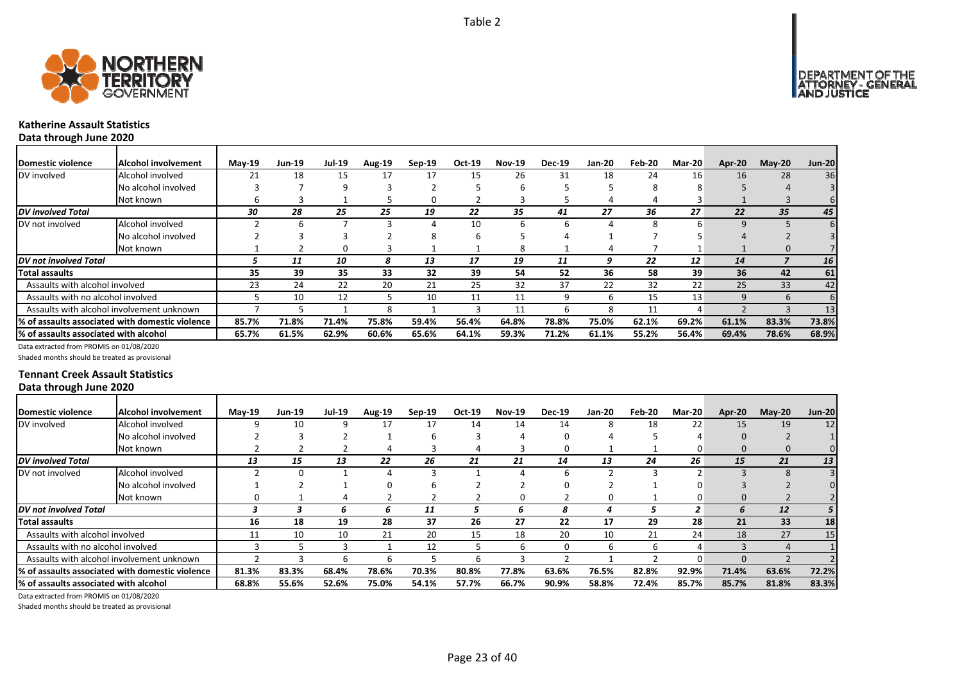



# **Katherine Assault Statistics**

**Data through June 2020**

| <b>IDomestic violence</b>             | Alcohol involvement                              | $M$ ay-19 | Jun-19 | <b>Jul-19</b> | <b>Aug-19</b> | $Sep-19$ | Oct-19 | <b>Nov-19</b> | <b>Dec-19</b> | Jan-20 | Feb-20 | <b>Mar-20</b> | Apr-20 | $M$ ay-20 | <b>Jun-20</b>   |
|---------------------------------------|--------------------------------------------------|-----------|--------|---------------|---------------|----------|--------|---------------|---------------|--------|--------|---------------|--------|-----------|-----------------|
| DV involved                           | Alcohol involved                                 | 21        | 18     | 15            | 17            | 17       | 15     | 26            | 31            | 18     | 24     | 16            | 16     | 28        | 36              |
|                                       | No alcohol involved                              |           |        |               |               |          |        | n             |               |        | Ջ      |               |        |           |                 |
|                                       | Not known                                        | h         |        |               |               | O        |        |               |               |        | 4      |               |        |           |                 |
| DV involved Total                     |                                                  | 30        | 28     | 25            | 25            | 19       | 22     | 35            | 41            | 27     | 36     | 27            | 22     | 35        | 45              |
| DV not involved                       | Alcohol involved                                 |           |        |               |               |          | 10     | 6             | 6             |        | 8      | n             | 9      |           |                 |
|                                       | No alcohol involved                              |           |        |               |               | 8        |        |               |               |        |        |               |        |           |                 |
|                                       | Not known                                        |           |        |               |               |          |        | я             |               |        |        |               |        | $\Omega$  |                 |
| <b>DV</b> not involved Total          |                                                  |           | 11     | 10            | 8             | 13       | 17     | 19            | 11            | 9      | 22     | 12            | 14     |           | 16 <sup>1</sup> |
| <b>Total assaults</b>                 |                                                  | 35        | 39     | 35            | 33            | 32       | 39     | 54            | 52            | 36     | 58     | 39            | 36     | 42        | 61              |
| Assaults with alcohol involved        |                                                  | 23        | 24     | 22            | 20            | 21       | 25     | 32            | 37            | 22     | 32     | 22            | 25     | 33        | 42              |
| Assaults with no alcohol involved     |                                                  |           | 10     | 12            |               | 10       | 11     | 11            | q             | 6      | 15     | 13            | 9      | 6         |                 |
|                                       | Assaults with alcohol involvement unknown        |           |        |               | Ջ             |          |        | 11            | h             | 8      | 11     | 4             |        |           | 13              |
|                                       | 1% of assaults associated with domestic violence | 85.7%     | 71.8%  | 71.4%         | 75.8%         | 59.4%    | 56.4%  | 64.8%         | 78.8%         | 75.0%  | 62.1%  | 69.2%         | 61.1%  | 83.3%     | 73.8%           |
| % of assaults associated with alcohol |                                                  | 65.7%     | 61.5%  | 62.9%         | 60.6%         | 65.6%    | 64.1%  | 59.3%         | 71.2%         | 61.1%  | 55.2%  | 56.4%         | 69.4%  | 78.6%     | 68.9%           |

Data extracted from PROMIS on 01/08/2020

Shaded months should be treated as provisional

### **Tennant Creek Assault Statistics Data through June 2020**

| Domestic violence                     | <b>Alcohol involvement</b>                       | <b>May-19</b> | <b>Jun-19</b> | <b>Jul-19</b> | <b>Aug-19</b> | Sep-19 | Oct-19 | <b>Nov-19</b> | <b>Dec-19</b> | <b>Jan-20</b> | Feb-20 | <b>Mar-20</b> | Apr-20   | $May-20$  | <b>Jun-20</b> |
|---------------------------------------|--------------------------------------------------|---------------|---------------|---------------|---------------|--------|--------|---------------|---------------|---------------|--------|---------------|----------|-----------|---------------|
| DV involved                           | Alcohol involved                                 |               | 10            |               | 17            | 17     | 14     | 14            | 14            | 8             | 18     | 22            | 15       | 19        | 12            |
|                                       | No alcohol involved                              |               |               |               |               | ь      |        |               |               |               |        |               |          |           |               |
|                                       | Not known                                        |               |               |               |               |        |        |               | 0             |               |        | O             | $\Omega$ | $\Omega$  |               |
| <b>DV</b> involved Total              |                                                  | 13            | 15            | 13            | 22            | 26     | 21     | 21            | 14            | 13            | 24     | 26            | 15       | 21        | 13            |
| DV not involved                       | Alcohol involved                                 |               |               |               |               |        |        |               |               |               |        |               |          | 8         |               |
|                                       | No alcohol involved                              |               |               |               |               |        |        |               |               |               |        |               |          |           |               |
|                                       | Not known                                        |               |               |               |               |        |        | Ω             |               |               |        |               | 0        |           |               |
| <b>DV</b> not involved Total          |                                                  |               |               |               | 6             | 11     |        | h             | 8             |               |        |               |          | <b>12</b> |               |
| <b>Total assaults</b>                 |                                                  | 16            | 18            | 19            | 28            | 37     | 26     | 27            | 22            | 17            | 29     | 28            | 21       | 33        | 18            |
| Assaults with alcohol involved        |                                                  |               | 10            | 10            | 21            | 20     | 15     | 18            | 20            | 10            | 21     | 24            | 18       | 27        | 15            |
| Assaults with no alcohol involved     |                                                  |               |               |               |               | 12     |        | h             | 0             | ь             | ь      | 4             |          | 4         |               |
|                                       | Assaults with alcohol involvement unknown        |               |               |               |               |        |        |               |               |               |        | O             | $\Omega$ |           |               |
|                                       | 1% of assaults associated with domestic violence | 81.3%         | 83.3%         | 68.4%         | 78.6%         | 70.3%  | 80.8%  | 77.8%         | 63.6%         | 76.5%         | 82.8%  | 92.9%         | 71.4%    | 63.6%     | 72.2%         |
| % of assaults associated with alcohol |                                                  | 68.8%         | 55.6%         | 52.6%         | 75.0%         | 54.1%  | 57.7%  | 66.7%         | 90.9%         | 58.8%         | 72.4%  | 85.7%         | 85.7%    | 81.8%     | 83.3%         |

Data extracted from PROMIS on 01/08/2020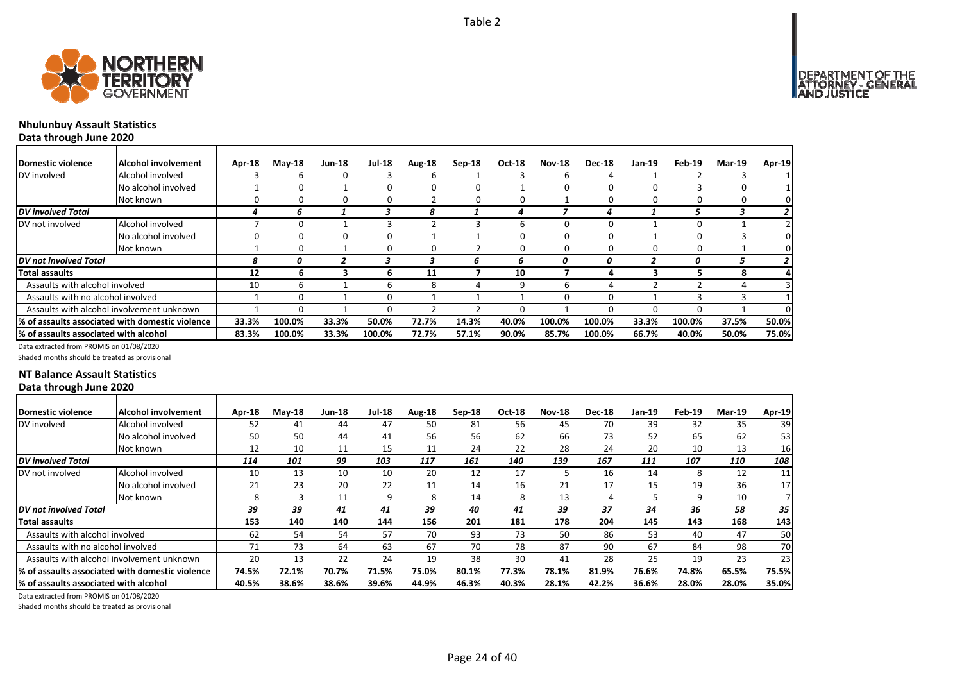

# **Nhulunbuy Assault Statistics**

**Data through June 2020**

| Domestic violence                     | <b>Alcohol involvement</b>                       | Apr-18 | $M$ ay-18 | <b>Jun-18</b> | <b>Jul-18</b> | Aug-18       | $Sep-18$     | Oct-18 | <b>Nov-18</b> | <b>Dec-18</b> | Jan-19 | Feb-19 | <b>Mar-19</b> | Apr-19 |
|---------------------------------------|--------------------------------------------------|--------|-----------|---------------|---------------|--------------|--------------|--------|---------------|---------------|--------|--------|---------------|--------|
| DV involved                           | Alcohol involved                                 |        | b         | 0             |               | b            |              |        | h             |               |        |        |               |        |
|                                       | No alcohol involved                              |        | 0         |               | O             | <sup>0</sup> | <sup>0</sup> |        |               |               |        |        |               |        |
|                                       | Not known                                        |        | 0         | 0             | 0             |              | 0            |        |               |               |        |        |               | 0      |
| <b>DV</b> involved Total              |                                                  |        | n         |               |               | 8            |              |        |               |               |        |        |               |        |
| DV not involved                       | Alcohol involved                                 |        |           |               |               |              |              |        |               |               |        |        |               |        |
|                                       | No alcohol involved                              | 0      | 0         | 0             | 0             |              |              |        |               |               |        |        |               |        |
|                                       | Not known                                        |        | 0         |               | 0             | 0            |              |        |               |               |        |        |               | 0      |
| <b>DV</b> not involved Total          |                                                  | 8      |           |               |               |              | ь            | ь      |               | 0             |        | 0      |               |        |
| <b>Total assaults</b>                 |                                                  | 12     | ь         |               | ь             | 11           |              | 10     |               |               |        |        |               |        |
| Assaults with alcohol involved        |                                                  | 10     | 6         |               | b             | 8            | 4            | q      |               |               |        |        |               |        |
| Assaults with no alcohol involved     |                                                  |        | 0         |               | 0             |              |              |        |               |               |        |        |               |        |
|                                       | Assaults with alcohol involvement unknown        |        | ი         |               | O             |              |              |        |               |               |        |        |               | O.     |
|                                       | 1% of assaults associated with domestic violence | 33.3%  | 100.0%    | 33.3%         | 50.0%         | 72.7%        | 14.3%        | 40.0%  | 100.0%        | 100.0%        | 33.3%  | 100.0% | 37.5%         | 50.0%  |
| % of assaults associated with alcohol |                                                  | 83.3%  | 100.0%    | 33.3%         | 100.0%        | 72.7%        | 57.1%        | 90.0%  | 85.7%         | 100.0%        | 66.7%  | 40.0%  | 50.0%         | 75.0%  |

Data extracted from PROMIS on 01/08/2020

Shaded months should be treated as provisional

### **NT Balance Assault Statistics Data through June 2020**

| Domestic violence                     | Alcohol involvement                              | Apr-18 | $M$ ay-18 | <b>Jun-18</b> | <b>Jul-18</b> | Aug-18 | $Sep-18$ | Oct-18 | <b>Nov-18</b> | <b>Dec-18</b> | <b>Jan-19</b> | Feb-19 | <b>Mar-19</b> | Apr-19          |
|---------------------------------------|--------------------------------------------------|--------|-----------|---------------|---------------|--------|----------|--------|---------------|---------------|---------------|--------|---------------|-----------------|
| DV involved                           | Alcohol involved                                 | 52     | 41        | 44            | 47            | 50     | 81       | 56     | 45            | 70            | 39            | 32     | 35            | 39              |
|                                       | No alcohol involved                              | 50     | 50        | 44            | 41            | 56     | 56       | 62     | 66            | 73            | 52            | 65     | 62            | 53              |
|                                       | Not known                                        | 12     | 10        | 11            | 15            | 11     | 24       | 22     | 28            | 24            | 20            | 10     | 13            | 16              |
| DV involved Total                     |                                                  | 114    | 101       | 99            | 103           | 117    | 161      | 140    | 139           | 167           | 111           | 107    | 110           | 108             |
| DV not involved                       | Alcohol involved                                 | 10     | 13        | 10            | 10            | 20     | 12       | 17     |               | 16            | 14            | 8      | 12            | 11              |
|                                       | No alcohol involved                              | 21     | 23        | 20            | 22            | 11     | 14       | 16     | 21            | 17            | 15            | 19     | 36            | 17 <sup>1</sup> |
|                                       | Not known                                        | 8      |           | 11            | q             | 8      | 14       | 8      | 13            |               |               | q      | 10            |                 |
| DV not involved Total                 |                                                  | 39     | 39        | 41            | 41            | 39     | 40       | 41     | 39            | 37            | 34            | 36     | 58            | 35              |
| Total assaults                        |                                                  | 153    | 140       | 140           | 144           | 156    | 201      | 181    | 178           | 204           | 145           | 143    | 168           | 143             |
| Assaults with alcohol involved        |                                                  | 62     | 54        | 54            | 57            | 70     | 93       | 73     | 50            | 86            | 53            | 40     | 47            | 50              |
| Assaults with no alcohol involved     |                                                  | 71     | 73        | 64            | 63            | 67     | 70       | 78     | 87            | 90            | 67            | 84     | 98            | 70I             |
|                                       | Assaults with alcohol involvement unknown        | 20     | 13        | 22            | 24            | 19     | 38       | 30     | 41            | 28            | 25            | 19     | 23            | 23              |
|                                       | l% of assaults associated with domestic violence | 74.5%  | 72.1%     | 70.7%         | 71.5%         | 75.0%  | 80.1%    | 77.3%  | 78.1%         | 81.9%         | 76.6%         | 74.8%  | 65.5%         | 75.5%           |
| % of assaults associated with alcohol |                                                  | 40.5%  | 38.6%     | 38.6%         | 39.6%         | 44.9%  | 46.3%    | 40.3%  | 28.1%         | 42.2%         | 36.6%         | 28.0%  | 28.0%         | 35.0%           |

Data extracted from PROMIS on 01/08/2020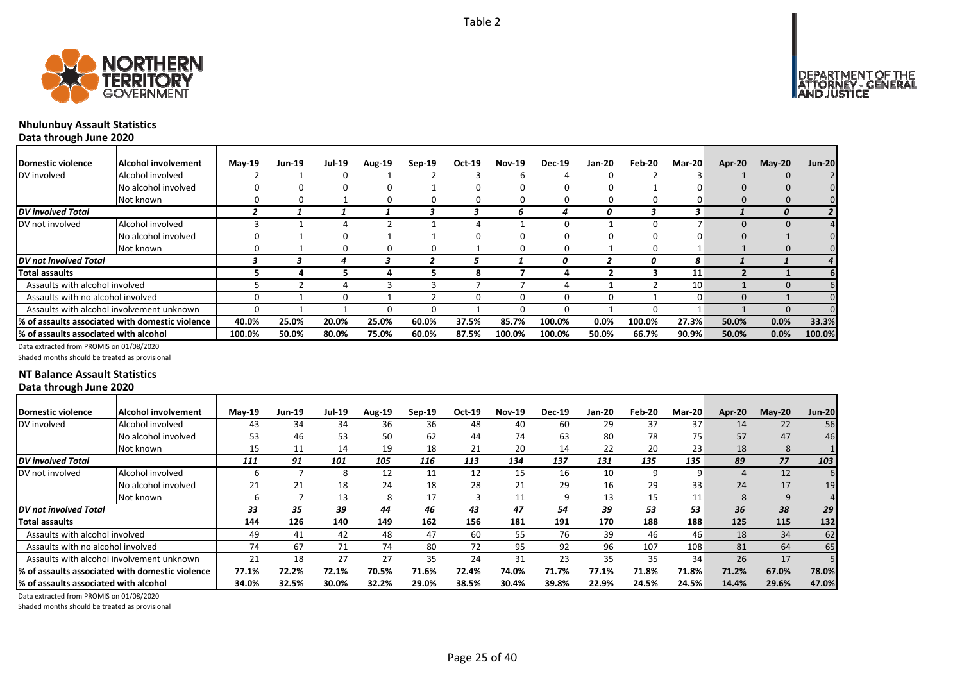



# **Nhulunbuy Assault Statistics**

**Data through June 2020**

| Domestic violence                     | <b>Alcohol involvement</b>                       | $Mav-19$ | <b>Jun-19</b> | Jul-19 | Aug-19 | $Sep-19$ | Oct-19 | <b>Nov-19</b> | <b>Dec-19</b> | Jan-20 | Feb-20 | Mar-20 | Apr-20   | $M$ ay-20   | <b>Jun-20</b>  |
|---------------------------------------|--------------------------------------------------|----------|---------------|--------|--------|----------|--------|---------------|---------------|--------|--------|--------|----------|-------------|----------------|
| DV involved                           | Alcohol involved                                 |          |               |        |        |          |        |               |               |        |        |        |          | $\mathbf 0$ |                |
|                                       | No alcohol involved                              |          |               |        |        |          |        |               |               |        |        |        |          |             |                |
|                                       | Not known                                        |          |               |        |        |          |        |               |               |        |        |        |          |             |                |
| DV involved Total                     |                                                  |          |               |        |        |          |        | h             |               | 0      | 3      | 3      |          |             | 2 <sup>1</sup> |
| DV not involved                       | Alcohol involved                                 |          |               |        |        |          |        |               |               |        |        |        |          |             | 4              |
|                                       | No alcohol involved                              |          |               |        |        |          |        |               |               |        |        |        |          |             |                |
|                                       | Not known                                        |          |               | 0      |        | 0        |        |               | 0             |        | O      |        |          | 0           |                |
| <b>IDV</b> not involved Total         |                                                  |          |               |        |        |          |        |               |               |        | 0      | 8      |          |             | 4              |
| Total assaults                        |                                                  |          |               |        |        |          | я      |               |               |        |        | 11     |          |             |                |
| Assaults with alcohol involved        |                                                  |          |               |        |        |          |        |               |               |        |        | 10     |          | $\Omega$    |                |
| Assaults with no alcohol involved     |                                                  |          |               |        |        |          |        |               | 0             | 0      |        |        | $\Omega$ |             |                |
|                                       | Assaults with alcohol involvement unknown        |          |               |        |        |          |        |               |               |        | -0     |        |          | 0           |                |
|                                       | 1% of assaults associated with domestic violence | 40.0%    | 25.0%         | 20.0%  | 25.0%  | 60.0%    | 37.5%  | 85.7%         | 100.0%        | 0.0%   | 100.0% | 27.3%  | 50.0%    | 0.0%        | 33.3%          |
| % of assaults associated with alcohol |                                                  | 100.0%   | 50.0%         | 80.0%  | 75.0%  | 60.0%    | 87.5%  | 100.0%        | 100.0%        | 50.0%  | 66.7%  | 90.9%  | 50.0%    | 0.0%        | 100.0%         |

Data extracted from PROMIS on 01/08/2020

Shaded months should be treated as provisional

### **NT Balance Assault Statistics Data through June 2020**

| Domestic violence                     | Alcohol involvement                              | $Mav-19$ | <b>Jun-19</b> | Jul-19 | <b>Aug-19</b> | $Sep-19$ | Oct-19 | <b>Nov-19</b> | <b>Dec-19</b> | <b>Jan-20</b> | Feb-20 | $Mar-20$ | Apr-20 | $M$ ay-20 | <b>Jun-20</b> |
|---------------------------------------|--------------------------------------------------|----------|---------------|--------|---------------|----------|--------|---------------|---------------|---------------|--------|----------|--------|-----------|---------------|
| DV involved                           | Alcohol involved                                 | 43       | 34            | 34     | 36            | 36       | 48     | 40            | 60            | 29            | 37     | 37       | 14     | 22        | 56            |
|                                       | No alcohol involved                              | 53       | 46            | 53     | 50            | 62       | 44     | 74            | 63            | 80            | 78     | 75       | 57     | 47        | 46            |
|                                       | Not known                                        | 15       | 11            | 14     | 19            | 18       | 21     | 20            | 14            | 22            | 20     | 23       | 18     | 8         |               |
| <b>DV</b> involved Total              |                                                  | 111      | 91            | 101    | 105           | 116      | 113    | 134           | 137           | 131           | 135    | 135      | 89     | 77        | 103           |
| DV not involved                       | Alcohol involved                                 |          |               |        | 12            | 11       | 12     | 15            | 16            | 10            | 9      | ٩        | 4      | 12        |               |
|                                       | No alcohol involved                              | 21       | 21            | 18     | 24            | 18       | 28     | 21            | 29            | 16            | 29     | 33       | 24     | 17        | 19            |
|                                       | Not known                                        |          |               | 13     | 8             | 17       |        | 11            | 9             | 13            | 15     | 11       | 8      | 9         |               |
| <b>DV</b> not involved Total          |                                                  | 33       | 35            | 39     | 44            | 46       | 43     | 47            | 54            | 39            | 53     | 53       | 36     | 38        | 29            |
| <b>Total assaults</b>                 |                                                  | 144      | 126           | 140    | 149           | 162      | 156    | 181           | 191           | 170           | 188    | 188      | 125    | 115       | 132           |
| Assaults with alcohol involved        |                                                  | 49       | 41            | 42     | 48            | 47       | 60     | 55            | 76            | 39            | 46     | 46       | 18     | 34        | 62            |
| Assaults with no alcohol involved     |                                                  | 74       | 67            | 71     | 74            | 80       | 72     | 95            | 92            | 96            | 107    | 108      | 81     | 64        | 65            |
|                                       | Assaults with alcohol involvement unknown        | 21       | 18            | 27     | 27            | 35       | 24     | 31            | 23            | 35            | 35     | 34       | 26     | 17        |               |
|                                       | 1% of assaults associated with domestic violence | 77.1%    | 72.2%         | 72.1%  | 70.5%         | 71.6%    | 72.4%  | 74.0%         | 71.7%         | 77.1%         | 71.8%  | 71.8%    | 71.2%  | 67.0%     | 78.0%         |
| % of assaults associated with alcohol |                                                  | 34.0%    | 32.5%         | 30.0%  | 32.2%         | 29.0%    | 38.5%  | 30.4%         | 39.8%         | 22.9%         | 24.5%  | 24.5%    | 14.4%  | 29.6%     | 47.0%         |

Page 25 of 40

Data extracted from PROMIS on 01/08/2020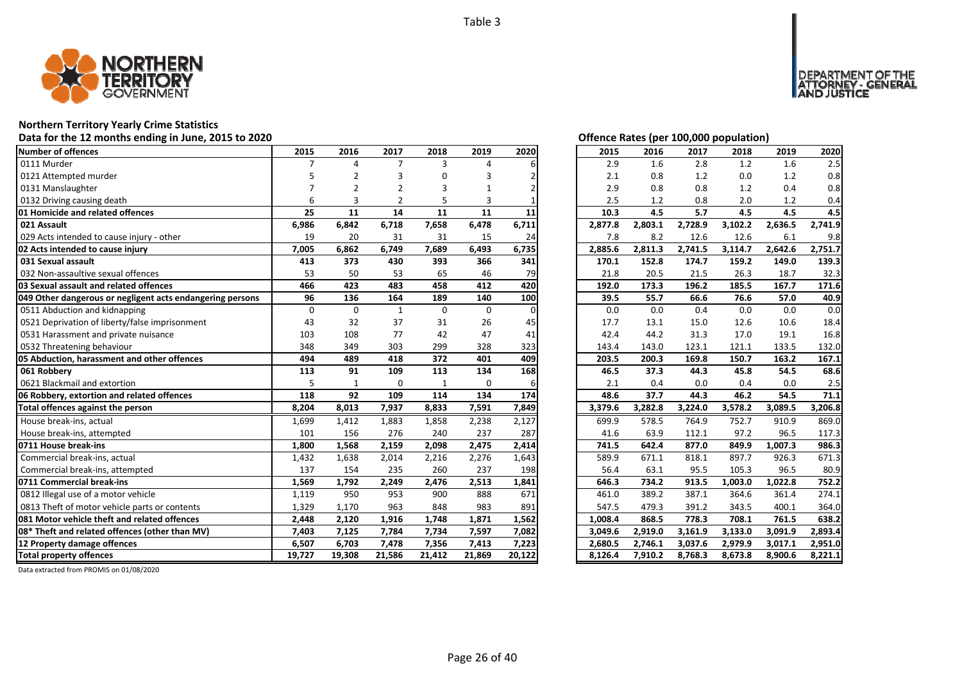

### **Northern Territory Yearly Crime Statistics**

**Data for the 12 months ending in June, 2015 to 2020 Offence Rates (per 100,000 population)**

| <b>Number of offences</b>                                 | 2015     | 2016         | 2017           | 2018         | 2019        | 2020     | 2015    | 2016    | 2017    | 2018    | 2019    | 2020    |
|-----------------------------------------------------------|----------|--------------|----------------|--------------|-------------|----------|---------|---------|---------|---------|---------|---------|
| 0111 Murder                                               |          | $\Delta$     | 7              | 3            | 4           |          | 2.9     | 1.6     | 2.8     | 1.2     | 1.6     | 2.5     |
| 0121 Attempted murder                                     |          |              | 3              |              |             |          | 2.1     | 0.8     | 1.2     | 0.0     | 1.2     | 0.8     |
| 0131 Manslaughter                                         |          |              |                |              |             |          | 2.9     | 0.8     | 0.8     | 1.2     | 0.4     | 0.8     |
| 0132 Driving causing death                                | 6        | 3            | $\overline{2}$ | 5            | 3           |          | 2.5     | 1.2     | 0.8     | 2.0     | 1.2     | 0.4     |
| 01 Homicide and related offences                          | 25       | 11           | 14             | 11           | 11          | 11       | 10.3    | 4.5     | 5.7     | 4.5     | 4.5     | 4.5     |
| 021 Assault                                               | 6,986    | 6,842        | 6,718          | 7,658        | 6,478       | 6,711    | 2,877.8 | 2,803.1 | 2,728.9 | 3,102.2 | 2,636.5 | 2,741.9 |
| 029 Acts intended to cause injury - other                 | 19       | 20           | 31             | 31           | 15          | 24       | 7.8     | 8.2     | 12.6    | 12.6    | 6.1     | 9.8     |
| 02 Acts intended to cause injury                          | 7,005    | 6,862        | 6,749          | 7,689        | 6,493       | 6,735    | 2,885.6 | 2,811.3 | 2,741.5 | 3,114.7 | 2,642.6 | 2,751.7 |
| 031 Sexual assault                                        | 413      | 373          | 430            | 393          | 366         | 341      | 170.1   | 152.8   | 174.7   | 159.2   | 149.0   | 139.3   |
| 032 Non-assaultive sexual offences                        | 53       | 50           | 53             | 65           | 46          | 79       | 21.8    | 20.5    | 21.5    | 26.3    | 18.7    | 32.3    |
| 03 Sexual assault and related offences                    | 466      | 423          | 483            | 458          | 412         | 420      | 192.0   | 173.3   | 196.2   | 185.5   | 167.7   | 171.6   |
| 049 Other dangerous or negligent acts endangering persons | 96       | 136          | 164            | 189          | 140         | 100      | 39.5    | 55.7    | 66.6    | 76.6    | 57.0    | 40.9    |
| 0511 Abduction and kidnapping                             | $\Omega$ | $\Omega$     | $\mathbf{1}$   | $\Omega$     | $\mathbf 0$ | $\Omega$ | 0.0     | 0.0     | 0.4     | 0.0     | 0.0     | 0.0     |
| 0521 Deprivation of liberty/false imprisonment            | 43       | 32           | 37             | 31           | 26          | 45       | 17.7    | 13.1    | 15.0    | 12.6    | 10.6    | 18.4    |
| 0531 Harassment and private nuisance                      | 103      | 108          | 77             | 42           | 47          | 41       | 42.4    | 44.2    | 31.3    | 17.0    | 19.1    | 16.8    |
| 0532 Threatening behaviour                                | 348      | 349          | 303            | 299          | 328         | 323      | 143.4   | 143.0   | 123.1   | 121.1   | 133.5   | 132.0   |
| 05 Abduction, harassment and other offences               | 494      | 489          | 418            | 372          | 401         | 409      | 203.5   | 200.3   | 169.8   | 150.7   | 163.2   | 167.1   |
| 061 Robbery                                               | 113      | 91           | 109            | 113          | 134         | 168      | 46.5    | 37.3    | 44.3    | 45.8    | 54.5    | 68.6    |
| 0621 Blackmail and extortion                              | 5        | $\mathbf{1}$ | $\mathbf 0$    | $\mathbf{1}$ | $\mathbf 0$ |          | 2.1     | 0.4     | 0.0     | 0.4     | 0.0     | 2.5     |
| 06 Robbery, extortion and related offences                | 118      | 92           | 109            | 114          | 134         | 174      | 48.6    | 37.7    | 44.3    | 46.2    | 54.5    | 71.1    |
| Total offences against the person                         | 8,204    | 8,013        | 7,937          | 8,833        | 7,591       | 7,849    | 3,379.6 | 3,282.8 | 3,224.0 | 3,578.2 | 3,089.5 | 3,206.8 |
| House break-ins, actual                                   | 1,699    | 1,412        | 1,883          | 1,858        | 2,238       | 2,127    | 699.9   | 578.5   | 764.9   | 752.7   | 910.9   | 869.0   |
| House break-ins, attempted                                | 101      | 156          | 276            | 240          | 237         | 287      | 41.6    | 63.9    | 112.1   | 97.2    | 96.5    | 117.3   |
| 0711 House break-ins                                      | 1,800    | 1,568        | 2,159          | 2,098        | 2,475       | 2,414    | 741.5   | 642.4   | 877.0   | 849.9   | 1,007.3 | 986.3   |
| Commercial break-ins, actual                              | 1,432    | 1,638        | 2,014          | 2,216        | 2,276       | 1,643    | 589.9   | 671.1   | 818.1   | 897.7   | 926.3   | 671.3   |
| Commercial break-ins, attempted                           | 137      | 154          | 235            | 260          | 237         | 198      | 56.4    | 63.1    | 95.5    | 105.3   | 96.5    | 80.9    |
| 0711 Commercial break-ins                                 | 1,569    | 1,792        | 2,249          | 2,476        | 2,513       | 1,841    | 646.3   | 734.2   | 913.5   | 1,003.0 | 1,022.8 | 752.2   |
| 0812 Illegal use of a motor vehicle                       | 1,119    | 950          | 953            | 900          | 888         | 671      | 461.0   | 389.2   | 387.1   | 364.6   | 361.4   | 274.1   |
| 0813 Theft of motor vehicle parts or contents             | 1,329    | 1,170        | 963            | 848          | 983         | 891      | 547.5   | 479.3   | 391.2   | 343.5   | 400.1   | 364.0   |
| 081 Motor vehicle theft and related offences              | 2,448    | 2,120        | 1,916          | 1,748        | 1,871       | 1,562    | 1,008.4 | 868.5   | 778.3   | 708.1   | 761.5   | 638.2   |
| 08* Theft and related offences (other than MV)            | 7,403    | 7,125        | 7,784          | 7,734        | 7,597       | 7,082    | 3,049.6 | 2,919.0 | 3,161.9 | 3,133.0 | 3,091.9 | 2,893.4 |
| 12 Property damage offences                               | 6,507    | 6,703        | 7,478          | 7,356        | 7,413       | 7,223    | 2,680.5 | 2,746.1 | 3,037.6 | 2,979.9 | 3,017.1 | 2,951.0 |
| <b>Total property offences</b>                            |          |              |                |              |             |          |         |         |         |         |         |         |

|  |  | Offence Rates (per 100.000 population) |  |
|--|--|----------------------------------------|--|

DEPARTMENT OF THE<br>ATTORNEY - GENERAL<br>AND JUSTICE

| 2015    | 2016    | 2017    | 2018    | 2019    | 2020    |
|---------|---------|---------|---------|---------|---------|
| 2.9     | 1.6     | 2.8     | 1.2     | 1.6     | 2.5     |
| 2.1     | 0.8     | 1.2     | 0.0     | 1.2     | 0.8     |
| 2.9     | 0.8     | 0.8     | 1.2     | 0.4     | 0.8     |
| 2.5     | 1.2     | 0.8     | 2.0     | 1.2     | 0.4     |
| 10.3    | 4.5     | 5.7     | 4.5     | 4.5     | 4.5     |
| 2,877.8 | 2,803.1 | 2,728.9 | 3,102.2 | 2,636.5 | 2,741.9 |
| 7.8     | 8.2     | 12.6    | 12.6    | 6.1     | 9.8     |
| 2,885.6 | 2,811.3 | 2,741.5 | 3,114.7 | 2,642.6 | 2,751.7 |
| 170.1   | 152.8   | 174.7   | 159.2   | 149.0   | 139.3   |
| 21.8    | 20.5    | 21.5    | 26.3    | 18.7    | 32.3    |
| 192.0   | 173.3   | 196.2   | 185.5   | 167.7   | 171.6   |
| 39.5    | 55.7    | 66.6    | 76.6    | 57.0    | 40.9    |
| 0.0     | 0.0     | 0.4     | 0.0     | 0.0     | 0.0     |
| 17.7    | 13.1    | 15.0    | 12.6    | 10.6    | 18.4    |
| 42.4    | 44.2    | 31.3    | 17.0    | 19.1    | 16.8    |
| 143.4   | 143.0   | 123.1   | 121.1   | 133.5   | 132.0   |
| 203.5   | 200.3   | 169.8   | 150.7   | 163.2   | 167.1   |
| 46.5    | 37.3    | 44.3    | 45.8    | 54.5    | 68.6    |
| 2.1     | 0.4     | 0.0     | 0.4     | 0.0     | 2.5     |
| 48.6    | 37.7    | 44.3    | 46.2    | 54.5    | 71.1    |
| 3,379.6 | 3,282.8 | 3,224.0 | 3,578.2 | 3,089.5 | 3,206.8 |
| 699.9   | 578.5   | 764.9   | 752.7   | 910.9   | 869.0   |
| 41.6    | 63.9    | 112.1   | 97.2    | 96.5    | 117.3   |
| 741.5   | 642.4   | 877.0   | 849.9   | 1,007.3 | 986.3   |
| 589.9   | 671.1   | 818.1   | 897.7   | 926.3   | 671.3   |
| 56.4    | 63.1    | 95.5    | 105.3   | 96.5    | 80.9    |
| 646.3   | 734.2   | 913.5   | 1,003.0 | 1,022.8 | 752.2   |
| 461.0   | 389.2   | 387.1   | 364.6   | 361.4   | 274.1   |
| 547.5   | 479.3   | 391.2   | 343.5   | 400.1   | 364.0   |
| 1,008.4 | 868.5   | 778.3   | 708.1   | 761.5   | 638.2   |
| 3,049.6 | 2,919.0 | 3,161.9 | 3,133.0 | 3,091.9 | 2,893.4 |
| 2,680.5 | 2,746.1 | 3,037.6 | 2,979.9 | 3,017.1 | 2,951.0 |
| 8,126.4 | 7,910.2 | 8,768.3 | 8,673.8 | 8,900.6 | 8.221.1 |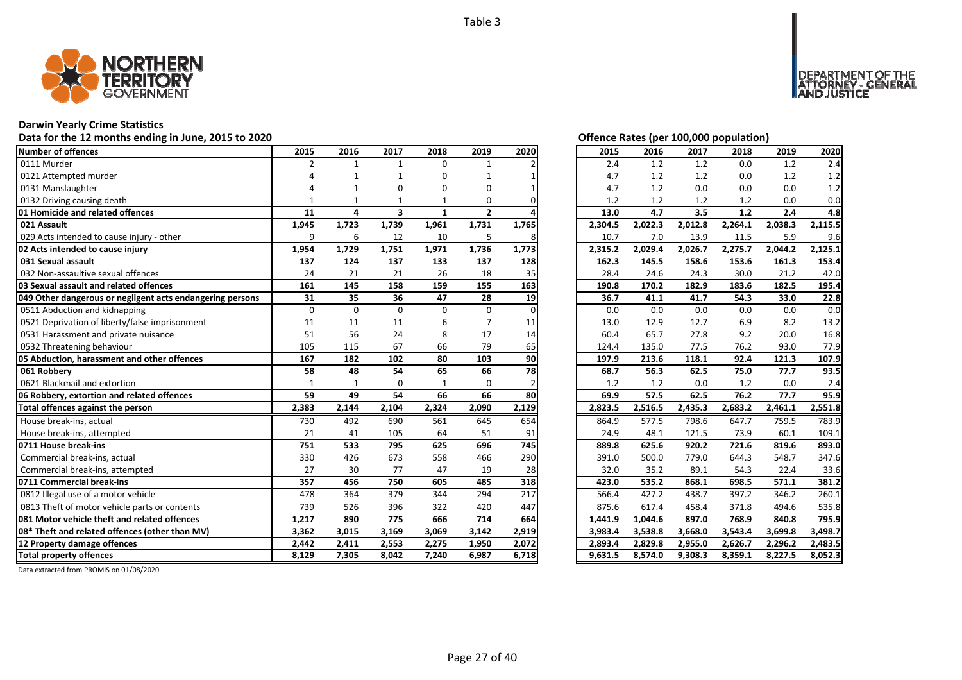

# **Darwin Yearly Crime Statistics**

# Data for the 12 months ending in June, 2015 to 2020 *Data for the 12 months ending in June, 2015 to 2020 Offence Rates (per 100,000 population)*

| Number of offences                                        | 2015           | 2016         | 2017                    | 2018         | 2019         | 2020     | 2015    | 2016    | 2017    | 2018    | 2019    | 2020    |
|-----------------------------------------------------------|----------------|--------------|-------------------------|--------------|--------------|----------|---------|---------|---------|---------|---------|---------|
| 0111 Murder                                               | $\overline{2}$ | $\mathbf{1}$ | $\mathbf{1}$            | 0            |              |          | 2.4     | 1.2     | 1.2     | 0.0     | 1.2     | 2.4     |
| 0121 Attempted murder                                     |                |              | -1                      | O            |              |          | 4.7     | 1.2     | 1.2     | 0.0     | 1.2     | 1.2     |
| 0131 Manslaughter                                         |                |              | O                       | 0            | 0            |          | 4.7     | 1.2     | 0.0     | 0.0     | 0.0     | 1.2     |
| 0132 Driving causing death                                |                |              |                         |              | 0            |          | 1.2     | 1.2     | 1.2     | 1.2     | 0.0     | 0.0     |
| 01 Homicide and related offences                          | 11             | 4            | $\overline{\mathbf{3}}$ | 1            | $\mathbf{2}$ |          | 13.0    | 4.7     | 3.5     | 1.2     | 2.4     | 4.8     |
| 021 Assault                                               | 1,945          | 1,723        | 1,739                   | 1,961        | 1,731        | 1,765    | 2,304.5 | 2,022.3 | 2,012.8 | 2,264.1 | 2,038.3 | 2,115.5 |
| 029 Acts intended to cause injury - other                 | 9              | 6            | 12                      | 10           | 5            | 8        | 10.7    | 7.0     | 13.9    | 11.5    | 5.9     | 9.6     |
| 02 Acts intended to cause injury                          | 1,954          | 1,729        | 1,751                   | 1,971        | 1,736        | 1,773    | 2,315.2 | 2,029.4 | 2,026.7 | 2,275.7 | 2,044.2 | 2,125.1 |
| 031 Sexual assault                                        | 137            | 124          | 137                     | 133          | 137          | 128      | 162.3   | 145.5   | 158.6   | 153.6   | 161.3   | 153.4   |
| 032 Non-assaultive sexual offences                        | 24             | 21           | 21                      | 26           | 18           | 35       | 28.4    | 24.6    | 24.3    | 30.0    | 21.2    | 42.0    |
| 03 Sexual assault and related offences                    | 161            | 145          | 158                     | 159          | 155          | 163      | 190.8   | 170.2   | 182.9   | 183.6   | 182.5   | 195.4   |
| 049 Other dangerous or negligent acts endangering persons | 31             | 35           | 36                      | 47           | 28           | 19       | 36.7    | 41.1    | 41.7    | 54.3    | 33.0    | 22.8    |
| 0511 Abduction and kidnapping                             | $\mathbf 0$    | $\Omega$     | $\Omega$                | $\Omega$     | 0            | $\Omega$ | 0.0     | 0.0     | 0.0     | 0.0     | 0.0     | 0.0     |
| 0521 Deprivation of liberty/false imprisonment            | 11             | 11           | 11                      | 6            |              | 11       | 13.0    | 12.9    | 12.7    | 6.9     | 8.2     | 13.2    |
| 0531 Harassment and private nuisance                      | 51             | 56           | 24                      | 8            | 17           | 14       | 60.4    | 65.7    | 27.8    | 9.2     | 20.0    | 16.8    |
| 0532 Threatening behaviour                                | 105            | 115          | 67                      | 66           | 79           | 65       | 124.4   | 135.0   | 77.5    | 76.2    | 93.0    | 77.9    |
| 05 Abduction, harassment and other offences               | 167            | 182          | 102                     | 80           | 103          | 90       | 197.9   | 213.6   | 118.1   | 92.4    | 121.3   | 107.9   |
| 061 Robbery                                               | 58             | 48           | 54                      | 65           | 66           | 78       | 68.7    | 56.3    | 62.5    | 75.0    | 77.7    | 93.5    |
| 0621 Blackmail and extortion                              | $\mathbf{1}$   | $\mathbf{1}$ | 0                       | $\mathbf{1}$ | $\Omega$     |          | 1.2     | 1.2     | 0.0     | 1.2     | 0.0     | 2.4     |
| 06 Robbery, extortion and related offences                | 59             | 49           | 54                      | 66           | 66           | 80       | 69.9    | 57.5    | 62.5    | 76.2    | 77.7    | 95.9    |
| Total offences against the person                         | 2,383          | 2,144        | 2,104                   | 2,324        | 2,090        | 2,129    | 2,823.5 | 2,516.5 | 2,435.3 | 2,683.2 | 2,461.1 | 2,551.8 |
| House break-ins, actual                                   | 730            | 492          | 690                     | 561          | 645          | 654      | 864.9   | 577.5   | 798.6   | 647.7   | 759.5   | 783.9   |
| House break-ins, attempted                                | 21             | 41           | 105                     | 64           | 51           | 91       | 24.9    | 48.1    | 121.5   | 73.9    | 60.1    | 109.1   |
| 0711 House break-ins                                      | 751            | 533          | 795                     | 625          | 696          | 745      | 889.8   | 625.6   | 920.2   | 721.6   | 819.6   | 893.0   |
| Commercial break-ins, actual                              | 330            | 426          | 673                     | 558          | 466          | 290      | 391.0   | 500.0   | 779.0   | 644.3   | 548.7   | 347.6   |
| Commercial break-ins, attempted                           | 27             | 30           | 77                      | 47           | 19           | 28       | 32.0    | 35.2    | 89.1    | 54.3    | 22.4    | 33.6    |
| 0711 Commercial break-ins                                 | 357            | 456          | 750                     | 605          | 485          | 318      | 423.0   | 535.2   | 868.1   | 698.5   | 571.1   | 381.2   |
| 0812 Illegal use of a motor vehicle                       | 478            | 364          | 379                     | 344          | 294          | 217      | 566.4   | 427.2   | 438.7   | 397.2   | 346.2   | 260.1   |
| 0813 Theft of motor vehicle parts or contents             | 739            | 526          | 396                     | 322          | 420          | 447      | 875.6   | 617.4   | 458.4   | 371.8   | 494.6   | 535.8   |
| 081 Motor vehicle theft and related offences              | 1,217          | 890          | 775                     | 666          | 714          | 664      | 1,441.9 | 1,044.6 | 897.0   | 768.9   | 840.8   | 795.9   |
| 08* Theft and related offences (other than MV)            | 3,362          | 3,015        | 3,169                   | 3,069        | 3,142        | 2,919    | 3,983.4 | 3,538.8 | 3,668.0 | 3,543.4 | 3,699.8 | 3,498.7 |
| 12 Property damage offences                               | 2,442          | 2,411        | 2,553                   | 2,275        | 1,950        | 2,072    | 2,893.4 | 2,829.8 | 2,955.0 | 2,626.7 | 2,296.2 | 2,483.5 |
| <b>Total property offences</b>                            | 8,129          | 7,305        | 8,042                   | 7,240        | 6,987        | 6,718    | 9,631.5 | 8,574.0 | 9,308.3 | 8,359.1 | 8,227.5 | 8,052.3 |

NT OF THE<br>' - GENERAL

JSTICE

**DEPAR** 

| 2015    | 2016    | 2017    | 2018    | 2019    | 2020    |
|---------|---------|---------|---------|---------|---------|
| 2.4     | 1.2     | 1.2     | 0.0     | 1.2     | 2.4     |
| 4.7     | 1.2     | 1.2     | 0.0     | 1.2     | 1.2     |
| 4.7     | 1.2     | 0.0     | 0.0     | 0.0     | 1.2     |
| 1.2     | 1.2     | 1.2     | 1.2     | 0.0     | 0.0     |
| 13.0    | 4.7     | 3.5     | 1.2     | 2.4     | 4.8     |
| 2,304.5 | 2,022.3 | 2,012.8 | 2,264.1 | 2,038.3 | 2,115.5 |
| 10.7    | 7.0     | 13.9    | 11.5    | 5.9     | 9.6     |
| 2,315.2 | 2,029.4 | 2,026.7 | 2,275.7 | 2,044.2 | 2,125.1 |
| 162.3   | 145.5   | 158.6   | 153.6   | 161.3   | 153.4   |
| 28.4    | 24.6    | 24.3    | 30.0    | 21.2    | 42.0    |
| 190.8   | 170.2   | 182.9   | 183.6   | 182.5   | 195.4   |
| 36.7    | 41.1    | 41.7    | 54.3    | 33.0    | 22.8    |
| 0.0     | 0.0     | 0.0     | 0.0     | 0.0     | 0.0     |
| 13.0    | 12.9    | 12.7    | 6.9     | 8.2     | 13.2    |
| 60.4    | 65.7    | 27.8    | 9.2     | 20.0    | 16.8    |
| 124.4   | 135.0   | 77.5    | 76.2    | 93.0    | 77.9    |
| 197.9   | 213.6   | 118.1   | 92.4    | 121.3   | 107.9   |
| 68.7    | 56.3    | 62.5    | 75.0    | 77.7    | 93.5    |
| 1.2     | 1.2     | 0.0     | 1.2     | 0.0     | 2.4     |
| 69.9    | 57.5    | 62.5    | 76.2    | 77.7    | 95.9    |
| 2,823.5 | 2,516.5 | 2,435.3 | 2,683.2 | 2,461.1 | 2,551.8 |
| 864.9   | 577.5   | 798.6   | 647.7   | 759.5   | 783.9   |
| 24.9    | 48.1    | 121.5   | 73.9    | 60.1    | 109.1   |
| 889.8   | 625.6   | 920.2   | 721.6   | 819.6   | 893.0   |
| 391.0   | 500.0   | 779.0   | 644.3   | 548.7   | 347.6   |
| 32.0    | 35.2    | 89.1    | 54.3    | 22.4    | 33.6    |
| 423.0   | 535.2   | 868.1   | 698.5   | 571.1   | 381.2   |
| 566.4   | 427.2   | 438.7   | 397.2   | 346.2   | 260.1   |
| 875.6   | 617.4   | 458.4   | 371.8   | 494.6   | 535.8   |
| 1,441.9 | 1,044.6 | 897.0   | 768.9   | 840.8   | 795.9   |
| 3,983.4 | 3,538.8 | 3,668.0 | 3,543.4 | 3,699.8 | 3,498.7 |
| 2,893.4 | 2,829.8 | 2,955.0 | 2,626.7 | 2,296.2 | 2,483.5 |
| 9,631.5 | 8,574.0 | 9,308.3 | 8,359.1 | 8.227.5 | 8,052.3 |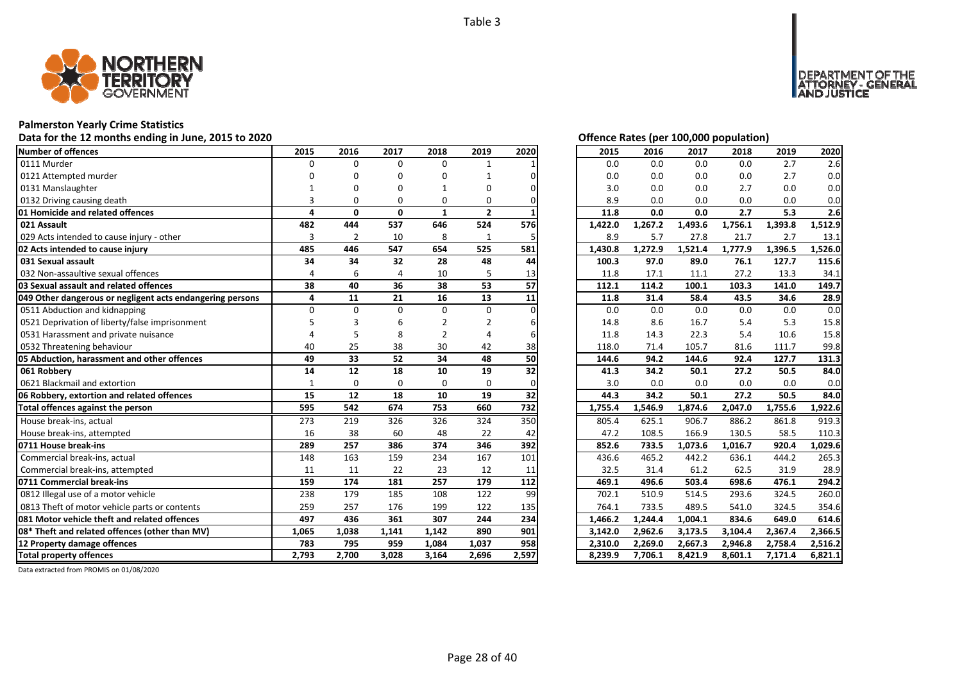

# **Palmerston Yearly Crime Statistics**

Data for the 12 months ending in June, 2015 to 2020 *Data for the 12 months ending in June, 2015 to 2020 Offence Rates (per 100,000 population)* 

| <b>Number of offences</b>                                 | 2015           | 2016           | 2017         | 2018           | 2019           | 2020  | 2015    | 2016    | 2017    | 2018    | 2019    | 2020    |
|-----------------------------------------------------------|----------------|----------------|--------------|----------------|----------------|-------|---------|---------|---------|---------|---------|---------|
| 0111 Murder                                               | 0              | $\Omega$       | $\Omega$     | $\Omega$       | $\mathbf{1}$   |       | 0.0     | 0.0     | 0.0     | 0.0     | 2.7     | 2.6     |
| 0121 Attempted murder                                     |                | 0              | O            | 0              |                |       | 0.0     | 0.0     | 0.0     | 0.0     | 2.7     | 0.0     |
| 0131 Manslaughter                                         |                | $\Omega$       | O            |                | O              |       | 3.0     | 0.0     | 0.0     | 2.7     | 0.0     | 0.0     |
| 0132 Driving causing death                                | $\overline{3}$ | $\Omega$       | $\Omega$     | $\Omega$       | 0              |       | 8.9     | 0.0     | 0.0     | 0.0     | 0.0     | 0.0     |
| 01 Homicide and related offences                          | 4              | 0              | $\mathbf{0}$ | $\mathbf{1}$   | $\overline{2}$ |       | 11.8    | 0.0     | 0.0     | 2.7     | 5.3     | 2.6     |
| 021 Assault                                               | 482            | 444            | 537          | 646            | 524            | 576   | 1,422.0 | 1,267.2 | 1,493.6 | 1,756.1 | 1,393.8 | 1,512.9 |
| 029 Acts intended to cause injury - other                 | 3              | $\overline{2}$ | 10           | 8              | $\mathbf{1}$   | 5     | 8.9     | 5.7     | 27.8    | 21.7    | 2.7     | 13.1    |
| 02 Acts intended to cause injury                          | 485            | 446            | 547          | 654            | 525            | 581   | 1,430.8 | 1,272.9 | 1,521.4 | 1,777.9 | 1,396.5 | 1,526.0 |
| 031 Sexual assault                                        | 34             | 34             | 32           | 28             | 48             | 44    | 100.3   | 97.0    | 89.0    | 76.1    | 127.7   | 115.6   |
| 032 Non-assaultive sexual offences                        | 4              | 6              | 4            | 10             | 5              | 13    | 11.8    | 17.1    | 11.1    | 27.2    | 13.3    | 34.1    |
| 03 Sexual assault and related offences                    | 38             | 40             | 36           | 38             | 53             | 57    | 112.1   | 114.2   | 100.1   | 103.3   | 141.0   | 149.7   |
| 049 Other dangerous or negligent acts endangering persons | 4              | 11             | 21           | 16             | 13             | 11    | 11.8    | 31.4    | 58.4    | 43.5    | 34.6    | 28.9    |
| 0511 Abduction and kidnapping                             | $\Omega$       | $\Omega$       | $\Omega$     | $\Omega$       | 0              |       | 0.0     | 0.0     | 0.0     | 0.0     | 0.0     | 0.0     |
| 0521 Deprivation of liberty/false imprisonment            |                |                | 6            | $\overline{2}$ | $\overline{2}$ |       | 14.8    | 8.6     | 16.7    | 5.4     | 5.3     | 15.8    |
| 0531 Harassment and private nuisance                      |                |                | 8            | 2              | 4              |       | 11.8    | 14.3    | 22.3    | 5.4     | 10.6    | 15.8    |
| 0532 Threatening behaviour                                | 40             | 25             | 38           | 30             | 42             | 38    | 118.0   | 71.4    | 105.7   | 81.6    | 111.7   | 99.8    |
| 05 Abduction, harassment and other offences               | 49             | 33             | 52           | 34             | 48             | 50    | 144.6   | 94.2    | 144.6   | 92.4    | 127.7   | 131.3   |
| 061 Robbery                                               | 14             | 12             | 18           | 10             | 19             | 32    | 41.3    | 34.2    | 50.1    | 27.2    | 50.5    | 84.0    |
| 0621 Blackmail and extortion                              |                | $\Omega$       | $\Omega$     | $\Omega$       | $\Omega$       |       | 3.0     | 0.0     | 0.0     | 0.0     | 0.0     | 0.0     |
| 06 Robbery, extortion and related offences                | 15             | 12             | 18           | 10             | 19             | 32    | 44.3    | 34.2    | 50.1    | 27.2    | 50.5    | 84.0    |
| Total offences against the person                         | 595            | 542            | 674          | 753            | 660            | 732   | 1,755.4 | 1,546.9 | 1,874.6 | 2,047.0 | 1,755.6 | 1,922.6 |
| House break-ins, actual                                   | 273            | 219            | 326          | 326            | 324            | 350   | 805.4   | 625.1   | 906.7   | 886.2   | 861.8   | 919.3   |
| House break-ins, attempted                                | 16             | 38             | 60           | 48             | 22             | 42    | 47.2    | 108.5   | 166.9   | 130.5   | 58.5    | 110.3   |
| 0711 House break-ins                                      | 289            | 257            | 386          | 374            | 346            | 392   | 852.6   | 733.5   | 1,073.6 | 1,016.7 | 920.4   | 1,029.6 |
| Commercial break-ins, actual                              | 148            | 163            | 159          | 234            | 167            | 101   | 436.6   | 465.2   | 442.2   | 636.1   | 444.2   | 265.3   |
| Commercial break-ins, attempted                           | 11             | 11             | 22           | 23             | 12             | 11    | 32.5    | 31.4    | 61.2    | 62.5    | 31.9    | 28.9    |
| 0711 Commercial break-ins                                 | 159            | 174            | 181          | 257            | 179            | 112   | 469.1   | 496.6   | 503.4   | 698.6   | 476.1   | 294.2   |
| 0812 Illegal use of a motor vehicle                       | 238            | 179            | 185          | 108            | 122            | 99    | 702.1   | 510.9   | 514.5   | 293.6   | 324.5   | 260.0   |
| 0813 Theft of motor vehicle parts or contents             | 259            | 257            | 176          | 199            | 122            | 135   | 764.1   | 733.5   | 489.5   | 541.0   | 324.5   | 354.6   |
| 081 Motor vehicle theft and related offences              | 497            | 436            | 361          | 307            | 244            | 234   | 1,466.2 | 1,244.4 | 1,004.1 | 834.6   | 649.0   | 614.6   |
| 08* Theft and related offences (other than MV)            | 1,065          | 1,038          | 1,141        | 1,142          | 890            | 901   | 3,142.0 | 2,962.6 | 3,173.5 | 3,104.4 | 2,367.4 | 2,366.5 |
| 12 Property damage offences                               | 783            | 795            | 959          | 1,084          | 1,037          | 958   | 2,310.0 | 2,269.0 | 2,667.3 | 2,946.8 | 2,758.4 | 2,516.2 |
| <b>Total property offences</b>                            | 2.793          | 2.700          | 3.028        | 3.164          | 2,696          | 2.597 | 8.239.9 | 7.706.1 | 8,421.9 | 8.601.1 | 7.171.4 | 6.821.1 |

NT OF THE<br>' - GENERAL

**DEPART** 

JSTICE

| 2015    | 2016    | 2017               | 2018    | 2019    | 2020                 |
|---------|---------|--------------------|---------|---------|----------------------|
| 0.0     | 0.0     | 0.0                | 0.0     | 2.7     | 2.6                  |
| 0.0     | 0.0     | 0.0                | 0.0     | 2.7     | 0.0                  |
| 3.0     | 0.0     | 0.0                | 2.7     | 0.0     | 0.0                  |
| 8.9     | 0.0     | 0.0                | 0.0     | 0.0     | 0.0                  |
| 11.8    | 0.0     | 0.0                | 2.7     | 5.3     | 2.6                  |
| 1,422.0 | 1,267.2 | 1,493.6            | 1,756.1 | 1,393.8 | $1,512.\overline{9}$ |
| 8.9     | 5.7     | 27.8               | 21.7    | 2.7     | 13.1                 |
| 1,430.8 | 1,272.9 | 1,521.4            | 1,777.9 | 1,396.5 | 1,526.0              |
| 100.3   | 97.0    | 89.0               | 76.1    | 127.7   | 115.6                |
| 11.8    | 17.1    | 11.1               | 27.2    | 13.3    | 34.1                 |
| 112.1   | 114.2   | 100.1              | 103.3   | 141.0   | 149.7                |
| 11.8    | 31.4    | 58.4               | 43.5    | 34.6    | 28.9                 |
| 0.0     | 0.0     | 0.0                | 0.0     | 0.0     | 0.0                  |
| 14.8    | 8.6     | 16.7               | 5.4     | 5.3     | 15.8                 |
| 11.8    | 14.3    | 22.3               | 5.4     | 10.6    | 15.8                 |
| 118.0   | 71.4    | 105.7              | 81.6    | 111.7   | 99.8                 |
| 144.6   | 94.2    | 144.6              | 92.4    | 127.7   | 131.3                |
| 41.3    | 34.2    | 50.1               | 27.2    | 50.5    | 84.0                 |
| 3.0     | 0.0     | 0.0                | 0.0     | 0.0     | 0.0                  |
| 44.3    | 34.2    | 50.1               | 27.2    | 50.5    | 84.0                 |
| 1,755.4 | 1,546.9 | 1,874.6            | 2,047.0 | 1,755.6 | 1,922.6              |
| 805.4   | 625.1   | $\overline{9}06.7$ | 886.2   | 861.8   | 919.3                |
| 47.2    | 108.5   | 166.9              | 130.5   | 58.5    | 110.3                |
| 852.6   | 733.5   | 1,073.6            | 1,016.7 | 920.4   | 1,029.6              |
| 436.6   | 465.2   | 442.2              | 636.1   | 444.2   | 265.3                |
| 32.5    | 31.4    | 61.2               | 62.5    | 31.9    | 28.9                 |
| 469.1   | 496.6   | 503.4              | 698.6   | 476.1   | 294.2                |
| 702.1   | 510.9   | 514.5              | 293.6   | 324.5   | 260.0                |
| 764.1   | 733.5   | 489.5              | 541.0   | 324.5   | 354.6                |
| 1,466.2 | 1,244.4 | 1,004.1            | 834.6   | 649.0   | 614.6                |
| 3,142.0 | 2,962.6 | 3,173.5            | 3,104.4 | 2,367.4 | 2,366.5              |
| 2,310.0 | 2,269.0 | 2,667.3            | 2,946.8 | 2,758.4 | 2,516.2              |
| 8,239.9 | 7,706.1 | 8,421.9            | 8,601.1 | 7,171.4 | 6,821.1              |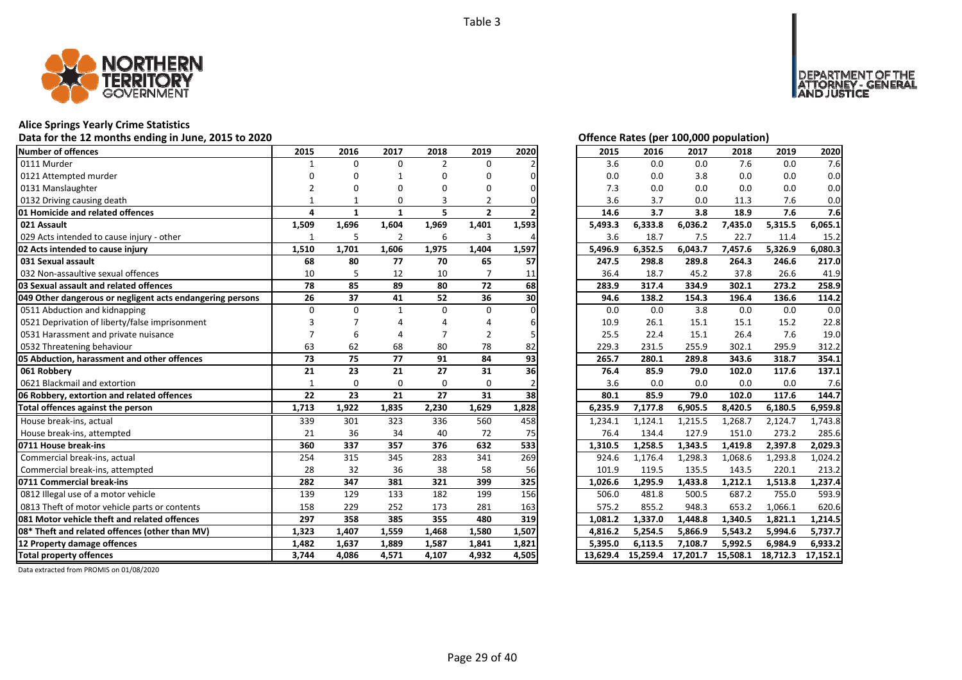

### **Alice Springs Yearly Crime Statistics**

### **Data for the 12 months ending in June, 2015 to 2020 Offence Rates (per 100,000 population)**

| Number of offences                                        | 2015         | 2016     | 2017           | 2018           | 2019           | 2020  | 2015     | 2016     | 2017     | 2018     | 2019     | 2020     |
|-----------------------------------------------------------|--------------|----------|----------------|----------------|----------------|-------|----------|----------|----------|----------|----------|----------|
| 0111 Murder                                               | 1            | $\Omega$ | $\Omega$       | $\overline{2}$ | $\Omega$       |       | 3.6      | 0.0      | 0.0      | 7.6      | 0.0      | 7.6      |
| 0121 Attempted murder                                     |              |          |                | O              | n              |       | 0.0      | 0.0      | 3.8      | 0.0      | 0.0      | 0.0      |
| 0131 Manslaughter                                         |              |          | O              | n              | O              |       | 7.3      | 0.0      | 0.0      | 0.0      | 0.0      | 0.0      |
| 0132 Driving causing death                                |              |          | 0              | 3              | 2              |       | 3.6      | 3.7      | 0.0      | 11.3     | 7.6      | 0.0      |
| 01 Homicide and related offences                          | $\Delta$     | 1        | $\mathbf{1}$   | 5              | $\overline{2}$ |       | 14.6     | 3.7      | 3.8      | 18.9     | 7.6      | 7.6      |
| 021 Assault                                               | 1,509        | 1,696    | 1,604          | 1,969          | 1,401          | 1,593 | 5,493.3  | 6,333.8  | 6,036.2  | 7,435.0  | 5,315.5  | 6,065.1  |
| 029 Acts intended to cause injury - other                 | 1            | 5        | $\overline{2}$ | 6              | 3              |       | 3.6      | 18.7     | 7.5      | 22.7     | 11.4     | 15.2     |
| 02 Acts intended to cause injury                          | 1,510        | 1,701    | 1,606          | 1,975          | 1,404          | 1,597 | 5,496.9  | 6,352.5  | 6,043.7  | 7,457.6  | 5,326.9  | 6,080.3  |
| 031 Sexual assault                                        | 68           | 80       | 77             | 70             | 65             | 57    | 247.5    | 298.8    | 289.8    | 264.3    | 246.6    | 217.0    |
| 032 Non-assaultive sexual offences                        | 10           |          | 12             | 10             |                | 11    | 36.4     | 18.7     | 45.2     | 37.8     | 26.6     | 41.9     |
| 03 Sexual assault and related offences                    | 78           | 85       | 89             | 80             | 72             | 68    | 283.9    | 317.4    | 334.9    | 302.1    | 273.2    | 258.9    |
| 049 Other dangerous or negligent acts endangering persons | 26           | 37       | 41             | 52             | 36             | 30    | 94.6     | 138.2    | 154.3    | 196.4    | 136.6    | 114.2    |
| 0511 Abduction and kidnapping                             | $\Omega$     | $\Omega$ | $\mathbf{1}$   | $\Omega$       | $\Omega$       |       | 0.0      | 0.0      | 3.8      | 0.0      | 0.0      | 0.0      |
| 0521 Deprivation of liberty/false imprisonment            |              |          |                |                |                |       | 10.9     | 26.1     | 15.1     | 15.1     | 15.2     | 22.8     |
| 0531 Harassment and private nuisance                      |              | 6        |                |                | 2              |       | 25.5     | 22.4     | 15.1     | 26.4     | 7.6      | 19.0     |
| 0532 Threatening behaviour                                | 63           | 62       | 68             | 80             | 78             | 82    | 229.3    | 231.5    | 255.9    | 302.1    | 295.9    | 312.2    |
| 05 Abduction, harassment and other offences               | 73           | 75       | 77             | 91             | 84             | 93    | 265.7    | 280.1    | 289.8    | 343.6    | 318.7    | 354.1    |
| 061 Robbery                                               | 21           | 23       | 21             | 27             | 31             | 36    | 76.4     | 85.9     | 79.0     | 102.0    | 117.6    | 137.1    |
| 0621 Blackmail and extortion                              | $\mathbf{1}$ | $\Omega$ | 0              | 0              | $\Omega$       |       | 3.6      | 0.0      | 0.0      | 0.0      | 0.0      | 7.6      |
| 06 Robbery, extortion and related offences                | 22           | 23       | 21             | 27             | 31             | 38    | 80.1     | 85.9     | 79.0     | 102.0    | 117.6    | 144.7    |
| Total offences against the person                         | 1,713        | 1,922    | 1,835          | 2,230          | 1,629          | 1,828 | 6,235.9  | 7,177.8  | 6,905.5  | 8,420.5  | 6,180.5  | 6,959.8  |
| House break-ins, actual                                   | 339          | 301      | 323            | 336            | 560            | 458   | 1,234.1  | 1,124.1  | 1,215.5  | 1,268.7  | 2,124.7  | 1.743.8  |
| House break-ins, attempted                                | 21           | 36       | 34             | 40             | 72             | 75    | 76.4     | 134.4    | 127.9    | 151.0    | 273.2    | 285.6    |
| 0711 House break-ins                                      | 360          | 337      | 357            | 376            | 632            | 533   | 1,310.5  | 1,258.5  | 1,343.5  | 1,419.8  | 2,397.8  | 2.029.3  |
| Commercial break-ins, actual                              | 254          | 315      | 345            | 283            | 341            | 269   | 924.6    | 1,176.4  | 1,298.3  | 1,068.6  | 1,293.8  | 1,024.2  |
| Commercial break-ins, attempted                           | 28           | 32       | 36             | 38             | 58             | 56    | 101.9    | 119.5    | 135.5    | 143.5    | 220.1    | 213.2    |
| 0711 Commercial break-ins                                 | 282          | 347      | 381            | 321            | 399            | 325   | 1,026.6  | 1,295.9  | 1,433.8  | 1,212.1  | 1,513.8  | 1,237.4  |
| 0812 Illegal use of a motor vehicle                       | 139          | 129      | 133            | 182            | 199            | 156   | 506.0    | 481.8    | 500.5    | 687.2    | 755.0    | 593.9    |
| 0813 Theft of motor vehicle parts or contents             | 158          | 229      | 252            | 173            | 281            | 163   | 575.2    | 855.2    | 948.3    | 653.2    | 1,066.1  | 620.6    |
| 081 Motor vehicle theft and related offences              | 297          | 358      | 385            | 355            | 480            | 319   | 1,081.2  | 1,337.0  | 1,448.8  | 1,340.5  | 1,821.1  | 1,214.5  |
| 08* Theft and related offences (other than MV)            | 1,323        | 1,407    | 1,559          | 1,468          | 1,580          | 1,507 | 4,816.2  | 5,254.5  | 5,866.9  | 5,543.2  | 5,994.6  | 5,737.7  |
| 12 Property damage offences                               | 1,482        | 1,637    | 1,889          | 1,587          | 1,841          | 1,821 | 5,395.0  | 6,113.5  | 7,108.7  | 5,992.5  | 6,984.9  | 6,933.2  |
| <b>Total property offences</b>                            | 3,744        | 4,086    | 4,571          | 4,107          | 4,932          | 4,505 | 13.629.4 | 15,259.4 | 17,201.7 | 15,508.1 | 18,712.3 | 17,152.1 |

| Offence Rates (per 100,000 population) |  |
|----------------------------------------|--|
|                                        |  |

DEPARTMENT OF THE<br>ATTORNEY - GENERAL<br>AND JUSTICE

| 2015     | 2016     | 2017     | 2018     | 2019     | 2020     |
|----------|----------|----------|----------|----------|----------|
| 3.6      | 0.0      | 0.0      | 7.6      | 0.0      | 7.6      |
| 0.0      | 0.0      | 3.8      | 0.0      | 0.0      | 0.0      |
| 7.3      | 0.0      | 0.0      | 0.0      | 0.0      | 0.0      |
| 3.6      | 3.7      | 0.0      | 11.3     | 7.6      | 0.0      |
| 14.6     | 3.7      | 3.8      | 18.9     | 7.6      | 7.6      |
| 5,493.3  | 6,333.8  | 6,036.2  | 7,435.0  | 5,315.5  | 6,065.1  |
| 3.6      | 18.7     | 7.5      | 22.7     | 11.4     | 15.2     |
| 5,496.9  | 6,352.5  | 6,043.7  | 7,457.6  | 5,326.9  | 6,080.3  |
| 247.5    | 298.8    | 289.8    | 264.3    | 246.6    | 217.0    |
| 36.4     | 18.7     | 45.2     | 37.8     | 26.6     | 41.9     |
| 283.9    | 317.4    | 334.9    | 302.1    | 273.2    | 258.9    |
| 94.6     | 138.2    | 154.3    | 196.4    | 136.6    | 114.2    |
| 0.0      | 0.0      | 3.8      | 0.0      | 0.0      | 0.0      |
| 10.9     | 26.1     | 15.1     | 15.1     | 15.2     | 22.8     |
| 25.5     | 22.4     | 15.1     | 26.4     | 7.6      | 19.0     |
| 229.3    | 231.5    | 255.9    | 302.1    | 295.9    | 312.2    |
| 265.7    | 280.1    | 289.8    | 343.6    | 318.7    | 354.1    |
| 76.4     | 85.9     | 79.0     | 102.0    | 117.6    | 137.1    |
| 3.6      | 0.0      | 0.0      | 0.0      | 0.0      | 7.6      |
| 80.1     | 85.9     | 79.0     | 102.0    | 117.6    | 144.7    |
| 6,235.9  | 7,177.8  | 6,905.5  | 8,420.5  | 6,180.5  | 6,959.8  |
| 1,234.1  | 1,124.1  | 1,215.5  | 1,268.7  | 2,124.7  | 1,743.8  |
| 76.4     | 134.4    | 127.9    | 151.0    | 273.2    | 285.6    |
| 1,310.5  | 1,258.5  | 1,343.5  | 1,419.8  | 2,397.8  | 2,029.3  |
| 924.6    | 1,176.4  | 1,298.3  | 1,068.6  | 1,293.8  | 1,024.2  |
| 101.9    | 119.5    | 135.5    | 143.5    | 220.1    | 213.2    |
| 1,026.6  | 1,295.9  | 1,433.8  | 1,212.1  | 1,513.8  | 1,237.4  |
| 506.0    | 481.8    | 500.5    | 687.2    | 755.0    | 593.9    |
| 575.2    | 855.2    | 948.3    | 653.2    | 1,066.1  | 620.6    |
| 1,081.2  | 1,337.0  | 1,448.8  | 1,340.5  | 1,821.1  | 1,214.5  |
| 4,816.2  | 5,254.5  | 5,866.9  | 5,543.2  | 5,994.6  | 5,737.7  |
| 5,395.0  | 6,113.5  | 7,108.7  | 5,992.5  | 6,984.9  | 6,933.2  |
| 13,629.4 | 15,259.4 | 17,201.7 | 15,508.1 | 18,712.3 | 17,152.1 |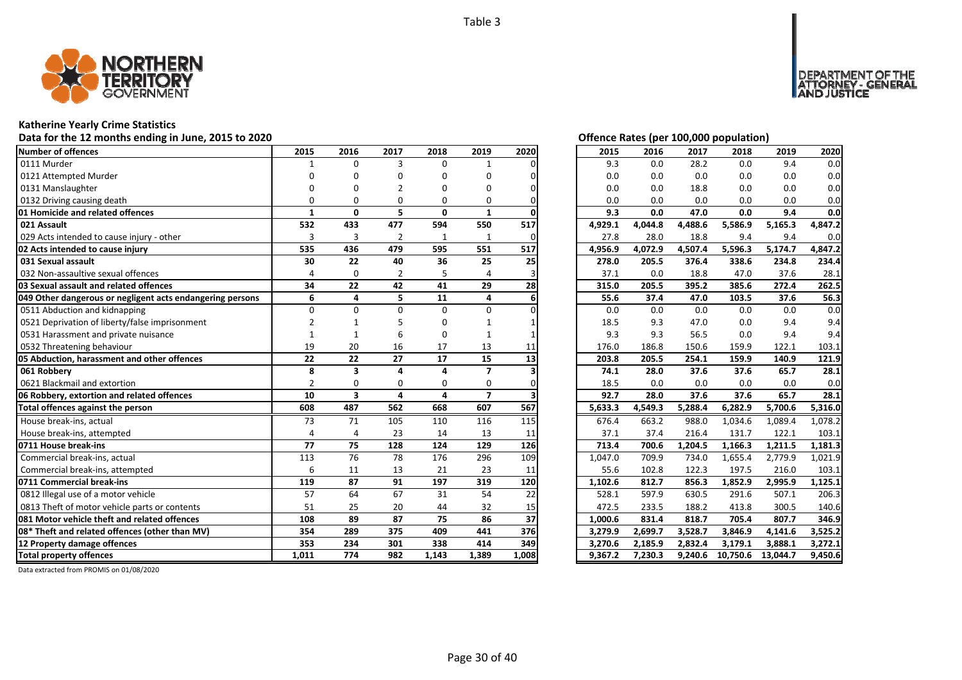

### **Katherine Yearly Crime Statistics**

**Data for the 12 months ending in June, 2015 to 2020 Offence Rates (per 100,000 population)**

| <b>Number of offences</b>                                 | 2015                     | 2016                    | 2017                    | 2018         | 2019           | 2020  | 2015    | 2016    | 2017    | 2018     | 2019     | 2020    |
|-----------------------------------------------------------|--------------------------|-------------------------|-------------------------|--------------|----------------|-------|---------|---------|---------|----------|----------|---------|
| 0111 Murder                                               | $\mathbf{1}$             | $\Omega$                | 3                       | $\Omega$     | $\mathbf{1}$   |       | 9.3     | 0.0     | 28.2    | 0.0      | 9.4      | 0.0     |
| 0121 Attempted Murder                                     |                          | ŋ                       | O                       | O            | 0              |       | 0.0     | 0.0     | 0.0     | 0.0      | 0.0      | 0.0     |
| 0131 Manslaughter                                         |                          | ŋ                       | $\mathfrak z$           | ŋ            | O              |       | 0.0     | 0.0     | 18.8    | 0.0      | 0.0      | 0.0     |
| 0132 Driving causing death                                | $\Omega$                 | $\Omega$                | $\Omega$                | $\Omega$     | 0              |       | 0.0     | 0.0     | 0.0     | 0.0      | 0.0      | 0.0     |
| 01 Homicide and related offences                          | 1                        | 0                       | 5.                      | $\mathbf{0}$ | $\mathbf{1}$   |       | 9.3     | 0.0     | 47.0    | 0.0      | 9.4      | 0.0     |
| 021 Assault                                               | 532                      | 433                     | 477                     | 594          | 550            | 517   | 4,929.1 | 4,044.8 | 4,488.6 | 5,586.9  | 5,165.3  | 4,847.2 |
| 029 Acts intended to cause injury - other                 | 3                        | 3                       | $\overline{2}$          | $\mathbf{1}$ | 1              |       | 27.8    | 28.0    | 18.8    | 9.4      | 9.4      | 0.0     |
| 02 Acts intended to cause injury                          | 535                      | 436                     | 479                     | 595          | 551            | 517   | 4,956.9 | 4,072.9 | 4,507.4 | 5,596.3  | 5,174.7  | 4,847.2 |
| 031 Sexual assault                                        | 30                       | 22                      | 40                      | 36           | 25             | 25    | 278.0   | 205.5   | 376.4   | 338.6    | 234.8    | 234.4   |
| 032 Non-assaultive sexual offences                        | 4                        | $\Omega$                | $\overline{2}$          | 5            | 4              |       | 37.1    | 0.0     | 18.8    | 47.0     | 37.6     | 28.1    |
| 03 Sexual assault and related offences                    | 34                       | 22                      | 42                      | 41           | 29             | 28    | 315.0   | 205.5   | 395.2   | 385.6    | 272.4    | 262.5   |
| 049 Other dangerous or negligent acts endangering persons | 6                        | 4                       | 5                       | 11           | 4              | 6     | 55.6    | 37.4    | 47.0    | 103.5    | 37.6     | 56.3    |
| 0511 Abduction and kidnapping                             | $\Omega$                 | $\Omega$                | $\Omega$                | $\Omega$     | 0              |       | 0.0     | 0.0     | 0.0     | 0.0      | 0.0      | 0.0     |
| 0521 Deprivation of liberty/false imprisonment            |                          |                         |                         | O            |                |       | 18.5    | 9.3     | 47.0    | 0.0      | 9.4      | 9.4     |
| 0531 Harassment and private nuisance                      |                          | 1                       | 6                       | $\Omega$     |                |       | 9.3     | 9.3     | 56.5    | 0.0      | 9.4      | 9.4     |
| 0532 Threatening behaviour                                | 19                       | 20                      | 16                      | 17           | 13             | 11    | 176.0   | 186.8   | 150.6   | 159.9    | 122.1    | 103.1   |
| 05 Abduction, harassment and other offences               | $\overline{22}$          | $\overline{22}$         | $\overline{27}$         | 17           | 15             | 13    | 203.8   | 205.5   | 254.1   | 159.9    | 140.9    | 121.9   |
| 061 Robbery                                               | 8                        | 3                       | 4                       | $\Delta$     | 7              |       | 74.1    | 28.0    | 37.6    | 37.6     | 65.7     | 28.1    |
| 0621 Blackmail and extortion                              | $\overline{\phantom{a}}$ | $\Omega$                | $\Omega$                | $\Omega$     | $\Omega$       |       | 18.5    | 0.0     | 0.0     | 0.0      | 0.0      | 0.0     |
| 06 Robbery, extortion and related offences                | 10                       | $\overline{\mathbf{3}}$ | $\overline{\mathbf{a}}$ | 4            | $\overline{7}$ |       | 92.7    | 28.0    | 37.6    | 37.6     | 65.7     | 28.1    |
| Total offences against the person                         | 608                      | 487                     | 562                     | 668          | 607            | 567   | 5,633.3 | 4,549.3 | 5,288.4 | 6,282.9  | 5,700.6  | 5,316.0 |
| House break-ins, actual                                   | 73                       | 71                      | 105                     | 110          | 116            | 115   | 676.4   | 663.2   | 988.0   | 1,034.6  | 1,089.4  | 1,078.2 |
| House break-ins, attempted                                | $\Delta$                 | 4                       | 23                      | 14           | 13             | 11    | 37.1    | 37.4    | 216.4   | 131.7    | 122.1    | 103.1   |
| 0711 House break-ins                                      | 77                       | 75                      | 128                     | 124          | 129            | 126   | 713.4   | 700.6   | 1,204.5 | 1,166.3  | 1,211.5  | 1,181.3 |
| Commercial break-ins, actual                              | 113                      | 76                      | 78                      | 176          | 296            | 109   | 1,047.0 | 709.9   | 734.0   | 1,655.4  | 2,779.9  | 1,021.9 |
| Commercial break-ins, attempted                           | 6                        | 11                      | 13                      | 21           | 23             | 11    | 55.6    | 102.8   | 122.3   | 197.5    | 216.0    | 103.1   |
| 0711 Commercial break-ins                                 | 119                      | 87                      | 91                      | 197          | 319            | 120   | 1,102.6 | 812.7   | 856.3   | 1,852.9  | 2,995.9  | 1,125.1 |
| 0812 Illegal use of a motor vehicle                       | 57                       | 64                      | 67                      | 31           | 54             | 22    | 528.1   | 597.9   | 630.5   | 291.6    | 507.1    | 206.3   |
| 0813 Theft of motor vehicle parts or contents             | 51                       | 25                      | 20                      | 44           | 32             | 15    | 472.5   | 233.5   | 188.2   | 413.8    | 300.5    | 140.6   |
| 081 Motor vehicle theft and related offences              | 108                      | 89                      | 87                      | 75           | 86             | 37    | 1,000.6 | 831.4   | 818.7   | 705.4    | 807.7    | 346.9   |
| 08* Theft and related offences (other than MV)            | 354                      | 289                     | 375                     | 409          | 441            | 376   | 3,279.9 | 2,699.7 | 3,528.7 | 3,846.9  | 4,141.6  | 3,525.2 |
| 12 Property damage offences                               | 353                      | 234                     | 301                     | 338          | 414            | 349   | 3,270.6 | 2,185.9 | 2,832.4 | 3,179.1  | 3,888.1  | 3,272.1 |
| <b>Total property offences</b>                            | 1.011                    | 774                     | 982                     | 1.143        | 1.389          | 1.008 | 9.367.2 | 7.230.3 | 9.240.6 | 10,750.6 | 13.044.7 | 9,450.6 |

DEPARTMENT OF THE<br>ATTORNEY - GENERAL ÜŠTICE

| 2015    | 2016    | 2017    | 2018     | 2019     | 2020    |
|---------|---------|---------|----------|----------|---------|
| 9.3     | 0.0     | 28.2    | 0.0      | 9.4      | 0.0     |
| 0.0     | 0.0     | 0.0     | 0.0      | 0.0      | 0.0     |
| 0.0     | 0.0     | 18.8    | 0.0      | 0.0      | 0.0     |
| 0.0     | 0.0     | 0.0     | 0.0      | 0.0      | 0.0     |
| 9.3     | 0.0     | 47.0    | 0.0      | 9.4      | 0.0     |
| 4,929.1 | 4,044.8 | 4,488.6 | 5,586.9  | 5,165.3  | 4,847.2 |
| 27.8    | 28.0    | 18.8    | 9.4      | 9.4      | 0.0     |
| 4,956.9 | 4,072.9 | 4,507.4 | 5,596.3  | 5,174.7  | 4,847.2 |
| 278.0   | 205.5   | 376.4   | 338.6    | 234.8    | 234.4   |
| 37.1    | 0.0     | 18.8    | 47.0     | 37.6     | 28.1    |
| 315.0   | 205.5   | 395.2   | 385.6    | 272.4    | 262.5   |
| 55.6    | 37.4    | 47.0    | 103.5    | 37.6     | 56.3    |
| 0.0     | 0.0     | 0.0     | 0.0      | 0.0      | 0.0     |
| 18.5    | 9.3     | 47.0    | 0.0      | 9.4      | 9.4     |
| 9.3     | 9.3     | 56.5    | 0.0      | 9.4      | 9.4     |
| 176.0   | 186.8   | 150.6   | 159.9    | 122.1    | 103.1   |
| 203.8   | 205.5   | 254.1   | 159.9    | 140.9    | 121.9   |
| 74.1    | 28.0    | 37.6    | 37.6     | 65.7     | 28.1    |
| 18.5    | 0.0     | 0.0     | 0.0      | 0.0      | 0.0     |
| 92.7    | 28.0    | 37.6    | 37.6     | 65.7     | 28.1    |
| 5,633.3 | 4,549.3 | 5,288.4 | 6,282.9  | 5,700.6  | 5,316.0 |
| 676.4   | 663.2   | 988.0   | 1,034.6  | 1,089.4  | 1,078.2 |
| 37.1    | 37.4    | 216.4   | 131.7    | 122.1    | 103.1   |
| 713.4   | 700.6   | 1,204.5 | 1,166.3  | 1,211.5  | 1,181.3 |
| 1,047.0 | 709.9   | 734.0   | 1,655.4  | 2,779.9  | 1,021.9 |
| 55.6    | 102.8   | 122.3   | 197.5    | 216.0    | 103.1   |
| 1,102.6 | 812.7   | 856.3   | 1,852.9  | 2,995.9  | 1,125.1 |
| 528.1   | 597.9   | 630.5   | 291.6    | 507.1    | 206.3   |
| 472.5   | 233.5   | 188.2   | 413.8    | 300.5    | 140.6   |
| 1,000.6 | 831.4   | 818.7   | 705.4    | 807.7    | 346.9   |
| 3,279.9 | 2,699.7 | 3,528.7 | 3,846.9  | 4,141.6  | 3,525.2 |
| 3,270.6 | 2,185.9 | 2,832.4 | 3,179.1  | 3,888.1  | 3,272.1 |
| 9,367.2 | 7,230.3 | 9,240.6 | 10,750.6 | 13,044.7 | 9,450.6 |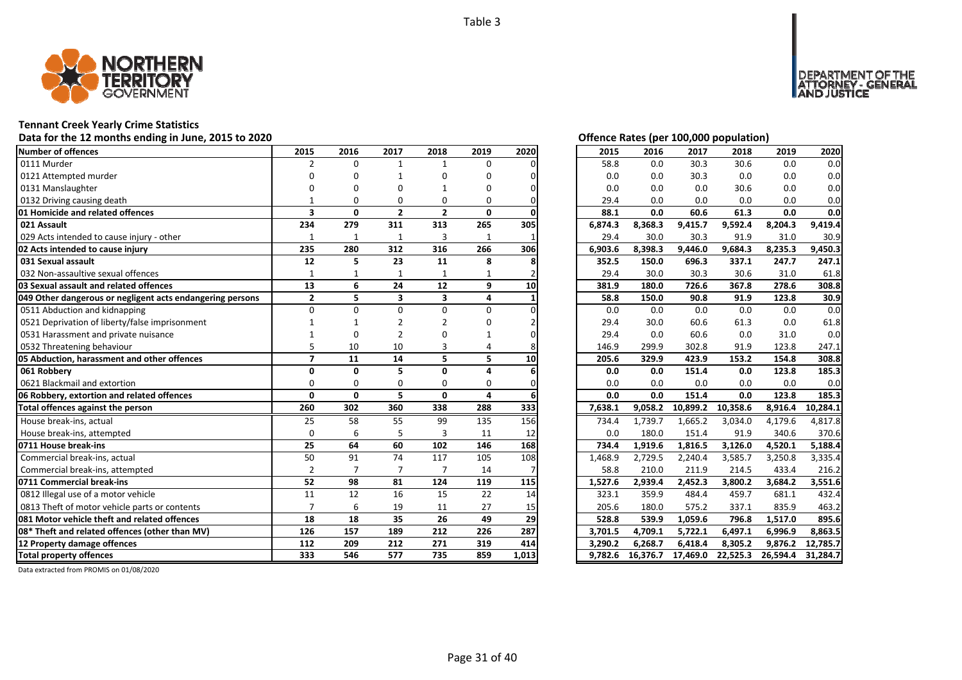

# **Tennant Creek Yearly Crime Statistics**

# Data for the 12 months ending in June, 2015 to 2020 *Data for the 12 months ending in June, 2015 to 2020 Offence Rates (per 100,000 population)*

| <b>Number of offences</b>                                 | 2015                     | 2016           | 2017                    | 2018                    | 2019         | 2020 | 2015    | 2016    | 2017     | 2018     | 2019    | 2020     |
|-----------------------------------------------------------|--------------------------|----------------|-------------------------|-------------------------|--------------|------|---------|---------|----------|----------|---------|----------|
| 0111 Murder                                               | 2                        | $\Omega$       | $\mathbf{1}$            | 1                       | $\Omega$     |      | 58.8    | 0.0     | 30.3     | 30.6     | 0.0     | 0.0      |
| 0121 Attempted murder                                     | n                        | ŋ              |                         | ŋ                       | O            |      | 0.0     | 0.0     | 30.3     | 0.0      | 0.0     | 0.0      |
| 0131 Manslaughter                                         |                          | ŋ              | O                       |                         | O            |      | 0.0     | 0.0     | 0.0      | 30.6     | 0.0     | 0.0      |
| 0132 Driving causing death                                |                          | $\Omega$       | $\Omega$                | $\Omega$                | 0            |      | 29.4    | 0.0     | 0.0      | 0.0      | 0.0     | 0.0      |
| 01 Homicide and related offences                          | $\overline{\mathbf{3}}$  | 0              | $\overline{2}$          | $\overline{2}$          | 0            |      | 88.1    | 0.0     | 60.6     | 61.3     | 0.0     | 0.0      |
| 021 Assault                                               | 234                      | 279            | 311                     | 313                     | 265          | 305  | 6,874.3 | 8,368.3 | 9,415.7  | 9,592.4  | 8,204.3 | 9,419.4  |
| 029 Acts intended to cause injury - other                 |                          | $\mathbf{1}$   | $\mathbf{1}$            | 3                       | $\mathbf{1}$ |      | 29.4    | 30.0    | 30.3     | 91.9     | 31.0    | 30.9     |
| 02 Acts intended to cause injury                          | 235                      | 280            | 312                     | 316                     | 266          | 306  | 6,903.6 | 8,398.3 | 9,446.0  | 9,684.3  | 8,235.3 | 9,450.3  |
| 031 Sexual assault                                        | 12                       | 5              | 23                      | 11                      | 8            |      | 352.5   | 150.0   | 696.3    | 337.1    | 247.7   | 247.1    |
| 032 Non-assaultive sexual offences                        | 1                        | 1              | 1                       |                         |              |      | 29.4    | 30.0    | 30.3     | 30.6     | 31.0    | 61.8     |
| 03 Sexual assault and related offences                    | 13                       | 6              | 24                      | 12                      | 9            | 10   | 381.9   | 180.0   | 726.6    | 367.8    | 278.6   | 308.8    |
| 049 Other dangerous or negligent acts endangering persons | $\mathbf{2}$             | 5              | $\overline{\mathbf{3}}$ | $\overline{\mathbf{3}}$ | 4            |      | 58.8    | 150.0   | 90.8     | 91.9     | 123.8   | 30.9     |
| 0511 Abduction and kidnapping                             | $\Omega$                 | O              | $\Omega$                | $\Omega$                | 0            |      | 0.0     | 0.0     | 0.0      | 0.0      | 0.0     | 0.0      |
| 0521 Deprivation of liberty/false imprisonment            |                          |                |                         |                         |              |      | 29.4    | 30.0    | 60.6     | 61.3     | 0.0     | 61.8     |
| 0531 Harassment and private nuisance                      |                          | $\Omega$       |                         |                         |              |      | 29.4    | 0.0     | 60.6     | 0.0      | 31.0    | 0.0      |
| 0532 Threatening behaviour                                |                          | 10             | 10                      | 3                       |              |      | 146.9   | 299.9   | 302.8    | 91.9     | 123.8   | 247.1    |
| 05 Abduction, harassment and other offences               | $\overline{\phantom{a}}$ | 11             | 14                      | 5                       | 5.           | 10   | 205.6   | 329.9   | 423.9    | 153.2    | 154.8   | 308.8    |
| 061 Robberv                                               | $\Omega$                 | $\Omega$       | 5                       | $\Omega$                | 4            |      | 0.0     | 0.0     | 151.4    | 0.0      | 123.8   | 185.3    |
| 0621 Blackmail and extortion                              | $\Omega$                 | $\Omega$       | $\Omega$                | 0                       | $\Omega$     |      | 0.0     | 0.0     | 0.0      | 0.0      | 0.0     | 0.0      |
| 06 Robbery, extortion and related offences                | $\mathbf{0}$             | $\mathbf{0}$   | 5.                      | $\mathbf{0}$            | 4            |      | 0.0     | 0.0     | 151.4    | 0.0      | 123.8   | 185.3    |
| Total offences against the person                         | 260                      | 302            | 360                     | 338                     | 288          | 333  | 7,638.1 | 9,058.2 | 10,899.2 | 10,358.6 | 8,916.4 | 10,284.1 |
| House break-ins, actual                                   | 25                       | 58             | 55                      | 99                      | 135          | 156  | 734.4   | 1,739.7 | 1,665.2  | 3,034.0  | 4,179.6 | 4,817.8  |
| House break-ins, attempted                                | $\Omega$                 | 6              | 5                       | $\overline{3}$          | 11           | 12   | 0.0     | 180.0   | 151.4    | 91.9     | 340.6   | 370.6    |
| 0711 House break-ins                                      | 25                       | 64             | 60                      | 102                     | 146          | 168  | 734.4   | 1,919.6 | 1,816.5  | 3,126.0  | 4,520.1 | 5,188.4  |
| Commercial break-ins, actual                              | 50                       | 91             | 74                      | 117                     | 105          | 108  | 1,468.9 | 2,729.5 | 2,240.4  | 3,585.7  | 3,250.8 | 3,335.4  |
| Commercial break-ins, attempted                           | $\overline{2}$           | $\overline{7}$ | $\overline{7}$          | $\overline{7}$          | 14           |      | 58.8    | 210.0   | 211.9    | 214.5    | 433.4   | 216.2    |
| 0711 Commercial break-ins                                 | 52                       | 98             | 81                      | 124                     | 119          | 115  | 1,527.6 | 2.939.4 | 2,452.3  | 3.800.2  | 3,684.2 | 3.551.6  |
| 0812 Illegal use of a motor vehicle                       | 11                       | 12             | 16                      | 15                      | 22           | 14   | 323.1   | 359.9   | 484.4    | 459.7    | 681.1   | 432.4    |
| 0813 Theft of motor vehicle parts or contents             | $\overline{ }$           | 6              | 19                      | 11                      | 27           | 15   | 205.6   | 180.0   | 575.2    | 337.1    | 835.9   | 463.2    |
| 081 Motor vehicle theft and related offences              | 18                       | 18             | 35                      | 26                      | 49           | 29   | 528.8   | 539.9   | 1,059.6  | 796.8    | 1,517.0 | 895.6    |
| 08* Theft and related offences (other than MV)            | 126                      | 157            | 189                     | 212                     | 226          | 287  | 3,701.5 | 4,709.1 | 5,722.1  | 6,497.1  | 6,996.9 | 8,863.5  |
|                                                           |                          |                |                         |                         |              |      |         |         |          |          |         |          |
| 12 Property damage offences                               | 112                      | 209            | 212                     | 271                     | 319          | 414  | 3.290.2 | 6.268.7 | 6,418.4  | 8,305.2  | 9,876.2 | 12,785.7 |

NT OF THE<br>' - GENERAL

**DEPAR** 

USTICE

| 2015    | 2016     | 2017     | 2018     | 2019     | 2020     |
|---------|----------|----------|----------|----------|----------|
| 58.8    | 0.0      | 30.3     | 30.6     | 0.0      | 0.0      |
| 0.0     | 0.0      | 30.3     | $0.0\,$  | 0.0      | 0.0      |
| 0.0     | 0.0      | 0.0      | 30.6     | 0.0      | 0.0      |
| 29.4    | 0.0      | 0.0      | 0.0      | 0.0      | 0.0      |
| 88.1    | 0.0      | 60.6     | 61.3     | 0.0      | 0.0      |
| 6,874.3 | 8,368.3  | 9,415.7  | 9,592.4  | 8,204.3  | 9,419.4  |
| 29.4    | 30.0     | 30.3     | 91.9     | 31.0     | 30.9     |
| 6,903.6 | 8,398.3  | 9,446.0  | 9,684.3  | 8,235.3  | 9,450.3  |
| 352.5   | 150.0    | 696.3    | 337.1    | 247.7    | 247.1    |
| 29.4    | 30.0     | 30.3     | 30.6     | 31.0     | 61.8     |
| 381.9   | 180.0    | 726.6    | 367.8    | 278.6    | 308.8    |
| 58.8    | 150.0    | 90.8     | 91.9     | 123.8    | 30.9     |
| 0.0     | 0.0      | 0.0      | 0.0      | 0.0      | 0.0      |
| 29.4    | 30.0     | 60.6     | 61.3     | 0.0      | 61.8     |
| 29.4    | 0.0      | 60.6     | 0.0      | 31.0     | 0.0      |
| 146.9   | 299.9    | 302.8    | 91.9     | 123.8    | 247.1    |
| 205.6   | 329.9    | 423.9    | 153.2    | 154.8    | 308.8    |
| 0.0     | 0.0      | 151.4    | 0.0      | 123.8    | 185.3    |
| 0.0     | 0.0      | 0.0      | 0.0      | 0.0      | 0.0      |
| 0.0     | 0.0      | 151.4    | 0.0      | 123.8    | 185.3    |
| 7,638.1 | 9,058.2  | 10,899.2 | 10,358.6 | 8,916.4  | 10,284.1 |
| 734.4   | 1,739.7  | 1,665.2  | 3,034.0  | 4,179.6  | 4,817.8  |
| 0.0     | 180.0    | 151.4    | 91.9     | 340.6    | 370.6    |
| 734.4   | 1,919.6  | 1,816.5  | 3,126.0  | 4,520.1  | 5,188.4  |
| 1,468.9 | 2,729.5  | 2,240.4  | 3,585.7  | 3,250.8  | 3,335.4  |
| 58.8    | 210.0    | 211.9    | 214.5    | 433.4    | 216.2    |
| 1,527.6 | 2,939.4  | 2,452.3  | 3,800.2  | 3,684.2  | 3,551.6  |
| 323.1   | 359.9    | 484.4    | 459.7    | 681.1    | 432.4    |
| 205.6   | 180.0    | 575.2    | 337.1    | 835.9    | 463.2    |
| 528.8   | 539.9    | 1,059.6  | 796.8    | 1,517.0  | 895.6    |
| 3,701.5 | 4,709.1  | 5,722.1  | 6,497.1  | 6,996.9  | 8,863.5  |
| 3,290.2 | 6,268.7  | 6,418.4  | 8,305.2  | 9,876.2  | 12,785.7 |
| 9,782.6 | 16,376.7 | 17,469.0 | 22,525.3 | 26,594.4 | 31,284.7 |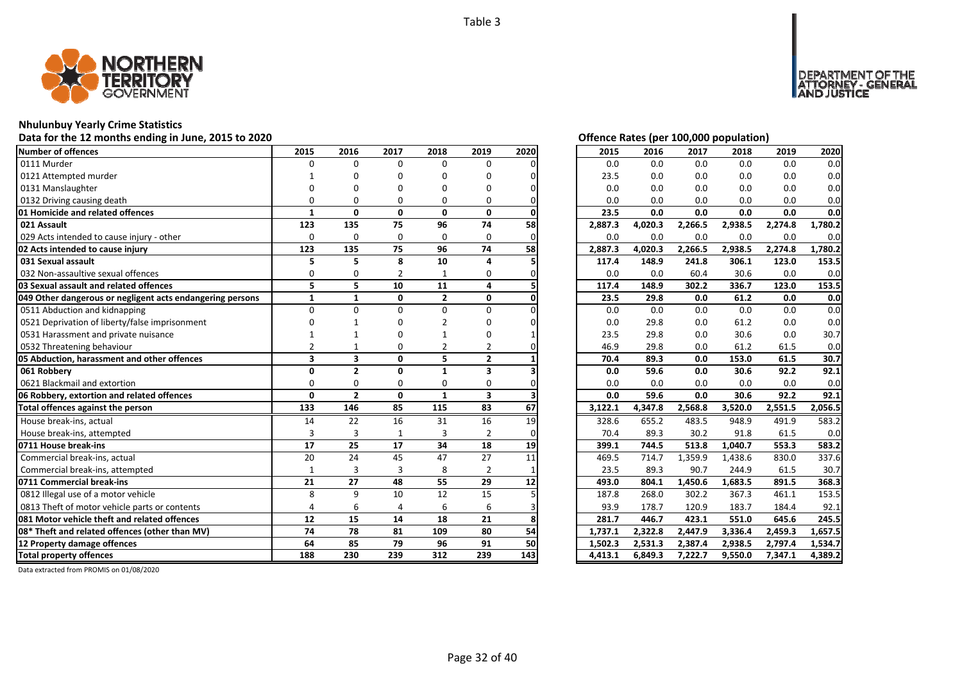

### **Nhulunbuy Yearly Crime Statistics**

**Data for the 12 months ending in June, 2015 to 2020 Offence Rates (per 100,000 population)**

| <b>Number of offences</b>                                 | 2015                    | 2016                    | 2017         | 2018           | 2019                    | 2020 | 2015    | 2016    | 2017    | 2018    | 2019    | 2020    |
|-----------------------------------------------------------|-------------------------|-------------------------|--------------|----------------|-------------------------|------|---------|---------|---------|---------|---------|---------|
| 0111 Murder                                               | $\Omega$                | $\Omega$                | $\Omega$     | $\Omega$       | 0                       |      | 0.0     | 0.0     | 0.0     | 0.0     | 0.0     | 0.0     |
| 0121 Attempted murder                                     |                         | ŋ                       | O            | ŋ              | O                       |      | 23.5    | 0.0     | 0.0     | 0.0     | 0.0     | 0.0     |
| 0131 Manslaughter                                         |                         | ŋ                       | O            | n              | O                       |      | 0.0     | 0.0     | 0.0     | 0.0     | 0.0     | 0.0     |
| 0132 Driving causing death                                | $\Omega$                | $\Omega$                | O            | 0              | 0                       |      | 0.0     | 0.0     | 0.0     | 0.0     | 0.0     | 0.0     |
| 01 Homicide and related offences                          | $\mathbf{1}$            | 0                       | $\mathbf{0}$ | 0              | $\mathbf{0}$            |      | 23.5    | 0.0     | 0.0     | 0.0     | 0.0     | 0.0     |
| 021 Assault                                               | 123                     | 135                     | 75           | 96             | 74                      | 58   | 2,887.3 | 4,020.3 | 2,266.5 | 2,938.5 | 2,274.8 | 1,780.2 |
| 029 Acts intended to cause injury - other                 | $\Omega$                | 0                       | 0            | $\Omega$       | 0                       |      | 0.0     | 0.0     | 0.0     | 0.0     | 0.0     | 0.0     |
| 02 Acts intended to cause injury                          | 123                     | 135                     | 75           | 96             | 74                      | 58   | 2.887.3 | 4.020.3 | 2,266.5 | 2,938.5 | 2,274.8 | 1,780.2 |
| 031 Sexual assault                                        | 5                       | 5                       | 8            | 10             | 4                       |      | 117.4   | 148.9   | 241.8   | 306.1   | 123.0   | 153.5   |
| 032 Non-assaultive sexual offences                        | 0                       | 0                       | 2            |                | 0                       |      | 0.0     | 0.0     | 60.4    | 30.6    | 0.0     | 0.0     |
| 03 Sexual assault and related offences                    | 5                       | 5                       | 10           | 11             | 4                       |      | 117.4   | 148.9   | 302.2   | 336.7   | 123.0   | 153.5   |
| 049 Other dangerous or negligent acts endangering persons | $\mathbf{1}$            | $\mathbf{1}$            | 0            | $\overline{2}$ | 0                       |      | 23.5    | 29.8    | 0.0     | 61.2    | 0.0     | 0.0     |
| 0511 Abduction and kidnapping                             | $\Omega$                | $\Omega$                | $\Omega$     | $\Omega$       | 0                       |      | 0.0     | 0.0     | 0.0     | 0.0     | 0.0     | 0.0     |
| 0521 Deprivation of liberty/false imprisonment            |                         |                         | O            | $\mathfrak{p}$ | ŋ                       |      | 0.0     | 29.8    | 0.0     | 61.2    | 0.0     | 0.0     |
| 0531 Harassment and private nuisance                      |                         |                         | O            |                | 0                       |      | 23.5    | 29.8    | 0.0     | 30.6    | 0.0     | 30.7    |
| 0532 Threatening behaviour                                |                         |                         | O            |                |                         |      | 46.9    | 29.8    | 0.0     | 61.2    | 61.5    | 0.0     |
| 05 Abduction, harassment and other offences               | $\overline{\mathbf{3}}$ | $\overline{\mathbf{3}}$ | $\mathbf{0}$ | 5              | $\overline{2}$          |      | 70.4    | 89.3    | 0.0     | 153.0   | 61.5    | 30.7    |
| 061 Robbery                                               | $\Omega$                | $\overline{2}$          | $\mathbf{0}$ | $\mathbf{1}$   | 3                       |      | 0.0     | 59.6    | 0.0     | 30.6    | 92.2    | 92.1    |
| 0621 Blackmail and extortion                              | $\Omega$                | 0                       | 0            | 0              | $\Omega$                |      | 0.0     | 0.0     | 0.0     | 0.0     | 0.0     | 0.0     |
| 06 Robbery, extortion and related offences                | 0                       | $\overline{2}$          | $\mathbf{0}$ | $\mathbf{1}$   | $\overline{\mathbf{3}}$ |      | 0.0     | 59.6    | 0.0     | 30.6    | 92.2    | 92.1    |
| Total offences against the person                         | 133                     | 146                     | 85           | 115            | 83                      | 67   | 3,122.1 | 4,347.8 | 2,568.8 | 3,520.0 | 2,551.5 | 2,056.5 |
| House break-ins, actual                                   | 14                      | 22                      | 16           | 31             | 16                      | 19   | 328.6   | 655.2   | 483.5   | 948.9   | 491.9   | 583.2   |
| House break-ins, attempted                                | $\overline{3}$          | 3                       |              | 3              | 2                       |      | 70.4    | 89.3    | 30.2    | 91.8    | 61.5    | 0.0     |
| 0711 House break-ins                                      | 17                      | 25                      | 17           | 34             | 18                      | 19   | 399.1   | 744.5   | 513.8   | 1,040.7 | 553.3   | 583.2   |
| Commercial break-ins, actual                              | 20                      | 24                      | 45           | 47             | 27                      | 11   | 469.5   | 714.7   | 1,359.9 | 1,438.6 | 830.0   | 337.6   |
| Commercial break-ins, attempted                           |                         | 3                       | 3            | 8              | $\overline{2}$          |      | 23.5    | 89.3    | 90.7    | 244.9   | 61.5    | 30.7    |
| 0711 Commercial break-ins                                 | 21                      | 27                      | 48           | 55             | 29                      | 12   | 493.0   | 804.1   | 1,450.6 | 1,683.5 | 891.5   | 368.3   |
| 0812 Illegal use of a motor vehicle                       | 8                       | 9                       | 10           | 12             | 15                      |      | 187.8   | 268.0   | 302.2   | 367.3   | 461.1   | 153.5   |
| 0813 Theft of motor vehicle parts or contents             |                         | 6                       | 4            | 6              | 6                       |      | 93.9    | 178.7   | 120.9   | 183.7   | 184.4   | 92.1    |
| 081 Motor vehicle theft and related offences              | 12                      | 15                      | 14           | 18             | 21                      | 8    | 281.7   | 446.7   | 423.1   | 551.0   | 645.6   | 245.5   |
| 08* Theft and related offences (other than MV)            | 74                      | 78                      | 81           | 109            | 80                      | 54   | 1,737.1 | 2,322.8 | 2,447.9 | 3,336.4 | 2,459.3 | 1,657.5 |
| 12 Property damage offences                               | 64                      | 85                      | 79           | 96             | 91                      | 50   | 1,502.3 | 2,531.3 | 2,387.4 | 2,938.5 | 2,797.4 | 1,534.7 |
| <b>Total property offences</b>                            | 188                     | 230                     | 239          | 312            | 239                     | 143  | 4,413.1 | 6,849.3 | 7,222.7 | 9,550.0 | 7,347.1 | 4,389.2 |

DEPARTMENT OF THE<br>ATTORNEY - GENERAL ÜŠTICE

| 2015    | 2016    | 2017    | 2018    | 2019    | 2020    |
|---------|---------|---------|---------|---------|---------|
| 0.0     | 0.0     | 0.0     | 0.0     | 0.0     | 0.0     |
| 23.5    | 0.0     | 0.0     | 0.0     | 0.0     | 0.0     |
| 0.0     | 0.0     | 0.0     | 0.0     | 0.0     | 0.0     |
| 0.0     | 0.0     | 0.0     | 0.0     | 0.0     | 0.0     |
| 23.5    | 0.0     | 0.0     | 0.0     | 0.0     | 0.0     |
| 2,887.3 | 4,020.3 | 2,266.5 | 2,938.5 | 2,274.8 | 1,780.2 |
| 0.0     | 0.0     | 0.0     | 0.0     | 0.0     | 0.0     |
| 2,887.3 | 4,020.3 | 2,266.5 | 2,938.5 | 2,274.8 | 1,780.2 |
| 117.4   | 148.9   | 241.8   | 306.1   | 123.0   | 153.5   |
| 0.0     | 0.0     | 60.4    | 30.6    | 0.0     | 0.0     |
| 117.4   | 148.9   | 302.2   | 336.7   | 123.0   | 153.5   |
| 23.5    | 29.8    | 0.0     | 61.2    | 0.0     | 0.0     |
| 0.0     | 0.0     | 0.0     | 0.0     | 0.0     | 0.0     |
| 0.0     | 29.8    | 0.0     | 61.2    | 0.0     | 0.0     |
| 23.5    | 29.8    | 0.0     | 30.6    | 0.0     | 30.7    |
| 46.9    | 29.8    | 0.0     | 61.2    | 61.5    | 0.0     |
| 70.4    | 89.3    | 0.0     | 153.0   | 61.5    | 30.7    |
| 0.0     | 59.6    | 0.0     | 30.6    | 92.2    | 92.1    |
| 0.0     | 0.0     | 0.0     | 0.0     | 0.0     | 0.0     |
| 0.0     | 59.6    | 0.0     | 30.6    | 92.2    | 92.1    |
|         |         |         |         |         |         |
| 3,122.1 | 4,347.8 | 2,568.8 | 3,520.0 | 2,551.5 | 2,056.5 |
| 328.6   | 655.2   | 483.5   | 948.9   | 491.9   | 583.2   |
| 70.4    | 89.3    | 30.2    | 91.8    | 61.5    | 0.0     |
| 399.1   | 744.5   | 513.8   | 1,040.7 | 553.3   | 583.2   |
| 469.5   | 714.7   | 1,359.9 | 1,438.6 | 830.0   | 337.6   |
| 23.5    | 89.3    | 90.7    | 244.9   | 61.5    | 30.7    |
| 493.0   | 804.1   | 1,450.6 | 1,683.5 | 891.5   | 368.3   |
| 187.8   | 268.0   | 302.2   | 367.3   | 461.1   | 153.5   |
| 93.9    | 178.7   | 120.9   | 183.7   | 184.4   | 92.1    |
| 281.7   | 446.7   | 423.1   | 551.0   | 645.6   | 245.5   |
| 1,737.1 | 2,322.8 | 2,447.9 | 3,336.4 | 2,459.3 | 1,657.5 |
| 1,502.3 | 2,531.3 | 2,387.4 | 2,938.5 | 2,797.4 | 1,534.7 |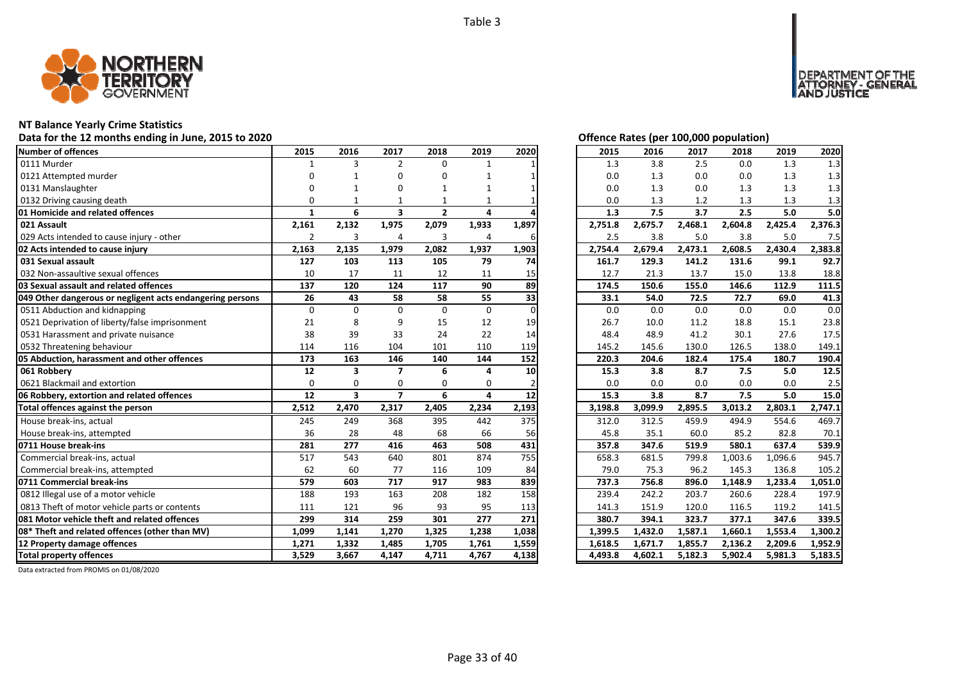

# **NT Balance Yearly Crime Statistics**

Data for the 12 months ending in June, 2015 to 2020 *Data for the 12 months ending in June, 2015 to 2020 Offence Rates (per 100,000 population)* 

| Number of offences                                        | 2015           | 2016                    | 2017                    | 2018           | 2019           | 2020     | 2015    | 2016    | 2017    | 2018    | 2019    | 2020    |
|-----------------------------------------------------------|----------------|-------------------------|-------------------------|----------------|----------------|----------|---------|---------|---------|---------|---------|---------|
| 0111 Murder                                               | $\mathbf{1}$   | 3                       | $\overline{2}$          | $\Omega$       | $\mathbf{1}$   |          | 1.3     | 3.8     | 2.5     | 0.0     | 1.3     | 1.3     |
| 0121 Attempted murder                                     |                |                         | O                       | 0              |                |          | 0.0     | 1.3     | 0.0     | 0.0     | 1.3     | 1.3     |
| 0131 Manslaughter                                         |                |                         | O                       | 1              |                |          | 0.0     | 1.3     | 0.0     | 1.3     | 1.3     | 1.3     |
| 0132 Driving causing death                                | $\Omega$       |                         |                         |                |                |          | 0.0     | 1.3     | 1.2     | 1.3     | 1.3     | 1.3     |
| 01 Homicide and related offences                          | 1              | 6                       | $\overline{\mathbf{3}}$ | $\overline{2}$ | 4              |          | 1.3     | 7.5     | 3.7     | 2.5     | 5.0     | 5.0     |
| 021 Assault                                               | 2,161          | 2,132                   | 1,975                   | 2,079          | 1,933          | 1,897    | 2,751.8 | 2,675.7 | 2,468.1 | 2,604.8 | 2,425.4 | 2,376.3 |
| 029 Acts intended to cause injury - other                 | $\overline{2}$ | 3                       | 4                       | 3              | $\overline{4}$ | 6        | 2.5     | 3.8     | 5.0     | 3.8     | 5.0     | 7.5     |
| 02 Acts intended to cause injury                          | 2,163          | 2,135                   | 1,979                   | 2,082          | 1,937          | 1,903    | 2,754.4 | 2,679.4 | 2,473.1 | 2,608.5 | 2,430.4 | 2,383.8 |
| 031 Sexual assault                                        | 127            | 103                     | 113                     | 105            | 79             | 74       | 161.7   | 129.3   | 141.2   | 131.6   | 99.1    | 92.7    |
| 032 Non-assaultive sexual offences                        | 10             | 17                      | 11                      | 12             | 11             | 15       | 12.7    | 21.3    | 13.7    | 15.0    | 13.8    | 18.8    |
| 03 Sexual assault and related offences                    | 137            | 120                     | 124                     | 117            | 90             | 89       | 174.5   | 150.6   | 155.0   | 146.6   | 112.9   | 111.5   |
| 049 Other dangerous or negligent acts endangering persons | 26             | 43                      | 58                      | 58             | 55             | 33       | 33.1    | 54.0    | 72.5    | 72.7    | 69.0    | 41.3    |
| 0511 Abduction and kidnapping                             | 0              | $\Omega$                | $\Omega$                | $\Omega$       | 0              | $\Omega$ | 0.0     | 0.0     | 0.0     | 0.0     | 0.0     | 0.0     |
| 0521 Deprivation of liberty/false imprisonment            | 21             | 8                       | 9                       | 15             | 12             | 19       | 26.7    | 10.0    | 11.2    | 18.8    | 15.1    | 23.8    |
| 0531 Harassment and private nuisance                      | 38             | 39                      | 33                      | 24             | 22             | 14       | 48.4    | 48.9    | 41.2    | 30.1    | 27.6    | 17.5    |
| 0532 Threatening behaviour                                | 114            | 116                     | 104                     | 101            | 110            | 119      | 145.2   | 145.6   | 130.0   | 126.5   | 138.0   | 149.1   |
| 05 Abduction, harassment and other offences               | 173            | 163                     | 146                     | 140            | 144            | 152      | 220.3   | 204.6   | 182.4   | 175.4   | 180.7   | 190.4   |
| 061 Robbery                                               | 12             | 3                       | $\overline{ }$          | 6              | 4              | 10       | 15.3    | 3.8     | 8.7     | 7.5     | 5.0     | 12.5    |
| 0621 Blackmail and extortion                              | $\Omega$       | $\Omega$                | $\Omega$                | $\Omega$       | $\Omega$       |          | 0.0     | 0.0     | 0.0     | $0.0\,$ | 0.0     | 2.5     |
| 06 Robbery, extortion and related offences                | 12             | $\overline{\mathbf{3}}$ | $\overline{ }$          | 6              | 4              | 12       | 15.3    | 3.8     | 8.7     | 7.5     | 5.0     | 15.0    |
| Total offences against the person                         | 2,512          | 2,470                   | 2,317                   | 2,405          | 2,234          | 2,193    | 3,198.8 | 3,099.9 | 2,895.5 | 3,013.2 | 2,803.1 | 2,747.1 |
| House break-ins, actual                                   | 245            | 249                     | 368                     | 395            | 442            | 375      | 312.0   | 312.5   | 459.9   | 494.9   | 554.6   | 469.7   |
| House break-ins, attempted                                | 36             | 28                      | 48                      | 68             | 66             | 56       | 45.8    | 35.1    | 60.0    | 85.2    | 82.8    | 70.1    |
| 0711 House break-ins                                      | 281            | 277                     | 416                     | 463            | 508            | 431      | 357.8   | 347.6   | 519.9   | 580.1   | 637.4   | 539.9   |
| Commercial break-ins, actual                              | 517            | 543                     | 640                     | 801            | 874            | 755      | 658.3   | 681.5   | 799.8   | 1,003.6 | 1,096.6 | 945.7   |
| Commercial break-ins, attempted                           | 62             | 60                      | 77                      | 116            | 109            | 84       | 79.0    | 75.3    | 96.2    | 145.3   | 136.8   | 105.2   |
| 0711 Commercial break-ins                                 | 579            | 603                     | 717                     | 917            | 983            | 839      | 737.3   | 756.8   | 896.0   | 1,148.9 | 1,233.4 | 1,051.0 |
| 0812 Illegal use of a motor vehicle                       | 188            | 193                     | 163                     | 208            | 182            | 158      | 239.4   | 242.2   | 203.7   | 260.6   | 228.4   | 197.9   |
| 0813 Theft of motor vehicle parts or contents             | 111            | 121                     | 96                      | 93             | 95             | 113      | 141.3   | 151.9   | 120.0   | 116.5   | 119.2   | 141.5   |
| 081 Motor vehicle theft and related offences              | 299            | 314                     | 259                     | 301            | 277            | 271      | 380.7   | 394.1   | 323.7   | 377.1   | 347.6   | 339.5   |
| 08* Theft and related offences (other than MV)            | 1,099          | 1,141                   | 1,270                   | 1,325          | 1,238          | 1,038    | 1,399.5 | 1,432.0 | 1,587.1 | 1,660.1 | 1,553.4 | 1,300.2 |
| 12 Property damage offences                               | 1,271          | 1,332                   | 1,485                   | 1,705          | 1,761          | 1,559    | 1,618.5 | 1,671.7 | 1,855.7 | 2,136.2 | 2,209.6 | 1,952.9 |
| <b>Total property offences</b>                            | 3.529          | 3.667                   | 4.147                   | 4,711          | 4,767          | 4,138    | 4.493.8 | 4.602.1 | 5,182.3 | 5,902.4 | 5,981.3 | 5,183.5 |

DEPARTMENT OF THE<br>ATTORNEY - GENERAL<br>AND JUSTICE

| 2015    | 2016    | 2017    | 2018    | 2019    | 2020                 |
|---------|---------|---------|---------|---------|----------------------|
| 1.3     | 3.8     | 2.5     | 0.0     | 1.3     | 1.3                  |
| 0.0     | 1.3     | 0.0     | 0.0     | 1.3     | 1.3                  |
| 0.0     | 1.3     | 0.0     | 1.3     | 1.3     | 1.3                  |
| 0.0     | 1.3     | 1.2     | 1.3     | 1.3     | 1.3                  |
| 1.3     | 7.5     | 3.7     | 2.5     | 5.0     | 5.0                  |
| 2,751.8 | 2,675.7 | 2,468.1 | 2,604.8 | 2,425.4 | 2,376.3              |
| 2.5     | 3.8     | 5.0     | 3.8     | 5.0     | 7.5                  |
| 2,754.4 | 2,679.4 | 2,473.1 | 2,608.5 | 2,430.4 | 2,383.8              |
| 161.7   | 129.3   | 141.2   | 131.6   | 99.1    | 92.7                 |
| 12.7    | 21.3    | 13.7    | 15.0    | 13.8    | 18.8                 |
| 174.5   | 150.6   | 155.0   | 146.6   | 112.9   | 111.5                |
| 33.1    | 54.0    | 72.5    | 72.7    | 69.0    | 41.3                 |
| 0.0     | 0.0     | 0.0     | 0.0     | 0.0     | 0.0                  |
| 26.7    | 10.0    | 11.2    | 18.8    | 15.1    | 23.8                 |
| 48.4    | 48.9    | 41.2    | 30.1    | 27.6    | 17.5                 |
| 145.2   | 145.6   | 130.0   | 126.5   | 138.0   | 149.1                |
| 220.3   | 204.6   | 182.4   | 175.4   | 180.7   | 190.4                |
| 15.3    | 3.8     | 8.7     | 7.5     | 5.0     | 12.5                 |
| 0.0     | 0.0     | 0.0     | 0.0     | 0.0     | 2.5                  |
| 15.3    | 3.8     | 8.7     | 7.5     | 5.0     | 15.0                 |
| 3,198.8 | 3,099.9 | 2,895.5 | 3,013.2 | 2,803.1 | 2,747.1              |
| 312.0   | 312.5   | 459.9   | 494.9   | 554.6   | 469.7                |
| 45.8    | 35.1    | 60.0    | 85.2    | 82.8    | 70.1                 |
| 357.8   | 347.6   | 519.9   | 580.1   | 637.4   | 539.9                |
| 658.3   | 681.5   | 799.8   | 1,003.6 | 1,096.6 | 945.7                |
| 79.0    | 75.3    | 96.2    | 145.3   | 136.8   | 105.2                |
| 737.3   | 756.8   | 896.0   | 1,148.9 | 1,233.4 | 1,051.0              |
| 239.4   | 242.2   | 203.7   | 260.6   | 228.4   | 197.9                |
| 141.3   | 151.9   | 120.0   | 116.5   | 119.2   | 141.5                |
| 380.7   | 394.1   | 323.7   | 377.1   | 347.6   | 339.5                |
| 1,399.5 | 1,432.0 | 1,587.1 | 1,660.1 | 1,553.4 | 1,300.2              |
| 1,618.5 | 1,671.7 | 1,855.7 | 2,136.2 | 2,209.6 | 1,952.9              |
| 4,493.8 | 4,602.1 | 5,182.3 | 5,902.4 | 5,981.3 | $\overline{5,}183.5$ |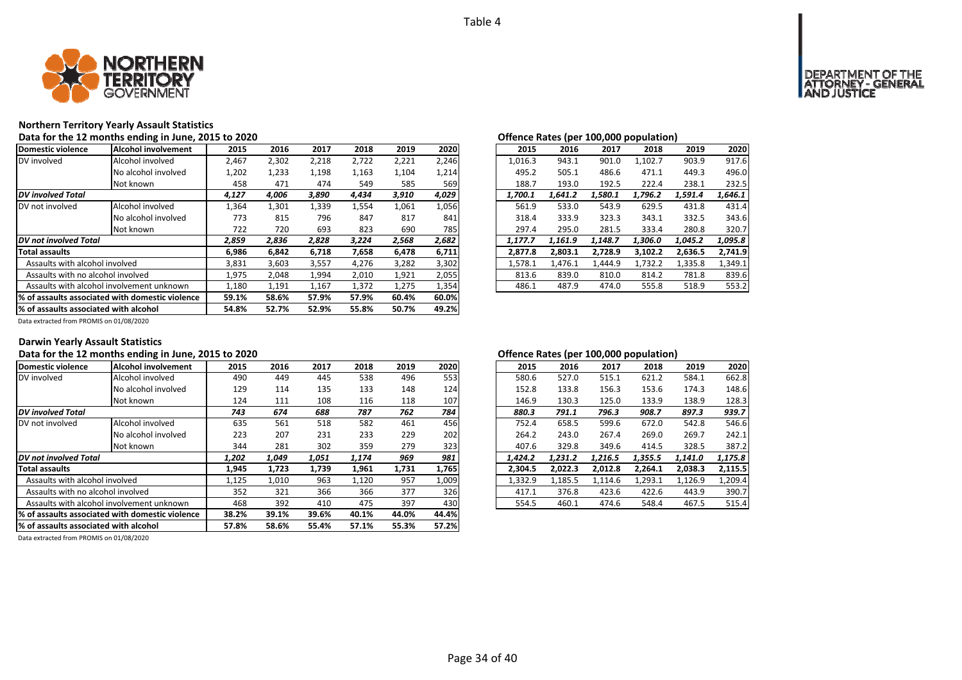

# **Northern Territory Yearly Assault Statistics**

|                                                                                           | Data for the 12 months ending in June, 2015 to 2020 |       |       |       |       |       |       | Offence Rates (per 100,000 population)                         |
|-------------------------------------------------------------------------------------------|-----------------------------------------------------|-------|-------|-------|-------|-------|-------|----------------------------------------------------------------|
| Domestic violence                                                                         | <b>Alcohol involvement</b>                          | 2015  | 2016  | 2017  | 2018  | 2019  | 2020  | 2020<br>2019<br>2015<br>2016<br>2017<br>2018                   |
| DV involved                                                                               | Alcohol involved                                    | 2,467 | 2,302 | 2,218 | 2,722 | 2,221 | 2,246 | 917.6<br>903.9<br>1,016.3<br>943.1<br>901.0<br>1,102.7         |
|                                                                                           | No alcohol involved                                 | 1,202 | 1,233 | 1,198 | 1,163 | 1,104 | 1,214 | 495.2<br>505.1<br>496.0<br>486.6<br>471.1<br>449.3             |
|                                                                                           | Not known                                           | 458   | 471   | 474   | 549   | 585   | 569   | 188.7<br>232.5<br>193.0<br>192.5<br>222.4<br>238.1             |
| <b>DV</b> involved Total                                                                  |                                                     | 4,127 | 4,006 | 3,890 | 4,434 | 3,910 | 4,029 | 1,700.1<br>1,641.2<br>1,580.1<br>1,646.1<br>1,796.2<br>1,591.4 |
| DV not involved                                                                           | Alcohol involved                                    | 1,364 | 1,301 | 1,339 | 1,554 | 1,061 | 1,056 | 533.0<br>629.5<br>431.8<br>431.4<br>561.9<br>543.9             |
|                                                                                           | No alcohol involved                                 | 773   | 815   | 796   | 847   | 817   | 841   | 343.6<br>318.4<br>333.9<br>323.3<br>343.1<br>332.5             |
|                                                                                           | Not known                                           | 722   | 720   | 693   | 823   | 690   | 785   | 297.4<br>320.7<br>295.0<br>281.5<br>333.4<br>280.8             |
| DV not involved Total                                                                     |                                                     | 2,859 | 2,836 | 2,828 | 3,224 | 2,568 | 2,682 | 1,095.8<br>1.177.7<br>1,161.9<br>1.148.7<br>1.306.0<br>1,045.2 |
| <b>Total assaults</b>                                                                     |                                                     | 6,986 | 6,842 | 6,718 | 7,658 | 6,478 | 6,711 | 2,728.9<br>2,636.5<br>2,741.9<br>2,877.8<br>2,803.1<br>3,102.2 |
| Assaults with alcohol involved                                                            |                                                     | 3,831 | 3,603 | 3,557 | 4,276 | 3,282 | 3,302 | 1.476.1<br>1,578.1<br>1.732.2<br>1,335.8<br>1,349.1<br>1.444.9 |
| Assaults with no alcohol involved                                                         |                                                     | 1,975 | 2,048 | 1,994 | 2,010 | 1,921 | 2,055 | 781.8<br>839.6<br>813.6<br>839.0<br>810.0<br>814.2             |
| Assaults with alcohol involvement unknown                                                 |                                                     | 1,180 | 1,191 | 1,167 | 1,372 | 1,275 | 1,354 | 553.2<br>486.1<br>487.9<br>555.8<br>518.9<br>474.0             |
|                                                                                           | 59.1%                                               | 58.6% | 57.9% | 57.9% | 60.4% | 60.0% |       |                                                                |
| 1% of assaults associated with domestic violence<br>% of assaults associated with alcohol |                                                     | 54.8% | 52.7% | 52.9% | 55.8% | 50.7% | 49.2% |                                                                |

| <u>onenee nates (per 100,000 popaiation)</u> |         |         |         |         |         |
|----------------------------------------------|---------|---------|---------|---------|---------|
| 2015                                         | 2016    | 2017    | 2018    | 2019    | 2020    |
| 1.016.3                                      | 943.1   | 901.0   | 1,102.7 | 903.9   | 917.6   |
| 495.2                                        | 505.1   | 486.6   | 471.1   | 449.3   | 496.0   |
| 188.7                                        | 193.0   | 192.5   | 222.4   | 238.1   | 232.5   |
| 1,700.1                                      | 1.641.2 | 1,580.1 | 1,796.2 | 1,591.4 | 1,646.1 |
| 561.9                                        | 533.0   | 543.9   | 629.5   | 431.8   | 431.4   |
| 318.4                                        | 333.9   | 323.3   | 343.1   | 332.5   | 343.6   |
| 297.4                                        | 295.0   | 281.5   | 333.4   | 280.8   | 320.7   |
| 1.177.7                                      | 1.161.9 | 1.148.7 | 1.306.0 | 1.045.2 | 1,095.8 |
| 2,877.8                                      | 2,803.1 | 2,728.9 | 3,102.2 | 2,636.5 | 2,741.9 |
| 1.578.1                                      | 1,476.1 | 1.444.9 | 1,732.2 | 1,335.8 | 1.349.1 |
| 813.6                                        | 839.0   | 810.0   | 814.2   | 781.8   | 839.6   |
| 486.1                                        | 487.9   | 474.0   | 555.8   | 518.9   | 553.2   |

Data extracted from PROMIS on 01/08/2020

### **Darwin Yearly Assault Statistics**

### Data for the 12 months ending in June, 2015 to 2020 *Data for the 12 months ending in June, 2015 to 2020 Degeme 100,000 <b>D and <i>S D and <i>S C* fence Rates (per 100,000 population)

| Domestic violence                     | Alcohol involvement                              | 2015  | 2016  | 2017  | 2018  | 2019  | 2020  | 2015    | 2016    | 2017    | 2018    | 2019    | 2020    |
|---------------------------------------|--------------------------------------------------|-------|-------|-------|-------|-------|-------|---------|---------|---------|---------|---------|---------|
| DV involved                           | Alcohol involved                                 | 490   | 449   | 445   | 538   | 496   | 553   | 580.6   | 527.0   | 515.1   | 621.2   | 584.1   | 662.8   |
|                                       | No alcohol involved                              | 129   | 114   | 135   | 133   | 148   | 124   | 152.8   | 133.8   | 156.3   | 153.6   | 174.3   | 148.6   |
|                                       | Not known                                        | 124   | 111   | 108   | 116   | 118   | 107   | 146.9   | 130.3   | 125.0   | 133.9   | 138.9   | 128.3   |
| <b>DV</b> involved Total              |                                                  | 743   | 674   | 688   | 787   | 762   | 784   | 880.3   | 791.1   | 796.3   | 908.7   | 897.3   | 939.7   |
| DV not involved                       | Alcohol involved                                 | 635   | 561   | 518   | 582   | 461   | 456   | 752.4   | 658.5   | 599.6   | 672.0   | 542.8   | 546.6   |
|                                       | No alcohol involved                              | 223   | 207   | 231   | 233   | 229   | 202   | 264.2   | 243.0   | 267.4   | 269.0   | 269.7   | 242.1   |
|                                       | Not known                                        | 344   | 281   | 302   | 359   | 279   | 323   | 407.6   | 329.8   | 349.6   | 414.5   | 328.5   | 387.2   |
| DV not involved Total                 |                                                  | 1,202 | 1,049 | 1,051 | 1,174 | 969   | 981   | 1.424.2 | 1,231.2 | 1.216.5 | 1,355.5 | 1,141.0 | 1,175.8 |
| <b>Total assaults</b>                 |                                                  | 1,945 | 1,723 | 1,739 | 1,961 | 1,731 | 1,765 | 2,304.5 | 2,022.3 | 2.012.8 | 2,264.1 | 2.038.3 | 2,115.5 |
| Assaults with alcohol involved        |                                                  | 1,125 | 1,010 | 963   | 1,120 | 957   | 1,009 | 1,332.9 | 1,185.5 | 1,114.6 | 1,293.1 | 1,126.9 | 1,209.4 |
| Assaults with no alcohol involved     |                                                  | 352   | 321   | 366   | 366   | 377   | 326   | 417.1   | 376.8   | 423.6   | 422.6   | 443.9   | 390.7   |
|                                       | Assaults with alcohol involvement unknown        | 468   | 392   | 410   | 475   | 397   | 430   | 554.5   | 460.1   | 474.6   | 548.4   | 467.5   | 515.4   |
|                                       | 1% of assaults associated with domestic violence | 38.2% | 39.1% | 39.6% | 40.1% | 44.0% | 44.4% |         |         |         |         |         |         |
| % of assaults associated with alcohol |                                                  | 57.8% | 58.6% | 55.4% | 57.1% | 55.3% | 57.2% |         |         |         |         |         |         |
|                                       |                                                  |       |       |       |       |       |       |         |         |         |         |         |         |

| 2016    | 2017    | 2018    | 2019    | 2020    |
|---------|---------|---------|---------|---------|
| 527.0   | 515.1   | 621.2   | 584.1   | 662.8   |
| 133.8   | 156.3   | 153.6   | 174.3   | 148.6   |
| 130.3   | 125.0   | 133.9   | 138.9   | 128.3   |
| 791.1   | 796.3   | 908.7   | 897.3   | 939.7   |
| 658.5   | 599.6   | 672.0   | 542.8   | 546.6   |
| 243.0   | 267.4   | 269.0   | 269.7   | 242.1   |
| 329.8   | 349.6   | 414.5   | 328.5   | 387.2   |
| 1.231.2 | 1.216.5 | 1.355.5 | 1.141.0 | 1.175.8 |
| 2.022.3 | 2,012.8 | 2,264.1 | 2,038.3 | 2,115.5 |
| 1.185.5 | 1,114.6 | 1,293.1 | 1,126.9 | 1,209.4 |
| 376.8   | 423.6   | 422.6   | 443.9   | 390.7   |
| 460.1   | 474.6   | 548.4   | 467.5   | 515.4   |
|         |         |         |         |         |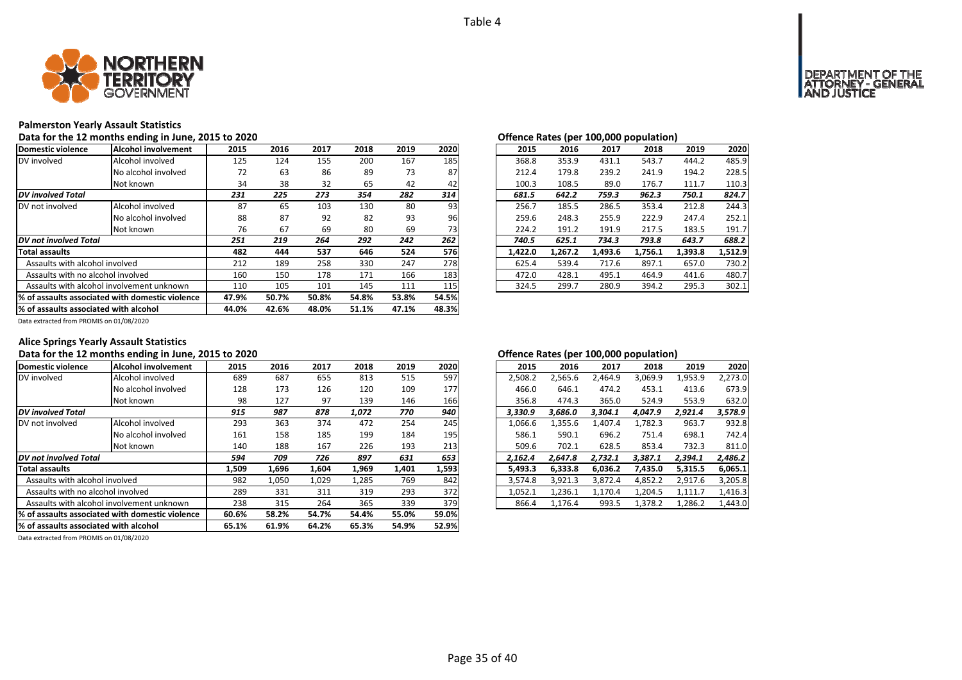

## **Palmerston Yearly Assault Statistics**

### Data for the 12 months ending in June, 2015 to 2020<br> **Data for the 12 months ending in June, 2015 to 2020**

| Domestic violence                         | lAlcohol involvement                             | 2015  | 2016  | 2017  | 2018  | 2019  | 2020  | 2015    | 2016    | 2017    | 2018    | 2019    | 2020    |
|-------------------------------------------|--------------------------------------------------|-------|-------|-------|-------|-------|-------|---------|---------|---------|---------|---------|---------|
| DV involved                               | Alcohol involved                                 | 125   | 124   | 155   | 200   | 167   | 185   | 368.8   | 353.9   | 431.1   | 543.7   | 444.2   | 485.9   |
|                                           | No alcohol involved                              | 72    | 63    | 86    | 89    | 73    | 87    | 212.4   | 179.8   | 239.2   | 241.9   | 194.2   | 228.5   |
|                                           | Not known                                        | 34    | 38    | 32    | 65    | 42    | 42    | 100.3   | 108.5   | 89.0    | 176.7   | 111.7   | 110.3   |
| <b>DV</b> involved Total                  |                                                  | 231   | 225   | 273   | 354   | 282   | 314   | 681.5   | 642.2   | 759.3   | 962.3   | 750.1   | 824.7   |
| DV not involved                           | Alcohol involved                                 | 87    | 65    | 103   | 130   | 80    | 93    | 256.7   | 185.5   | 286.5   | 353.4   | 212.8   | 244.3   |
|                                           | No alcohol involved                              | 88    | 87    | 92    | 82    | 93    | 96    | 259.6   | 248.3   | 255.9   | 222.9   | 247.4   | 252.1   |
|                                           | Not known                                        | 76    | 67    | 69    | 80    | 69    | 73    | 224.2   | 191.2   | 191.9   | 217.5   | 183.5   | 191.7   |
| <b>DV</b> not involved Total              |                                                  | 251   | 219   | 264   | 292   | 242   | 262   | 740.5   | 625.1   | 734.3   | 793.8   | 643.7   | 688.2   |
| <b>Total assaults</b>                     |                                                  | 482   | 444   | 537   | 646   | 524   | 576   | 1,422.0 | 1,267.2 | 1,493.6 | 1,756.1 | 1,393.8 | 1,512.9 |
| Assaults with alcohol involved            |                                                  | 212   | 189   | 258   | 330   | 247   | 278   | 625.4   | 539.4   | 717.6   | 897.1   | 657.0   | 730.2   |
| Assaults with no alcohol involved         |                                                  | 160   | 150   | 178   | 171   | 166   | 183   | 472.0   | 428.1   | 495.1   | 464.9   | 441.6   | 480.7   |
| Assaults with alcohol involvement unknown |                                                  | 110   | 105   | 101   | 145   | 111   | 115   | 324.5   | 299.7   | 280.9   | 394.2   | 295.3   | 302.1   |
|                                           | 1% of assaults associated with domestic violence | 47.9% | 50.7% | 50.8% | 54.8% | 53.8% | 54.5% |         |         |         |         |         |         |
| 1% of assaults associated with alcohol    |                                                  | 44.0% | 42.6% | 48.0% | 51.1% | 47.1% | 48.3% |         |         |         |         |         |         |

| w       |         |         |         |         |
|---------|---------|---------|---------|---------|
| 2016    | 2017    | 2018    | 2019    | 2020    |
| 353.9   | 431.1   | 543.7   | 444.2   | 485.9   |
| 179.8   | 239.2   | 241.9   | 194.2   | 228.5   |
| 108.5   | 89.0    | 176.7   | 111.7   | 110.3   |
| 642.2   | 759.3   | 962.3   | 750.1   | 824.7   |
| 185.5   | 286.5   | 353.4   | 212.8   | 244.3   |
| 248.3   | 255.9   | 222.9   | 247.4   | 252.1   |
| 191.2   | 191.9   | 217.5   | 183.5   | 191.7   |
| 625.1   | 734.3   | 793.8   | 643.7   | 688.2   |
| 1,267.2 | 1,493.6 | 1,756.1 | 1,393.8 | 1,512.9 |
| 539.4   | 717.6   | 897.1   | 657.0   | 730.2   |
| 428.1   | 495.1   | 464.9   | 441.6   | 480.7   |
| 299.7   | 280.9   | 394.2   | 295.3   | 302.1   |
|         |         |         |         |         |

Data extracted from PROMIS on 01/08/2020

## **Alice Springs Yearly Assault Statistics**

### Data for the 12 months ending in June, 2015 to 2020 *Data for the 12 months ending in June, 2015 to 2020 CHEREE CHEREE CHEREE CHEREE CHEREE CHEREE CHEREE CHEREE CHEREE CHEREE CH*

| Domestic violence                                | Alcohol involvement                       | 2015  | 2016  | 2017  | 2018  | 2019  | 2020  | 2015    | 2016    | 2017    | 2018    | 2019    | 2020    |
|--------------------------------------------------|-------------------------------------------|-------|-------|-------|-------|-------|-------|---------|---------|---------|---------|---------|---------|
| DV involved                                      | Alcohol involved                          | 689   | 687   | 655   | 813   | 515   | 597   | 2,508.2 | 2,565.6 | 2.464.9 | 3,069.9 | 1,953.9 | 2,273.0 |
|                                                  | No alcohol involved                       | 128   | 173   | 126   | 120   | 109   | 177   | 466.0   | 646.1   | 474.2   | 453.1   | 413.6   | 673.9   |
|                                                  | Not known                                 | 98    | 127   | 97    | 139   | 146   | 166   | 356.8   | 474.3   | 365.0   | 524.9   | 553.9   | 632.0   |
| <b>DV</b> involved Total                         |                                           | 915   | 987   | 878   | 1,072 | 770   | 940   | 3.330.9 | 3.686.0 | 3.304.1 | 4.047.9 | 2,921.4 | 3,578.9 |
| DV not involved                                  | Alcohol involved                          | 293   | 363   | 374   | 472   | 254   | 245   | 1,066.6 | 1,355.6 | 1,407.4 | 1.782.3 | 963.7   | 932.8   |
|                                                  | No alcohol involved                       | 161   | 158   | 185   | 199   | 184   | 195   | 586.1   | 590.1   | 696.2   | 751.4   | 698.1   | 742.4   |
|                                                  | Not known                                 | 140   | 188   | 167   | 226   | 193   | 213   | 509.6   | 702.1   | 628.5   | 853.4   | 732.3   | 811.0   |
| DV not involved Total                            |                                           | 594   | 709   | 726   | 897   | 631   | 653   | 2.162.4 | 2.647.8 | 2.732.1 | 3.387.1 | 2,394.1 | 2,486.2 |
| <b>Total assaults</b>                            |                                           | 1,509 | 1,696 | 1,604 | 1,969 | 1,401 | 1,593 | 5,493.3 | 6,333.8 | 6.036.2 | 7,435.0 | 5,315.5 | 6,065.1 |
| Assaults with alcohol involved                   |                                           | 982   | 1,050 | 1,029 | 1,285 | 769   | 842   | 3,574.8 | 3,921.3 | 3,872.4 | 4,852.2 | 2,917.6 | 3,205.8 |
| Assaults with no alcohol involved                |                                           | 289   | 331   | 311   | 319   | 293   | 372   | 1,052.1 | 1,236.1 | 1,170.4 | 1,204.5 | 1,111.7 | 1,416.3 |
|                                                  | Assaults with alcohol involvement unknown | 238   | 315   | 264   | 365   | 339   | 379   | 866.4   | 1,176.4 | 993.5   | 1,378.2 | 1,286.2 | 1,443.0 |
| 1% of assaults associated with domestic violence |                                           | 60.6% | 58.2% | 54.7% | 54.4% | 55.0% | 59.0% |         |         |         |         |         |         |
| % of assaults associated with alcohol            |                                           | 65.1% | 61.9% | 64.2% | 65.3% | 54.9% | 52.9% |         |         |         |         |         |         |

| 2015    | 2016    | 2017    | 2018    | 2019    | 2020    |
|---------|---------|---------|---------|---------|---------|
| 2,508.2 | 2,565.6 | 2,464.9 | 3,069.9 | 1,953.9 | 2,273.0 |
| 466.0   | 646.1   | 474.2   | 453.1   | 413.6   | 673.9   |
| 356.8   | 474.3   | 365.0   | 524.9   | 553.9   | 632.0   |
| 3,330.9 | 3.686.0 | 3.304.1 | 4.047.9 | 2.921.4 | 3,578.9 |
| 1,066.6 | 1,355.6 | 1,407.4 | 1,782.3 | 963.7   | 932.8   |
| 586.1   | 590.1   | 696.2   | 751.4   | 698.1   | 742.4   |
| 509.6   | 702.1   | 628.5   | 853.4   | 732.3   | 811.0   |
| 2,162.4 | 2,647.8 | 2,732.1 | 3,387.1 | 2,394.1 | 2,486.2 |
| 5.493.3 | 6.333.8 | 6.036.2 | 7.435.0 | 5.315.5 | 6,065.1 |
| 3,574.8 | 3,921.3 | 3,872.4 | 4,852.2 | 2,917.6 | 3,205.8 |
| 1,052.1 | 1,236.1 | 1,170.4 | 1.204.5 | 1,111.7 | 1,416.3 |
| 866.4   | 1.176.4 | 993.5   | 1,378.2 | 1,286.2 | 1,443.0 |
|         |         |         |         |         |         |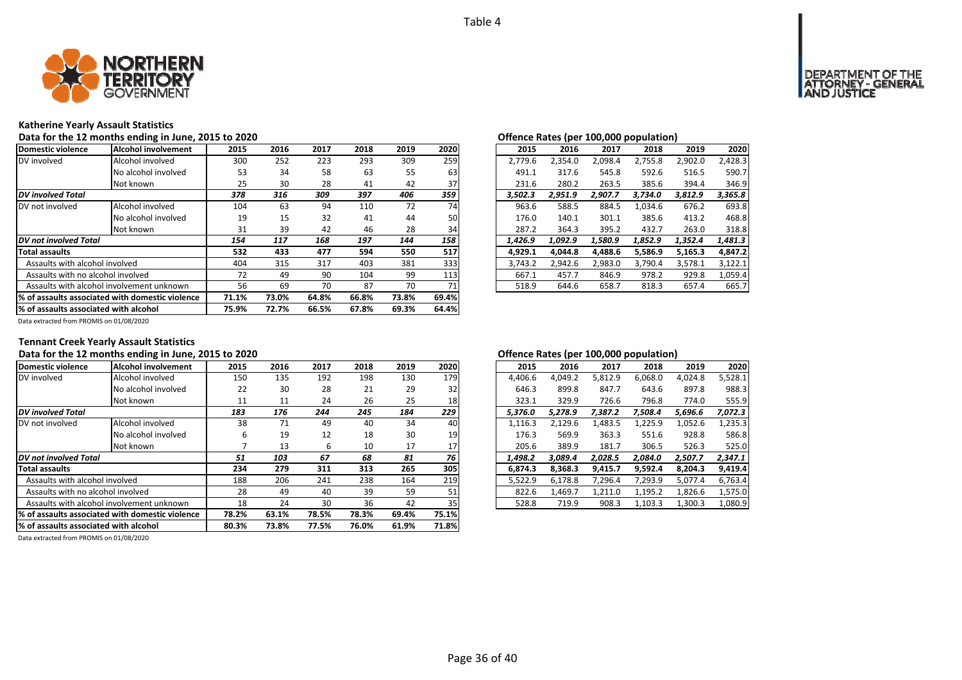

# **Katherine Yearly Assault Statistics**

### Data for the 12 months ending in June, 2015 to 2020<br> **Data for the 12 months ending in June, 2015 to 2020**

| Domestic violence                         | Alcohol involvement                              | 2015  | 2016  | 2017  | 2018  | 2019  | 2020  | 2015    | 2016    | 2017    | 2018    | 2019    | 2020    |
|-------------------------------------------|--------------------------------------------------|-------|-------|-------|-------|-------|-------|---------|---------|---------|---------|---------|---------|
| DV involved                               | Alcohol involved                                 | 300   | 252   | 223   | 293   | 309   | 259   | 2.779.6 | 2,354.0 | 2,098.4 | 2,755.8 | 2,902.0 | 2,428.3 |
|                                           | No alcohol involved                              | 53    | 34    | 58    | 63    | 55    | 63    | 491.1   | 317.6   | 545.8   | 592.6   | 516.5   | 590.7   |
|                                           | Not known                                        | 25    | 30    | 28    | 41    | 42    | 37    | 231.6   | 280.2   | 263.5   | 385.6   | 394.4   | 346.9   |
| <b>DV</b> involved Total                  |                                                  | 378   | 316   | 309   | 397   | 406   | 359   | 3.502.3 | 2.951.9 | 2.907.7 | 3.734.0 | 3.812.9 | 3,365.8 |
| DV not involved                           | Alcohol involved                                 | 104   | 63    | 94    | 110   | 72    | 74    | 963.6   | 588.5   | 884.5   | 1.034.6 | 676.2   | 693.8   |
|                                           | No alcohol involved                              | 19    | 15    | 32    | 41    | 44    | 50    | 176.0   | 140.1   | 301.1   | 385.6   | 413.2   | 468.8   |
|                                           | Not known                                        | 31    | 39    | 42    | 46    | 28    | 34    | 287.2   | 364.3   | 395.2   | 432.7   | 263.0   | 318.8   |
| <b>DV</b> not involved Total              |                                                  | 154   | 117   | 168   | 197   | 144   | 158   | 1.426.9 | 1.092.9 | 1.580.9 | 1,852.9 | 1,352.4 | 1,481.3 |
| Total assaults                            |                                                  | 532   | 433   | 477   | 594   | 550   | 517   | 4.929.1 | 4.044.8 | 4.488.6 | 5,586.9 | 5.165.3 | 4,847.2 |
| Assaults with alcohol involved            |                                                  | 404   | 315   | 317   | 403   | 381   | 333   | 3.743.2 | 2,942.6 | 2,983.0 | 3,790.4 | 3,578.1 | 3,122.1 |
| Assaults with no alcohol involved         |                                                  | 72    | 49    | 90    | 104   | 99    | 113   | 667.1   | 457.7   | 846.9   | 978.2   | 929.8   | 1,059.4 |
| Assaults with alcohol involvement unknown |                                                  | 56    | 69    | 70    | 87    | 70    | 71    | 518.9   | 644.6   | 658.7   | 818.3   | 657.4   | 665.7   |
|                                           | 1% of assaults associated with domestic violence | 71.1% | 73.0% | 64.8% | 66.8% | 73.8% | 69.4% |         |         |         |         |         |         |
| % of assaults associated with alcohol     |                                                  | 75.9% | 72.7% | 66.5% | 67.8% | 69.3% | 64.4% |         |         |         |         |         |         |

| .5           | 2016 | 2017 | 2018 | 2019 | 2020 | 2015    | 2016    | 2017    | 2018    | 2019    | 2020    |
|--------------|------|------|------|------|------|---------|---------|---------|---------|---------|---------|
| Ю            | 252  | 223  | 293  | 309  | 259  | 2.779.6 | 2.354.0 | 2.098.4 | 2.755.8 | 2.902.0 | 2.428.3 |
| 53           | 34   | 58   | 63   | 55   | 63   | 491.1   | 317.6   | 545.8   | 592.6   | 516.5   | 590.7   |
| :5           | 30   | 28   | 41   | 42   | 37   | 231.6   | 280.2   | 263.5   | 385.6   | 394.4   | 346.9   |
| 8            | 316  | 309  | 397  | 406  | 359  | 3.502.3 | 2.951.9 | 2.907.7 | 3,734.0 | 3,812.9 | 3,365.8 |
| 14           | 63   | 94   | 110  | 72   | 74   | 963.6   | 588.5   | 884.5   | 1,034.6 | 676.2   | 693.8   |
| 9.           | 15   | 32   | 41   | 44   | 50   | 176.0   | 140.1   | 301.1   | 385.6   | 413.2   | 468.8   |
| ا:           | 39   | 42   | 46   | 28   | 34   | 287.2   | 364.3   | 395.2   | 432.7   | 263.0   | 318.8   |
| 4            | 117  | 168  | 197  | 144  | 158  | 1.426.9 | 1.092.9 | 1.580.9 | 1.852.9 | 1.352.4 | 1,481.3 |
| $2^{\circ}$  | 433  | 477  | 594  | 550  | 517  | 4.929.1 | 4.044.8 | 4,488.6 | 5,586.9 | 5,165.3 | 4,847.2 |
| 14           | 315  | 317  | 403  | 381  | 3331 | 3.743.2 | 2.942.6 | 2.983.0 | 3.790.4 | 3.578.1 | 3.122.1 |
| $^{\prime}2$ | 49   | 90   | 104  | 99   | 113  | 667.1   | 457.7   | 846.9   | 978.2   | 929.8   | 1.059.4 |
| 56           | 69   | 70   | 87   | 70   | 71   | 518.9   | 644.6   | 658.7   | 818.3   | 657.4   | 665.7   |
|              |      |      |      |      |      |         |         |         |         |         |         |

Data extracted from PROMIS on 01/08/2020

## **Tennant Creek Yearly Assault Statistics**

### Data for the 12 months ending in June, 2015 to 2020 *Data for the Lates (per 100,000 population)*

| Domestic violence                     | Alcohol involvement                              | 2015  | 2016  | 2017  | 2018  | 2019  | 2020  | 2015    | 2016    | 2017    | 2018    | 2019    | 2020    |
|---------------------------------------|--------------------------------------------------|-------|-------|-------|-------|-------|-------|---------|---------|---------|---------|---------|---------|
| DV involved                           | Alcohol involved                                 | 150   | 135   | 192   | 198   | 130   | 179   | 4,406.6 | 4,049.2 | 5,812.9 | 6,068.0 | 4,024.8 | 5,528.1 |
|                                       | No alcohol involved                              | 22    | 30    | 28    | 21    | 29    | 32    | 646.3   | 899.8   | 847.7   | 643.6   | 897.8   | 988.3   |
|                                       | Not known                                        | 11    | 11    | 24    | 26    | 25    | 18    | 323.1   | 329.9   | 726.6   | 796.8   | 774.0   | 555.9   |
| <b>DV</b> involved Total              |                                                  | 183   | 176   | 244   | 245   | 184   | 229   | 5,376.0 | 5.278.9 | 7,387.2 | 7,508.4 | 5,696.6 | 7,072.3 |
| DV not involved                       | Alcohol involved                                 | 38    | 71    | 49    | 40    | 34    | 40    | 1,116.3 | 2,129.6 | 1,483.5 | 1,225.9 | 1,052.6 | 1,235.3 |
|                                       | No alcohol involved                              | ь     | 19    | 12    | 18    | 30    | 19    | 176.3   | 569.9   | 363.3   | 551.6   | 928.8   | 586.8   |
|                                       | Not known                                        |       | 13    | ь     | 10    | 17    | 17    | 205.6   | 389.9   | 181.7   | 306.5   | 526.3   | 525.0   |
| DV not involved Total                 |                                                  | 51    | 103   | 67    | 68    | 81    | 76    | 1,498.2 | 3,089.4 | 2,028.5 | 2,084.0 | 2,507.7 | 2,347.1 |
| <b>Total assaults</b>                 |                                                  | 234   | 279   | 311   | 313   | 265   | 305   | 6,874.3 | 8,368.3 | 9,415.7 | 9,592.4 | 8,204.3 | 9,419.4 |
| Assaults with alcohol involved        |                                                  | 188   | 206   | 241   | 238   | 164   | 219   | 5,522.9 | 6.178.8 | 7,296.4 | 7,293.9 | 5,077.4 | 6,763.4 |
| Assaults with no alcohol involved     |                                                  | 28    | 49    | 40    | 39    | 59    | 51    | 822.6   | 1,469.7 | 1,211.0 | 1,195.2 | 1,826.6 | 1,575.0 |
|                                       | Assaults with alcohol involvement unknown        | 18    | 24    | 30    | 36    | 42    | 35    | 528.8   | 719.9   | 908.3   | 1,103.3 | 1,300.3 | 1,080.9 |
|                                       | 1% of assaults associated with domestic violence |       | 63.1% | 78.5% | 78.3% | 69.4% | 75.1% |         |         |         |         |         |         |
| % of assaults associated with alcohol |                                                  | 80.3% | 73.8% | 77.5% | 76.0% | 61.9% | 71.8% |         |         |         |         |         |         |

| 2015    | 2016    | 2017    | 2018    | 2019    | 2020    |
|---------|---------|---------|---------|---------|---------|
| 4,406.6 | 4,049.2 | 5,812.9 | 6,068.0 | 4,024.8 | 5,528.1 |
| 646.3   | 899.8   | 847.7   | 643.6   | 897.8   | 988.3   |
| 323.1   | 329.9   | 726.6   | 796.8   | 774.0   | 555.9   |
| 5,376.0 | 5,278.9 | 7,387.2 | 7,508.4 | 5,696.6 | 7,072.3 |
| 1,116.3 | 2,129.6 | 1,483.5 | 1,225.9 | 1,052.6 | 1,235.3 |
| 176.3   | 569.9   | 363.3   | 551.6   | 928.8   | 586.8   |
| 205.6   | 389.9   | 181.7   | 306.5   | 526.3   | 525.0   |
| 1,498.2 | 3.089.4 | 2.028.5 | 2.084.0 | 2,507.7 | 2,347.1 |
| 6,874.3 | 8,368.3 | 9,415.7 | 9,592.4 | 8,204.3 | 9,419.4 |
| 5,522.9 | 6,178.8 | 7,296.4 | 7,293.9 | 5,077.4 | 6,763.4 |
| 822.6   | 1,469.7 | 1,211.0 | 1,195.2 | 1,826.6 | 1,575.0 |
| 528.8   | 719.9   | 908.3   | 1,103.3 | 1,300.3 | 1,080.9 |
|         |         |         |         |         |         |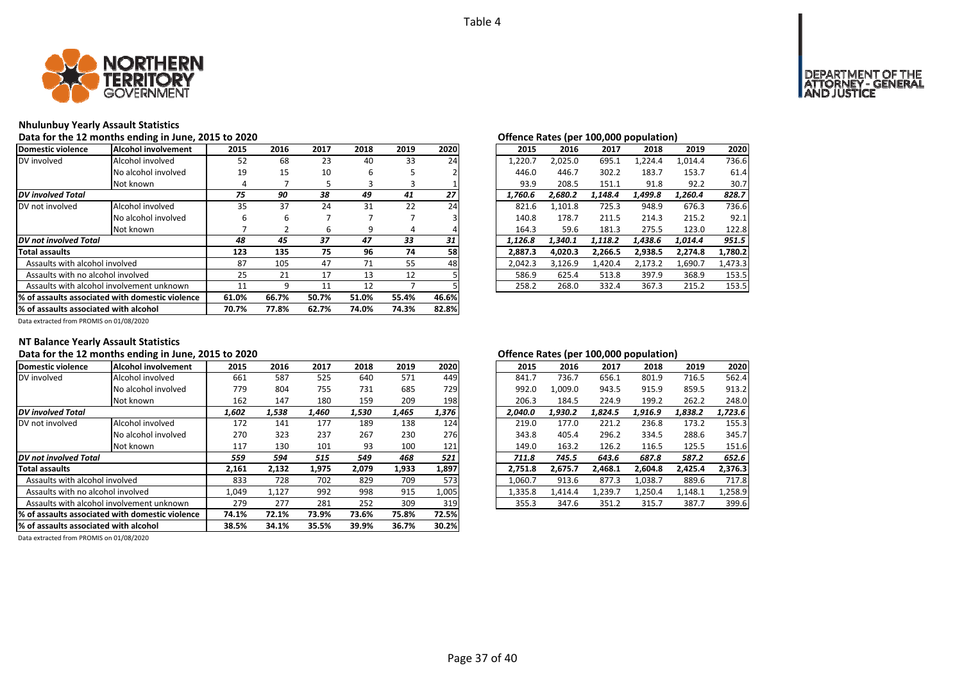

# **Nhulunbuy Yearly Assault Statistics**

### Data for the 12 months ending in June, 2015 to 2020<br> **Data for the 12 months ending in June, 2015 to 2020**

| Domestic violence                                | <b>Alcohol involvement</b>                | 2015  | 2016  | 2017  | 2018  | 2019  | 2020  | 2015    | 2016    | 2017    | 2018    | 2019    | 2020    |
|--------------------------------------------------|-------------------------------------------|-------|-------|-------|-------|-------|-------|---------|---------|---------|---------|---------|---------|
| DV involved                                      | Alcohol involved                          | 52    | 68    | 23    | 40    | 33    | 24    | 1,220.7 | 2,025.0 | 695.1   | 1,224.4 | 1,014.4 | 736.6   |
|                                                  | No alcohol involved                       | 19    | 15    | 10    | 6     |       |       | 446.0   | 446.7   | 302.2   | 183.7   | 153.7   | 61.4    |
|                                                  | Not known                                 | 4     |       |       |       | э     |       | 93.9    | 208.5   | 151.1   | 91.8    | 92.2    | 30.7    |
| <b>DV</b> involved Total                         |                                           | 75    | 90    | 38    | 49    | 41    | 27    | 1,760.6 | 2.680.2 | 1,148.4 | 1,499.8 | 1,260.4 | 828.7   |
| DV not involved                                  | Alcohol involved                          | 35    | 37    | 24    | 31    | 22    | 24    | 821.6   | 1,101.8 | 725.3   | 948.9   | 676.3   | 736.6   |
|                                                  | No alcohol involved                       | h     | 6     | -     |       |       |       | 140.8   | 178.7   | 211.5   | 214.3   | 215.2   | 92.1    |
|                                                  | Not known                                 |       |       | ь     | 9     | 4     |       | 164.3   | 59.6    | 181.3   | 275.5   | 123.0   | 122.8   |
| DV not involved Total                            |                                           | 48    | 45    | 37    | 47    | 33    | 31    | 1,126.8 | 1,340.1 | 1,118.2 | 1,438.6 | 1,014.4 | 951.5   |
| <b>Total assaults</b>                            |                                           | 123   | 135   | 75    | 96    | 74    | 58    | 2,887.3 | 4,020.3 | 2,266.5 | 2,938.5 | 2,274.8 | 1,780.2 |
| Assaults with alcohol involved                   |                                           | 87    | 105   | 47    | 71    | 55    | 48    | 2,042.3 | 3,126.9 | 1,420.4 | 2,173.2 | 1,690.7 | 1,473.3 |
| Assaults with no alcohol involved                |                                           | 25    | 21    | 17    | 13    | 12    |       | 586.9   | 625.4   | 513.8   | 397.9   | 368.9   | 153.5   |
|                                                  | Assaults with alcohol involvement unknown | 11    | 9     | 11    | 12    |       |       | 258.2   | 268.0   | 332.4   | 367.3   | 215.2   | 153.5   |
| 1% of assaults associated with domestic violence |                                           | 61.0% | 66.7% | 50.7% | 51.0% | 55.4% | 46.6% |         |         |         |         |         |         |
| % of assaults associated with alcohol            |                                           | 70.7% | 77.8% | 62.7% | 74.0% | 74.3% | 82.8% |         |         |         |         |         |         |

|                |      |      |      |      |      |         | $\mathbf{r}$ |         |         |         |         |
|----------------|------|------|------|------|------|---------|--------------|---------|---------|---------|---------|
| .5             | 2016 | 2017 | 2018 | 2019 | 2020 | 2015    | 2016         | 2017    | 2018    | 2019    | 2020    |
| $\overline{2}$ | 68   | 23   | 40   | 33   | 24   | 1.220.7 | 2.025.0      | 695.1   | 1.224.4 | 1.014.4 | 736.6   |
| 9.             | 15   | 10   | 6    | 5    |      | 446.0   | 446.7        | 302.2   | 183.7   | 153.7   | 61.4    |
| 4              |      | 5    | 3    | 3    |      | 93.9    | 208.5        | 151.1   | 91.8    | 92.2    | 30.7    |
| 5              | 90   | 38   | 49   | 41   | 27   | 1.760.6 | 2.680.2      | 1.148.4 | 1,499.8 | 1.260.4 | 828.7   |
| 15             | 37   | 24   | 31   | 22   | 24   | 821.6   | 1,101.8      | 725.3   | 948.9   | 676.3   | 736.6   |
| 6              | 6    |      |      |      |      | 140.8   | 178.7        | 211.5   | 214.3   | 215.2   | 92.1    |
| 7              |      | 6    | 9    | 4    | 4    | 164.3   | 59.6         | 181.3   | 275.5   | 123.0   | 122.8   |
| 8              | 45   | 37   | 47   | 33   | 31   | 1.126.8 | 1.340.1      | 1.118.2 | 1.438.6 | 1.014.4 | 951.5   |
| :3             | 135  | 75   | 96   | 74   | 58   | 2.887.3 | 4.020.3      | 2.266.5 | 2,938.5 | 2.274.8 | 1,780.2 |
| :7             | 105  | 47   | 71   | 55   | 48   | 2.042.3 | 3.126.9      | 1.420.4 | 2.173.2 | 1.690.7 | 1,473.3 |
| :5             | 21   | 17   | 13   | 12   |      | 586.9   | 625.4        | 513.8   | 397.9   | 368.9   | 153.5   |
|                | 9    | 11   | 12   |      |      | 258.2   | 268.0        | 332.4   | 367.3   | 215.2   | 153.5   |
|                |      |      |      |      |      |         |              |         |         |         |         |

Data extracted from PROMIS on 01/08/2020

### **NT Balance Yearly Assault Statistics**

# Data for the 12 months ending in June, 2015 to 2020 *Data for the U.S. Community Community Community Community Community Community Community Community Community Community Community Community Community Community Community*

| Domestic violence                     | Alcohol involvement                             | 2015  | 2016  | 2017  | 2018  | 2019  | 2020  | 2015    | 2016    | 2017    | 2018    | 2019    | 2020    |
|---------------------------------------|-------------------------------------------------|-------|-------|-------|-------|-------|-------|---------|---------|---------|---------|---------|---------|
| DV involved                           | Alcohol involved                                | 661   | 587   | 525   | 640   | 571   | 449   | 841.7   | 736.7   | 656.1   | 801.9   | 716.5   | 562.4   |
|                                       | No alcohol involved                             | 779   | 804   | 755   | 731   | 685   | 729   | 992.0   | 1.009.0 | 943.5   | 915.9   | 859.5   | 913.2   |
|                                       | Not known                                       | 162   | 147   | 180   | 159   | 209   | 198   | 206.3   | 184.5   | 224.9   | 199.2   | 262.2   | 248.0   |
| <b>DV</b> involved Total              |                                                 | 1,602 | 1,538 | 1.460 | 1,530 | 1,465 | 1,376 | 2.040.0 | 1.930.2 | 1.824.5 | 1.916.9 | 1,838.2 | 1,723.6 |
| DV not involved                       | Alcohol involved                                | 172   | 141   | 177   | 189   | 138   | 124   | 219.0   | 177.0   | 221.2   | 236.8   | 173.2   | 155.3   |
|                                       | No alcohol involved                             | 270   | 323   | 237   | 267   | 230   | 276   | 343.8   | 405.4   | 296.2   | 334.5   | 288.6   | 345.7   |
|                                       | Not known                                       | 117   | 130   | 101   | 93    | 100   | 121   | 149.0   | 163.2   | 126.2   | 116.5   | 125.5   | 151.6   |
| DV not involved Total                 |                                                 | 559   | 594   | 515   | 549   | 468   | 521   | 711.8   | 745.5   | 643.6   | 687.8   | 587.2   | 652.6   |
| <b>Total assaults</b>                 |                                                 | 2,161 | 2,132 | 1,975 | 2,079 | 1,933 | 1,897 | 2.751.8 | 2,675.7 | 2.468.1 | 2,604.8 | 2,425.4 | 2.376.3 |
| Assaults with alcohol involved        |                                                 | 833   | 728   | 702   | 829   | 709   | 573   | 1,060.7 | 913.6   | 877.3   | 1,038.7 | 889.6   | 717.8   |
| Assaults with no alcohol involved     |                                                 | 1,049 | 1,127 | 992   | 998   | 915   | 1,005 | 1,335.8 | 1,414.4 | 1,239.7 | 1,250.4 | 1,148.1 | 1,258.9 |
|                                       | Assaults with alcohol involvement unknown       | 279   | 277   | 281   | 252   | 309   | 319   | 355.3   | 347.6   | 351.2   | 315.7   | 387.7   | 399.6   |
|                                       | % of assaults associated with domestic violence | 74.1% | 72.1% | 73.9% | 73.6% | 75.8% | 72.5% |         |         |         |         |         |         |
| % of assaults associated with alcohol |                                                 | 38.5% | 34.1% | 35.5% | 39.9% | 36.7% | 30.2% |         |         |         |         |         |         |

| 2016    | 2017    | 2018    | 2019    | 2020    |
|---------|---------|---------|---------|---------|
| 736.7   | 656.1   | 801.9   | 716.5   | 562.4   |
| 1.009.0 | 943.5   | 915.9   | 859.5   | 913.2   |
| 184.5   | 224.9   | 199.2   | 262.2   | 248.0   |
| 1,930.2 | 1.824.5 | 1,916.9 | 1,838.2 | 1,723.6 |
| 177.0   | 221.2   | 236.8   | 173.2   | 155.3   |
| 405.4   | 296.2   | 334.5   | 288.6   | 345.7   |
| 163.2   | 126.2   | 116.5   | 125.5   | 151.6   |
| 745.5   | 643.6   | 687.8   | 587.2   | 652.6   |
| 2,675.7 | 2,468.1 | 2,604.8 | 2,425.4 | 2,376.3 |
| 913.6   | 877.3   | 1.038.7 | 889.6   | 717.8   |
| 1,414.4 | 1,239.7 | 1,250.4 | 1,148.1 | 1,258.9 |
| 347.6   | 351.2   | 315.7   | 387.7   | 399.6   |
|         |         |         |         |         |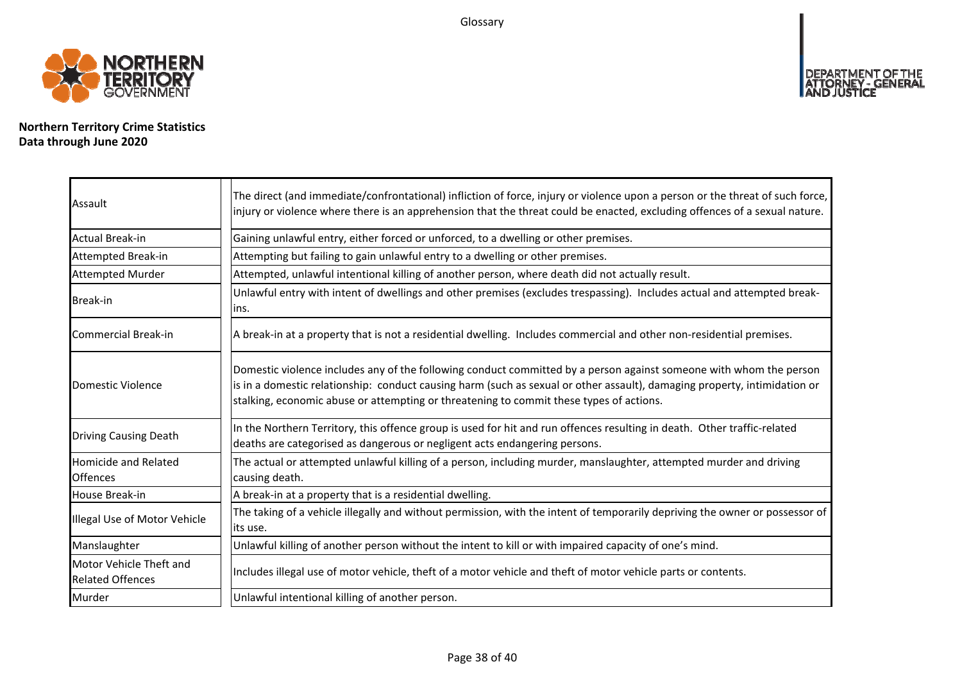Glossary



**Northern Territory Crime Statistics Data through June 2020**

| Assault                                            | The direct (and immediate/confrontational) infliction of force, injury or violence upon a person or the threat of such force,<br>injury or violence where there is an apprehension that the threat could be enacted, excluding offences of a sexual nature.                                                                                |
|----------------------------------------------------|--------------------------------------------------------------------------------------------------------------------------------------------------------------------------------------------------------------------------------------------------------------------------------------------------------------------------------------------|
| Actual Break-in                                    | Gaining unlawful entry, either forced or unforced, to a dwelling or other premises.                                                                                                                                                                                                                                                        |
| Attempted Break-in                                 | Attempting but failing to gain unlawful entry to a dwelling or other premises.                                                                                                                                                                                                                                                             |
| <b>Attempted Murder</b>                            | Attempted, unlawful intentional killing of another person, where death did not actually result.                                                                                                                                                                                                                                            |
| Break-in                                           | Unlawful entry with intent of dwellings and other premises (excludes trespassing). Includes actual and attempted break-<br>lins.                                                                                                                                                                                                           |
| Commercial Break-in                                | A break-in at a property that is not a residential dwelling. Includes commercial and other non-residential premises.                                                                                                                                                                                                                       |
| Domestic Violence                                  | Domestic violence includes any of the following conduct committed by a person against someone with whom the person<br>is in a domestic relationship: conduct causing harm (such as sexual or other assault), damaging property, intimidation or<br>stalking, economic abuse or attempting or threatening to commit these types of actions. |
| <b>Driving Causing Death</b>                       | In the Northern Territory, this offence group is used for hit and run offences resulting in death. Other traffic-related<br>deaths are categorised as dangerous or negligent acts endangering persons.                                                                                                                                     |
| <b>Homicide and Related</b><br><b>Offences</b>     | The actual or attempted unlawful killing of a person, including murder, manslaughter, attempted murder and driving<br>causing death.                                                                                                                                                                                                       |
| House Break-in                                     | A break-in at a property that is a residential dwelling.                                                                                                                                                                                                                                                                                   |
| Illegal Use of Motor Vehicle                       | The taking of a vehicle illegally and without permission, with the intent of temporarily depriving the owner or possessor of<br>lits use.                                                                                                                                                                                                  |
| Manslaughter                                       | Unlawful killing of another person without the intent to kill or with impaired capacity of one's mind.                                                                                                                                                                                                                                     |
| Motor Vehicle Theft and<br><b>Related Offences</b> | Includes illegal use of motor vehicle, theft of a motor vehicle and theft of motor vehicle parts or contents.                                                                                                                                                                                                                              |
| Murder                                             | Unlawful intentional killing of another person.                                                                                                                                                                                                                                                                                            |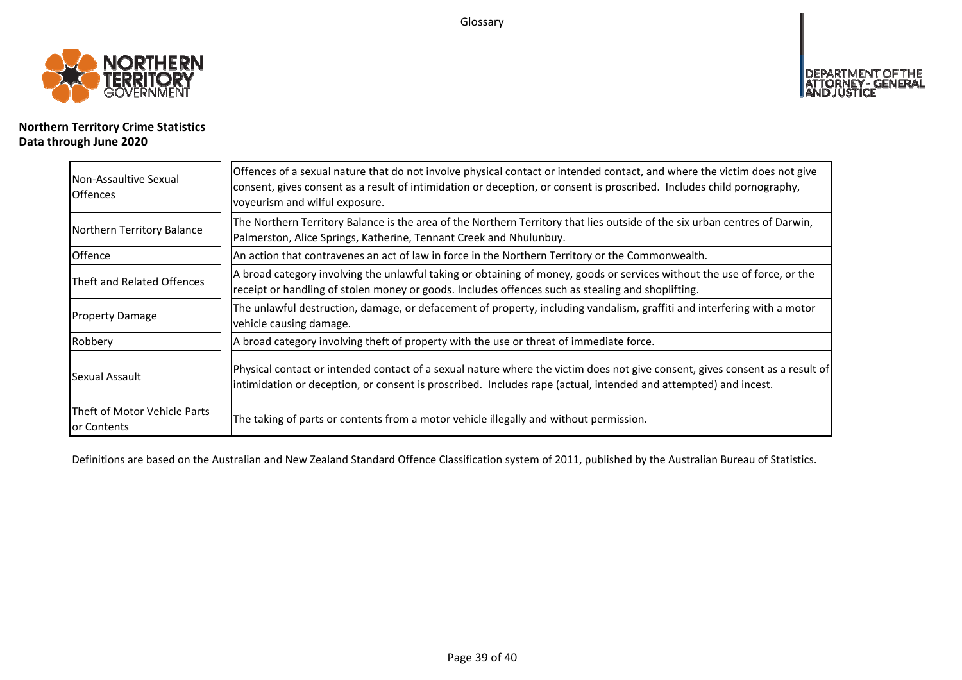Glossary



# **Northern Territory Crime Statistics Data through June 2020**

| Non-Assaultive Sexual<br><b>Offences</b>    | Offences of a sexual nature that do not involve physical contact or intended contact, and where the victim does not give<br>consent, gives consent as a result of intimidation or deception, or consent is proscribed. Includes child pornography,<br>voyeurism and wilful exposure. |
|---------------------------------------------|--------------------------------------------------------------------------------------------------------------------------------------------------------------------------------------------------------------------------------------------------------------------------------------|
| Northern Territory Balance                  | The Northern Territory Balance is the area of the Northern Territory that lies outside of the six urban centres of Darwin,<br>Palmerston, Alice Springs, Katherine, Tennant Creek and Nhulunbuy.                                                                                     |
| <b>Offence</b>                              | An action that contravenes an act of law in force in the Northern Territory or the Commonwealth.                                                                                                                                                                                     |
| Theft and Related Offences                  | A broad category involving the unlawful taking or obtaining of money, goods or services without the use of force, or the<br>receipt or handling of stolen money or goods. Includes offences such as stealing and shoplifting.                                                        |
| <b>Property Damage</b>                      | The unlawful destruction, damage, or defacement of property, including vandalism, graffiti and interfering with a motor<br>vehicle causing damage.                                                                                                                                   |
| Robbery                                     | A broad category involving theft of property with the use or threat of immediate force.                                                                                                                                                                                              |
| Sexual Assault                              | Physical contact or intended contact of a sexual nature where the victim does not give consent, gives consent as a result of<br>intimidation or deception, or consent is proscribed. Includes rape (actual, intended and attempted) and incest.                                      |
| Theft of Motor Vehicle Parts<br>or Contents | The taking of parts or contents from a motor vehicle illegally and without permission.                                                                                                                                                                                               |

Definitions are based on the Australian and New Zealand Standard Offence Classification system of 2011, published by the Australian Bureau of Statistics.